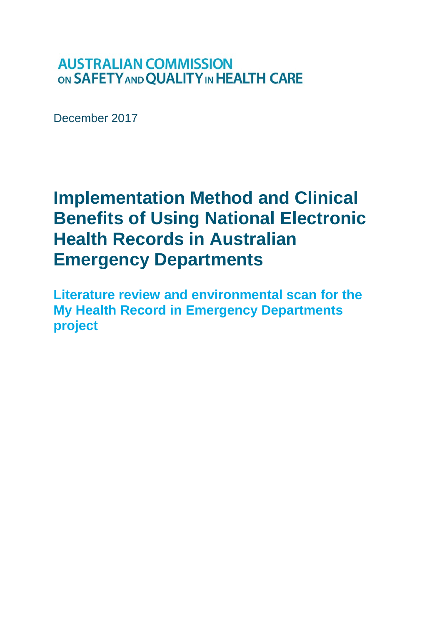# **AUSTRALIAN COMMISSION** ON SAFETY AND QUALITY IN HEALTH CARE

December 2017

# **Implementation Method and Clinical Benefits of Using National Electronic Health Records in Australian Emergency Departments**

**Literature review and environmental scan for the My Health Record in Emergency Departments project**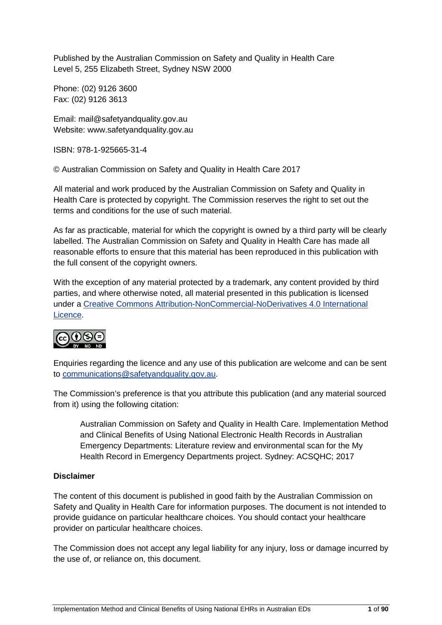Published by the Australian Commission on Safety and Quality in Health Care Level 5, 255 Elizabeth Street, Sydney NSW 2000

Phone: (02) 9126 3600 Fax: (02) 9126 3613

Email: mail@safetyandquality.gov.au Website: www.safetyandquality.gov.au

ISBN: 978-1-925665-31-4

© Australian Commission on Safety and Quality in Health Care 2017

All material and work produced by the Australian Commission on Safety and Quality in Health Care is protected by copyright. The Commission reserves the right to set out the terms and conditions for the use of such material.

As far as practicable, material for which the copyright is owned by a third party will be clearly labelled. The Australian Commission on Safety and Quality in Health Care has made all reasonable efforts to ensure that this material has been reproduced in this publication with the full consent of the copyright owners.

With the exception of any material protected by a trademark, any content provided by third parties, and where otherwise noted, all material presented in this publication is licensed under a [Creative Commons Attribution-NonCommercial-NoDerivatives 4.0 International](http://creativecommons.org/licenses/by-nc-nd/4.0/)  [Licence.](http://creativecommons.org/licenses/by-nc-nd/4.0/)



Enquiries regarding the licence and any use of this publication are welcome and can be sent to [communications@safetyandquality.gov.au.](mailto:communications@safetyandquality.gov.au)

The Commission's preference is that you attribute this publication (and any material sourced from it) using the following citation:

Australian Commission on Safety and Quality in Health Care. Implementation Method and Clinical Benefits of Using National Electronic Health Records in Australian Emergency Departments: Literature review and environmental scan for the My Health Record in Emergency Departments project. Sydney: ACSQHC; 2017

#### **Disclaimer**

The content of this document is published in good faith by the Australian Commission on Safety and Quality in Health Care for information purposes. The document is not intended to provide guidance on particular healthcare choices. You should contact your healthcare provider on particular healthcare choices.

The Commission does not accept any legal liability for any injury, loss or damage incurred by the use of, or reliance on, this document.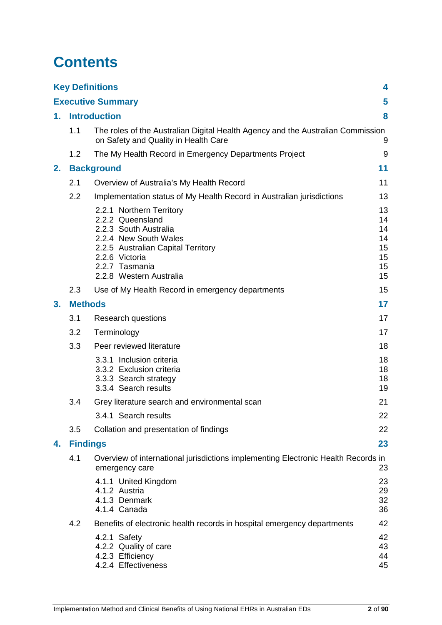# **Contents**

|    |                          | <b>Key Definitions</b>                                                                                                                                                                              | 4                                            |
|----|--------------------------|-----------------------------------------------------------------------------------------------------------------------------------------------------------------------------------------------------|----------------------------------------------|
|    |                          | <b>Executive Summary</b>                                                                                                                                                                            | 5                                            |
| 1. | <b>Introduction</b><br>8 |                                                                                                                                                                                                     |                                              |
|    | 1.1                      | The roles of the Australian Digital Health Agency and the Australian Commission<br>on Safety and Quality in Health Care                                                                             | 9                                            |
|    | 1.2                      | The My Health Record in Emergency Departments Project                                                                                                                                               | 9                                            |
| 2. |                          | <b>Background</b>                                                                                                                                                                                   | 11                                           |
|    | 2.1                      | Overview of Australia's My Health Record                                                                                                                                                            | 11                                           |
|    | 2.2                      | Implementation status of My Health Record in Australian jurisdictions                                                                                                                               | 13                                           |
|    |                          | 2.2.1 Northern Territory<br>2.2.2 Queensland<br>2.2.3 South Australia<br>2.2.4 New South Wales<br>2.2.5 Australian Capital Territory<br>2.2.6 Victoria<br>2.2.7 Tasmania<br>2.2.8 Western Australia | 13<br>14<br>14<br>14<br>15<br>15<br>15<br>15 |
|    | 2.3                      | Use of My Health Record in emergency departments                                                                                                                                                    | 15                                           |
| 3. | <b>Methods</b>           |                                                                                                                                                                                                     | 17                                           |
|    | 3.1                      | Research questions                                                                                                                                                                                  | 17                                           |
|    | 3.2                      | Terminology                                                                                                                                                                                         | 17                                           |
|    | 3.3                      | Peer reviewed literature                                                                                                                                                                            | 18                                           |
|    |                          | 3.3.1 Inclusion criteria<br>3.3.2 Exclusion criteria<br>3.3.3 Search strategy<br>3.3.4 Search results                                                                                               | 18<br>18<br>18<br>19                         |
|    | 3.4                      | Grey literature search and environmental scan                                                                                                                                                       | 21                                           |
|    |                          | 3.4.1 Search results                                                                                                                                                                                | 22                                           |
|    | 3.5                      | Collation and presentation of findings                                                                                                                                                              | 22                                           |
| 4. | <b>Findings</b>          |                                                                                                                                                                                                     | 23                                           |
|    | 4.1                      | Overview of international jurisdictions implementing Electronic Health Records in<br>emergency care                                                                                                 | 23                                           |
|    |                          | 4.1.1 United Kingdom<br>4.1.2 Austria<br>4.1.3 Denmark<br>4.1.4 Canada                                                                                                                              | 23<br>29<br>32<br>36                         |
|    | 4.2                      | Benefits of electronic health records in hospital emergency departments                                                                                                                             | 42                                           |
|    |                          | 4.2.1 Safety<br>4.2.2 Quality of care<br>4.2.3 Efficiency<br>4.2.4 Effectiveness                                                                                                                    | 42<br>43<br>44<br>45                         |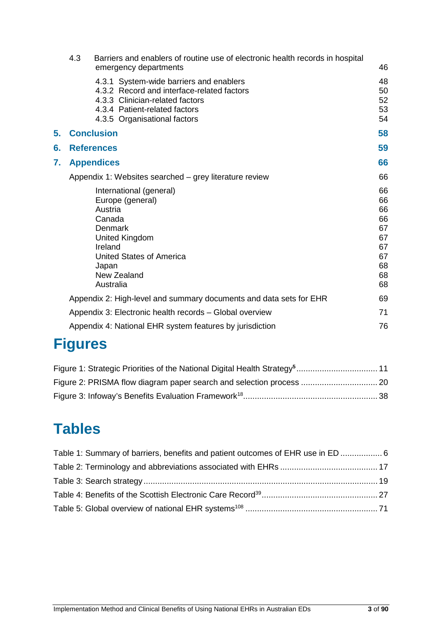|    | 4.3               | Barriers and enablers of routine use of electronic health records in hospital<br>emergency departments                                                                                         | 46                                                             |
|----|-------------------|------------------------------------------------------------------------------------------------------------------------------------------------------------------------------------------------|----------------------------------------------------------------|
|    |                   | 4.3.1 System-wide barriers and enablers<br>4.3.2 Record and interface-related factors<br>4.3.3 Clinician-related factors<br>4.3.4 Patient-related factors<br>4.3.5 Organisational factors      | 48<br>50<br>52<br>53<br>54                                     |
| 5. |                   | <b>Conclusion</b>                                                                                                                                                                              | 58                                                             |
| 6. | <b>References</b> |                                                                                                                                                                                                | 59                                                             |
| 7. | <b>Appendices</b> |                                                                                                                                                                                                | 66                                                             |
|    |                   | Appendix 1: Websites searched – grey literature review                                                                                                                                         | 66                                                             |
|    |                   | International (general)<br>Europe (general)<br>Austria<br>Canada<br><b>Denmark</b><br><b>United Kingdom</b><br>Ireland<br><b>United States of America</b><br>Japan<br>New Zealand<br>Australia | 66<br>66<br>66<br>66<br>67<br>67<br>67<br>67<br>68<br>68<br>68 |
|    |                   | Appendix 2: High-level and summary documents and data sets for EHR                                                                                                                             | 69                                                             |
|    |                   | Appendix 3: Electronic health records - Global overview                                                                                                                                        | 71                                                             |
|    |                   | Appendix 4: National EHR system features by jurisdiction                                                                                                                                       | 76                                                             |
|    |                   |                                                                                                                                                                                                |                                                                |

# **Figures**

# **Tables**

| Table 1: Summary of barriers, benefits and patient outcomes of EHR use in ED  6 |  |
|---------------------------------------------------------------------------------|--|
|                                                                                 |  |
|                                                                                 |  |
|                                                                                 |  |
|                                                                                 |  |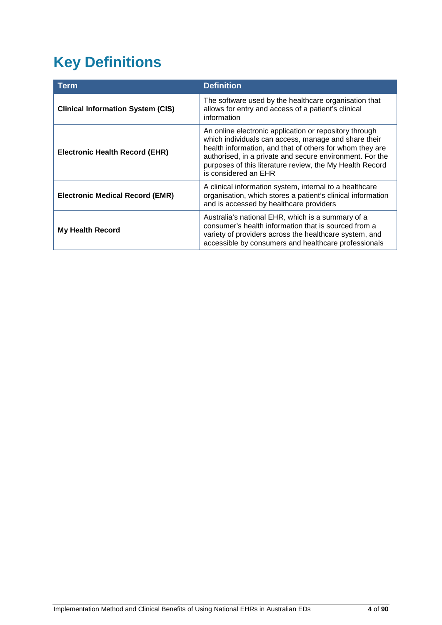# <span id="page-4-0"></span>**Key Definitions**

| Term                                     | <b>Definition</b>                                                                                                                                                                                                                                                                                                          |  |
|------------------------------------------|----------------------------------------------------------------------------------------------------------------------------------------------------------------------------------------------------------------------------------------------------------------------------------------------------------------------------|--|
| <b>Clinical Information System (CIS)</b> | The software used by the healthcare organisation that<br>allows for entry and access of a patient's clinical<br>information                                                                                                                                                                                                |  |
| <b>Electronic Health Record (EHR)</b>    | An online electronic application or repository through<br>which individuals can access, manage and share their<br>health information, and that of others for whom they are<br>authorised, in a private and secure environment. For the<br>purposes of this literature review, the My Health Record<br>is considered an EHR |  |
| <b>Electronic Medical Record (EMR)</b>   | A clinical information system, internal to a healthcare<br>organisation, which stores a patient's clinical information<br>and is accessed by healthcare providers                                                                                                                                                          |  |
| <b>My Health Record</b>                  | Australia's national EHR, which is a summary of a<br>consumer's health information that is sourced from a<br>variety of providers across the healthcare system, and<br>accessible by consumers and healthcare professionals                                                                                                |  |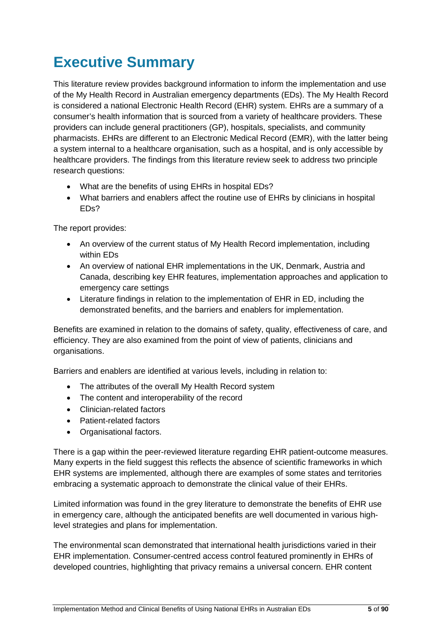# <span id="page-5-0"></span>**Executive Summary**

This literature review provides background information to inform the implementation and use of the My Health Record in Australian emergency departments (EDs). The My Health Record is considered a national Electronic Health Record (EHR) system. EHRs are a summary of a consumer's health information that is sourced from a variety of healthcare providers. These providers can include general practitioners (GP), hospitals, specialists, and community pharmacists. EHRs are different to an Electronic Medical Record (EMR), with the latter being a system internal to a healthcare organisation, such as a hospital, and is only accessible by healthcare providers. The findings from this literature review seek to address two principle research questions:

- What are the benefits of using EHRs in hospital EDs?
- What barriers and enablers affect the routine use of EHRs by clinicians in hospital EDs?

The report provides:

- An overview of the current status of My Health Record implementation, including within EDs
- An overview of national EHR implementations in the UK, Denmark, Austria and Canada, describing key EHR features, implementation approaches and application to emergency care settings
- Literature findings in relation to the implementation of EHR in ED, including the demonstrated benefits, and the barriers and enablers for implementation.

Benefits are examined in relation to the domains of safety, quality, effectiveness of care, and efficiency. They are also examined from the point of view of patients, clinicians and organisations.

Barriers and enablers are identified at various levels, including in relation to:

- The attributes of the overall My Health Record system
- The content and interoperability of the record
- Clinician-related factors
- Patient-related factors
- Organisational factors.

There is a gap within the peer-reviewed literature regarding EHR patient-outcome measures. Many experts in the field suggest this reflects the absence of scientific frameworks in which EHR systems are implemented, although there are examples of some states and territories embracing a systematic approach to demonstrate the clinical value of their EHRs.

Limited information was found in the grey literature to demonstrate the benefits of EHR use in emergency care, although the anticipated benefits are well documented in various highlevel strategies and plans for implementation.

The environmental scan demonstrated that international health jurisdictions varied in their EHR implementation. Consumer-centred access control featured prominently in EHRs of developed countries, highlighting that privacy remains a universal concern. EHR content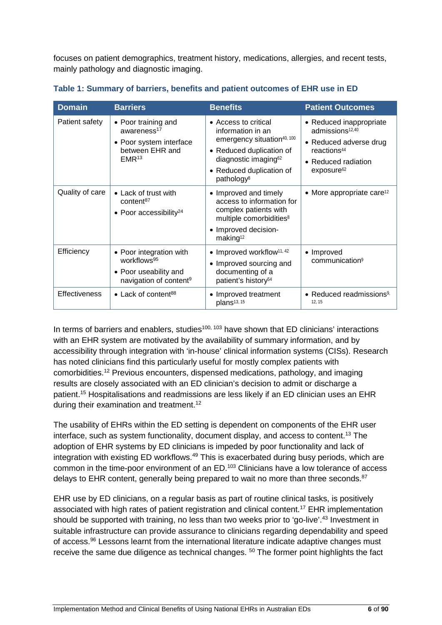focuses on patient demographics, treatment history, medications, allergies, and recent tests, mainly pathology and diagnostic imaging.

| <b>Domain</b>        | <b>Barriers</b>                                                                                                   | <b>Benefits</b>                                                                                                                                                                                           | <b>Patient Outcomes</b>                                                                                                                                      |
|----------------------|-------------------------------------------------------------------------------------------------------------------|-----------------------------------------------------------------------------------------------------------------------------------------------------------------------------------------------------------|--------------------------------------------------------------------------------------------------------------------------------------------------------------|
| Patient safety       | • Poor training and<br>awareness $17$<br>• Poor system interface<br>between EHR and<br>EMR <sup>13</sup>          | • Access to critical<br>information in an<br>emergency situation <sup>40, 100</sup><br>• Reduced duplication of<br>diagnostic imaging <sup>62</sup><br>• Reduced duplication of<br>pathology <sup>8</sup> | • Reduced inappropriate<br>admissions <sup>12,40</sup><br>• Reduced adverse drug<br>reactions <sup>44</sup><br>• Reduced radiation<br>exposure <sup>62</sup> |
| Quality of care      | • Lack of trust with<br>content <sup>87</sup><br>• Poor accessibility <sup>24</sup>                               | • Improved and timely<br>access to information for<br>complex patients with<br>multiple comorbidities <sup>8</sup><br>• Improved decision-<br>making <sup>12</sup>                                        | • More appropriate care <sup>12</sup>                                                                                                                        |
| Efficiency           | • Poor integration with<br>workflows <sup>95</sup><br>• Poor useability and<br>navigation of content <sup>9</sup> | $\bullet$ Improved workflow <sup>11, 42</sup><br>• Improved sourcing and<br>documenting of a<br>patient's history <sup>54</sup>                                                                           | • Improved<br>communication <sup>9</sup>                                                                                                                     |
| <b>Effectiveness</b> | • Lack of content <sup>88</sup>                                                                                   | • Improved treatment<br>plans <sup>13, 15</sup>                                                                                                                                                           | • Reduced readmissions <sup>9,</sup><br>12, 15                                                                                                               |

<span id="page-6-0"></span>**Table 1: Summary of barriers, benefits and patient outcomes of EHR use in ED**

In terms of barriers and enablers, studies<sup>100, 103</sup> have shown that ED clinicians' interactions with an EHR system are motivated by the availability of summary information, and by accessibility through integration with 'in-house' clinical information systems (CISs). Research has noted clinicians find this particularly useful for mostly complex patients with comorbidities.12 Previous encounters, dispensed medications, pathology, and imaging results are closely associated with an ED clinician's decision to admit or discharge a patient.15 Hospitalisations and readmissions are less likely if an ED clinician uses an EHR during their examination and treatment.<sup>12</sup>

The usability of EHRs within the ED setting is dependent on components of the EHR user interface, such as system functionality, document display, and access to content.<sup>13</sup> The adoption of EHR systems by ED clinicians is impeded by poor functionality and lack of integration with existing ED workflows.<sup>49</sup> This is exacerbated during busy periods, which are common in the time-poor environment of an ED.103 Clinicians have a low tolerance of access delays to EHR content, generally being prepared to wait no more than three seconds.<sup>87</sup>

EHR use by ED clinicians, on a regular basis as part of routine clinical tasks, is positively associated with high rates of patient registration and clinical content.<sup>17</sup> EHR implementation should be supported with training, no less than two weeks prior to 'go-live'.<sup>43</sup> Investment in suitable infrastructure can provide assurance to clinicians regarding dependability and speed of access.<sup>96</sup> Lessons learnt from the international literature indicate adaptive changes must receive the same due diligence as technical changes.  $50$  The former point highlights the fact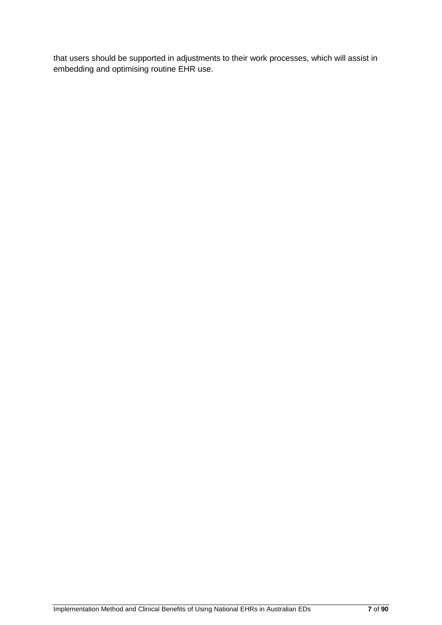that users should be supported in adjustments to their work processes, which will assist in embedding and optimising routine EHR use.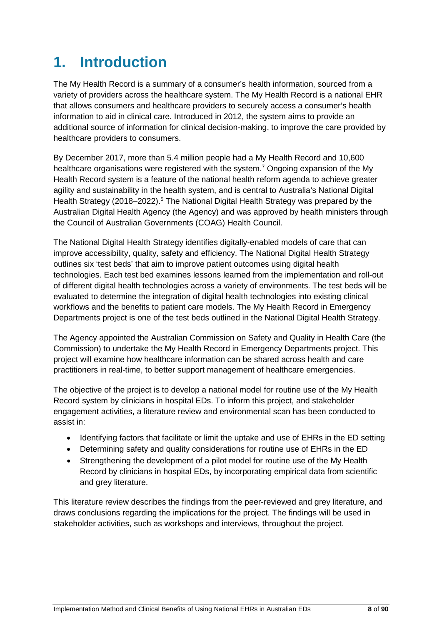# <span id="page-8-0"></span>**1. Introduction**

The My Health Record is a summary of a consumer's health information, sourced from a variety of providers across the healthcare system. The My Health Record is a national EHR that allows consumers and healthcare providers to securely access a consumer's health information to aid in clinical care. Introduced in 2012, the system aims to provide an additional source of information for clinical decision-making, to improve the care provided by healthcare providers to consumers.

By December 2017, more than 5.4 million people had a My Health Record and 10,600 healthcare organisations were registered with the system.<sup>7</sup> Ongoing expansion of the My Health Record system is a feature of the national health reform agenda to achieve greater agility and sustainability in the health system, and is central to Australia's National Digital Health Strategy (2018–2022).<sup>5</sup> The National Digital Health Strategy was prepared by the Australian Digital Health Agency (the Agency) and was approved by health ministers through the Council of Australian Governments (COAG) Health Council.

The National Digital Health Strategy identifies digitally-enabled models of care that can improve accessibility, quality, safety and efficiency. The National Digital Health Strategy outlines six 'test beds' that aim to improve patient outcomes using digital health technologies. Each test bed examines lessons learned from the implementation and roll-out of different digital health technologies across a variety of environments. The test beds will be evaluated to determine the integration of digital health technologies into existing clinical workflows and the benefits to patient care models. The My Health Record in Emergency Departments project is one of the test beds outlined in the National Digital Health Strategy.

The Agency appointed the Australian Commission on Safety and Quality in Health Care (the Commission) to undertake the My Health Record in Emergency Departments project. This project will examine how healthcare information can be shared across health and care practitioners in real-time, to better support management of healthcare emergencies.

The objective of the project is to develop a national model for routine use of the My Health Record system by clinicians in hospital EDs. To inform this project, and stakeholder engagement activities, a literature review and environmental scan has been conducted to assist in:

- Identifying factors that facilitate or limit the uptake and use of EHRs in the ED setting
- Determining safety and quality considerations for routine use of EHRs in the ED
- Strengthening the development of a pilot model for routine use of the My Health Record by clinicians in hospital EDs, by incorporating empirical data from scientific and grey literature.

This literature review describes the findings from the peer-reviewed and grey literature, and draws conclusions regarding the implications for the project. The findings will be used in stakeholder activities, such as workshops and interviews, throughout the project.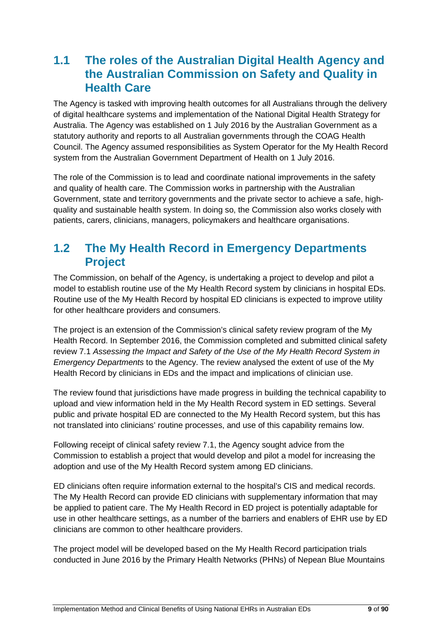# <span id="page-9-0"></span>**1.1 The roles of the Australian Digital Health Agency and the Australian Commission on Safety and Quality in Health Care**

The Agency is tasked with improving health outcomes for all Australians through the delivery of digital healthcare systems and implementation of the National Digital Health Strategy for Australia. The Agency was established on 1 July 2016 by the Australian Government as a statutory authority and reports to all Australian governments through the COAG Health Council. The Agency assumed responsibilities as System Operator for the My Health Record system from the Australian Government Department of Health on 1 July 2016.

The role of the Commission is to lead and coordinate national improvements in the safety and quality of health care. The Commission works in partnership with the Australian Government, state and territory governments and the private sector to achieve a safe, highquality and sustainable health system. In doing so, the Commission also works closely with patients, carers, clinicians, managers, policymakers and healthcare organisations.

# <span id="page-9-1"></span>**1.2 The My Health Record in Emergency Departments Project**

The Commission, on behalf of the Agency, is undertaking a project to develop and pilot a model to establish routine use of the My Health Record system by clinicians in hospital EDs. Routine use of the My Health Record by hospital ED clinicians is expected to improve utility for other healthcare providers and consumers.

The project is an extension of the Commission's clinical safety review program of the My Health Record. In September 2016, the Commission completed and submitted clinical safety review 7.1 *Assessing the Impact and Safety of the Use of the My Health Record System in Emergency Departments* to the Agency. The review analysed the extent of use of the My Health Record by clinicians in EDs and the impact and implications of clinician use.

The review found that jurisdictions have made progress in building the technical capability to upload and view information held in the My Health Record system in ED settings. Several public and private hospital ED are connected to the My Health Record system, but this has not translated into clinicians' routine processes, and use of this capability remains low.

Following receipt of clinical safety review 7.1, the Agency sought advice from the Commission to establish a project that would develop and pilot a model for increasing the adoption and use of the My Health Record system among ED clinicians.

ED clinicians often require information external to the hospital's CIS and medical records. The My Health Record can provide ED clinicians with supplementary information that may be applied to patient care. The My Health Record in ED project is potentially adaptable for use in other healthcare settings, as a number of the barriers and enablers of EHR use by ED clinicians are common to other healthcare providers.

The project model will be developed based on the My Health Record participation trials conducted in June 2016 by the Primary Health Networks (PHNs) of Nepean Blue Mountains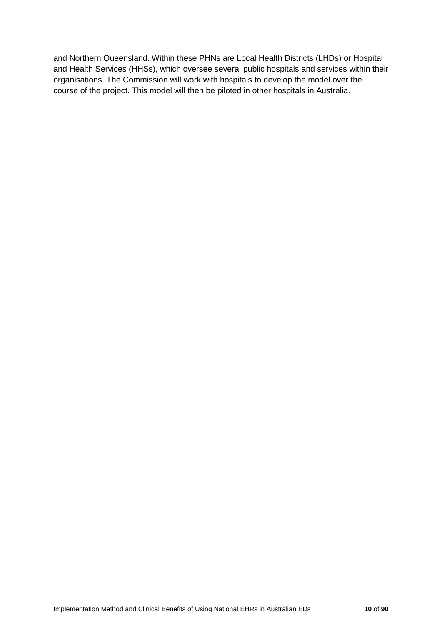and Northern Queensland. Within these PHNs are Local Health Districts (LHDs) or Hospital and Health Services (HHSs), which oversee several public hospitals and services within their organisations. The Commission will work with hospitals to develop the model over the course of the project. This model will then be piloted in other hospitals in Australia.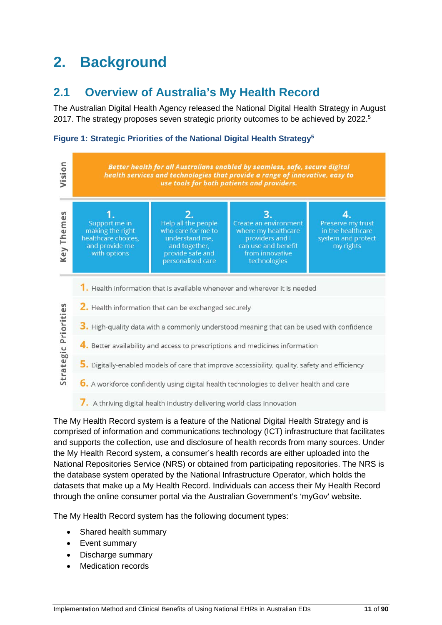# <span id="page-11-0"></span>**2. Background**

# <span id="page-11-1"></span>**2.1 Overview of Australia's My Health Record**

The Australian Digital Health Agency released the National Digital Health Strategy in August 2017. The strategy proposes seven strategic priority outcomes to be achieved by 2022. 5

#### <span id="page-11-2"></span>**Figure 1: Strategic Priorities of the National Digital Health Strategy5**



The My Health Record system is a feature of the National Digital Health Strategy and is comprised of information and communications technology (ICT) infrastructure that facilitates and supports the collection, use and disclosure of health records from many sources. Under the My Health Record system, a consumer's health records are either uploaded into the National Repositories Service (NRS) or obtained from participating repositories. The NRS is the database system operated by the National Infrastructure Operator, which holds the datasets that make up a My Health Record. Individuals can access their My Health Record through the online consumer portal via the Australian Government's 'myGov' website.

The My Health Record system has the following document types:

- Shared health summary
- Event summary
- Discharge summary
- **Medication records**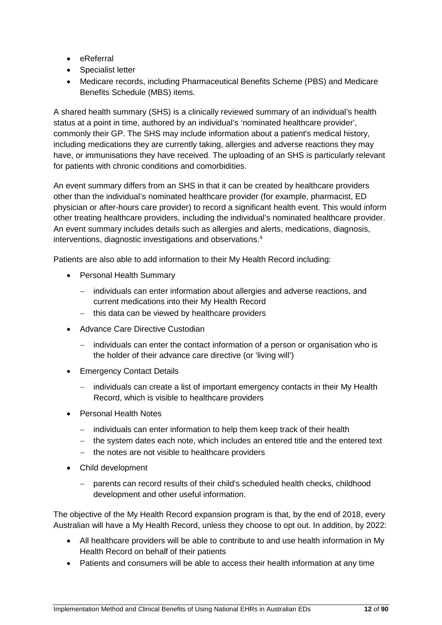- eReferral
- Specialist letter
- Medicare records, including Pharmaceutical Benefits Scheme (PBS) and Medicare Benefits Schedule (MBS) items.

A shared health summary (SHS) is a clinically reviewed summary of an individual's health status at a point in time, authored by an individual's 'nominated healthcare provider', commonly their GP. The SHS may include information about a patient's medical history, including medications they are currently taking, allergies and adverse reactions they may have, or immunisations they have received. The uploading of an SHS is particularly relevant for patients with chronic conditions and comorbidities.

An event summary differs from an SHS in that it can be created by healthcare providers other than the individual's nominated healthcare provider (for example, pharmacist, ED physician or after-hours care provider) to record a significant health event. This would inform other treating healthcare providers, including the individual's nominated healthcare provider. An event summary includes details such as allergies and alerts, medications, diagnosis, interventions, diagnostic investigations and observations.4

Patients are also able to add information to their My Health Record including:

- Personal Health Summary
	- − individuals can enter information about allergies and adverse reactions, and current medications into their My Health Record
	- − this data can be viewed by healthcare providers
- Advance Care Directive Custodian
	- individuals can enter the contact information of a person or organisation who is the holder of their advance care directive (or 'living will')
- Emergency Contact Details
	- individuals can create a list of important emergency contacts in their My Health Record, which is visible to healthcare providers
- Personal Health Notes
	- − individuals can enter information to help them keep track of their health
	- − the system dates each note, which includes an entered title and the entered text
	- − the notes are not visible to healthcare providers
- Child development
	- − parents can record results of their child's scheduled health checks, childhood development and other useful information.

The objective of the My Health Record expansion program is that, by the end of 2018, every Australian will have a My Health Record, unless they choose to opt out. In addition, by 2022:

- All healthcare providers will be able to contribute to and use health information in My Health Record on behalf of their patients
- Patients and consumers will be able to access their health information at any time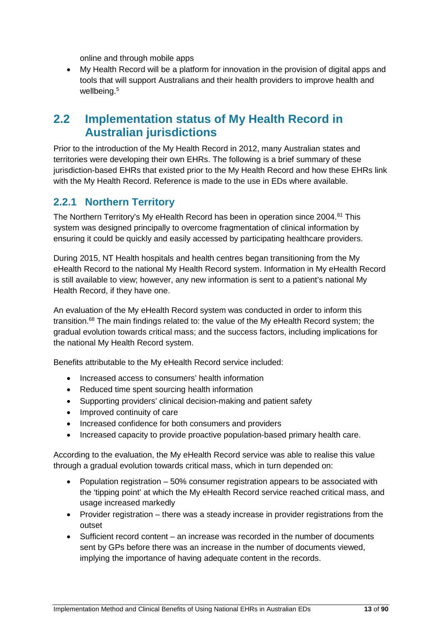online and through mobile apps

• My Health Record will be a platform for innovation in the provision of digital apps and tools that will support Australians and their health providers to improve health and wellbeing.<sup>5</sup>

## <span id="page-13-0"></span>**2.2 Implementation status of My Health Record in Australian jurisdictions**

Prior to the introduction of the My Health Record in 2012, many Australian states and territories were developing their own EHRs. The following is a brief summary of these jurisdiction-based EHRs that existed prior to the My Health Record and how these EHRs link with the My Health Record. Reference is made to the use in EDs where available.

### <span id="page-13-1"></span>**2.2.1 Northern Territory**

The Northern Territory's My eHealth Record has been in operation since 2004.<sup>81</sup> This system was designed principally to overcome fragmentation of clinical information by ensuring it could be quickly and easily accessed by participating healthcare providers.

During 2015, NT Health hospitals and health centres began transitioning from the My eHealth Record to the national My Health Record system. Information in My eHealth Record is still available to view; however, any new information is sent to a patient's national My Health Record, if they have one.

An evaluation of the My eHealth Record system was conducted in order to inform this transition.68 The main findings related to: the value of the My eHealth Record system; the gradual evolution towards critical mass; and the success factors, including implications for the national My Health Record system.

Benefits attributable to the My eHealth Record service included:

- Increased access to consumers' health information
- Reduced time spent sourcing health information
- Supporting providers' clinical decision-making and patient safety
- Improved continuity of care
- Increased confidence for both consumers and providers
- Increased capacity to provide proactive population-based primary health care.

According to the evaluation, the My eHealth Record service was able to realise this value through a gradual evolution towards critical mass, which in turn depended on:

- Population registration 50% consumer registration appears to be associated with the 'tipping point' at which the My eHealth Record service reached critical mass, and usage increased markedly
- Provider registration there was a steady increase in provider registrations from the outset
- Sufficient record content an increase was recorded in the number of documents sent by GPs before there was an increase in the number of documents viewed, implying the importance of having adequate content in the records.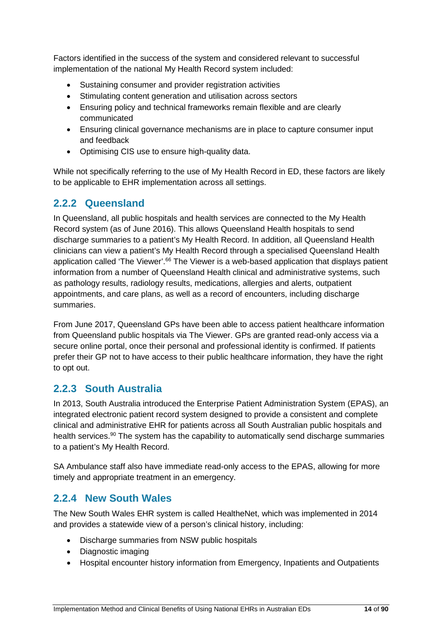Factors identified in the success of the system and considered relevant to successful implementation of the national My Health Record system included:

- Sustaining consumer and provider registration activities
- Stimulating content generation and utilisation across sectors
- Ensuring policy and technical frameworks remain flexible and are clearly communicated
- Ensuring clinical governance mechanisms are in place to capture consumer input and feedback
- Optimising CIS use to ensure high-quality data.

While not specifically referring to the use of My Health Record in ED, these factors are likely to be applicable to EHR implementation across all settings.

## <span id="page-14-0"></span>**2.2.2 Queensland**

In Queensland, all public hospitals and health services are connected to the My Health Record system (as of June 2016). This allows Queensland Health hospitals to send discharge summaries to a patient's My Health Record. In addition, all Queensland Health clinicians can view a patient's My Health Record through a specialised Queensland Health application called 'The Viewer'.<sup>66</sup> The Viewer is a web-based application that displays patient information from a number of Queensland Health clinical and administrative systems, such as pathology results, radiology results, medications, allergies and alerts, outpatient appointments, and care plans, as well as a record of encounters, including discharge summaries.

From June 2017, Queensland GPs have been able to access patient healthcare information from Queensland public hospitals via The Viewer. GPs are granted read-only access via a secure online portal, once their personal and professional identity is confirmed. If patients prefer their GP not to have access to their public healthcare information, they have the right to opt out.

## <span id="page-14-1"></span>**2.2.3 South Australia**

In 2013, South Australia introduced the Enterprise Patient Administration System (EPAS), an integrated electronic patient record system designed to provide a consistent and complete clinical and administrative EHR for patients across all South Australian public hospitals and health services.<sup>90</sup> The system has the capability to automatically send discharge summaries to a patient's My Health Record.

SA Ambulance staff also have immediate read-only access to the EPAS, allowing for more timely and appropriate treatment in an emergency.

## <span id="page-14-2"></span>**2.2.4 New South Wales**

The New South Wales EHR system is called HealtheNet, which was implemented in 2014 and provides a statewide view of a person's clinical history, including:

- Discharge summaries from NSW public hospitals
- Diagnostic imaging
- Hospital encounter history information from Emergency, Inpatients and Outpatients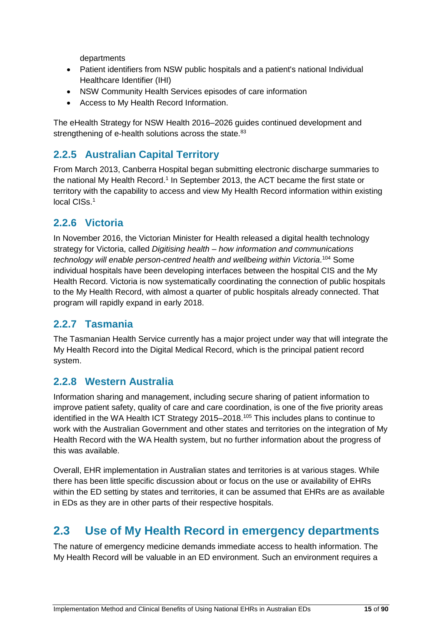departments

- Patient identifiers from NSW public hospitals and a patient's national Individual Healthcare Identifier (IHI)
- NSW Community Health Services episodes of care information
- Access to My Health Record Information.

The eHealth Strategy for NSW Health 2016–2026 guides continued development and strengthening of e-health solutions across the state.<sup>83</sup>

## <span id="page-15-0"></span>**2.2.5 Australian Capital Territory**

From March 2013, Canberra Hospital began submitting electronic discharge summaries to the national My Health Record. <sup>1</sup> In September 2013, the ACT became the first state or territory with the capability to access and view My Health Record information within existing local CISs. 1

## <span id="page-15-1"></span>**2.2.6 Victoria**

In November 2016, the Victorian Minister for Health released a digital health technology strategy for Victoria, called *Digitising health – how information and communications*  technology will enable person-centred health and wellbeing within Victoria.<sup>104</sup> Some individual hospitals have been developing interfaces between the hospital CIS and the My Health Record. Victoria is now systematically coordinating the connection of public hospitals to the My Health Record, with almost a quarter of public hospitals already connected. That program will rapidly expand in early 2018.

## <span id="page-15-2"></span>**2.2.7 Tasmania**

The Tasmanian Health Service currently has a major project under way that will integrate the My Health Record into the Digital Medical Record, which is the principal patient record system.

### <span id="page-15-3"></span>**2.2.8 Western Australia**

Information sharing and management, including secure sharing of patient information to improve patient safety, quality of care and care coordination, is one of the five priority areas identified in the WA Health ICT Strategy 2015–2018.<sup>105</sup> This includes plans to continue to work with the Australian Government and other states and territories on the integration of My Health Record with the WA Health system, but no further information about the progress of this was available.

Overall, EHR implementation in Australian states and territories is at various stages. While there has been little specific discussion about or focus on the use or availability of EHRs within the ED setting by states and territories, it can be assumed that EHRs are as available in EDs as they are in other parts of their respective hospitals.

# <span id="page-15-4"></span>**2.3 Use of My Health Record in emergency departments**

The nature of emergency medicine demands immediate access to health information. The My Health Record will be valuable in an ED environment. Such an environment requires a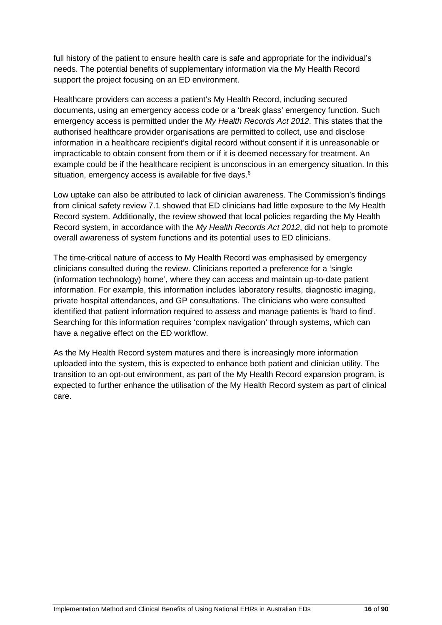full history of the patient to ensure health care is safe and appropriate for the individual's needs. The potential benefits of supplementary information via the My Health Record support the project focusing on an ED environment.

Healthcare providers can access a patient's My Health Record, including secured documents, using an emergency access code or a 'break glass' emergency function. Such emergency access is permitted under the *My Health Records Act 2012*. This states that the authorised healthcare provider organisations are permitted to collect, use and disclose information in a healthcare recipient's digital record without consent if it is unreasonable or impracticable to obtain consent from them or if it is deemed necessary for treatment. An example could be if the healthcare recipient is unconscious in an emergency situation. In this situation, emergency access is available for five days.<sup>6</sup>

Low uptake can also be attributed to lack of clinician awareness. The Commission's findings from clinical safety review 7.1 showed that ED clinicians had little exposure to the My Health Record system. Additionally, the review showed that local policies regarding the My Health Record system, in accordance with the *My Health Records Act 2012*, did not help to promote overall awareness of system functions and its potential uses to ED clinicians.

The time-critical nature of access to My Health Record was emphasised by emergency clinicians consulted during the review. Clinicians reported a preference for a 'single (information technology) home', where they can access and maintain up-to-date patient information. For example, this information includes laboratory results, diagnostic imaging, private hospital attendances, and GP consultations. The clinicians who were consulted identified that patient information required to assess and manage patients is 'hard to find'. Searching for this information requires 'complex navigation' through systems, which can have a negative effect on the ED workflow.

As the My Health Record system matures and there is increasingly more information uploaded into the system, this is expected to enhance both patient and clinician utility. The transition to an opt-out environment, as part of the My Health Record expansion program, is expected to further enhance the utilisation of the My Health Record system as part of clinical care.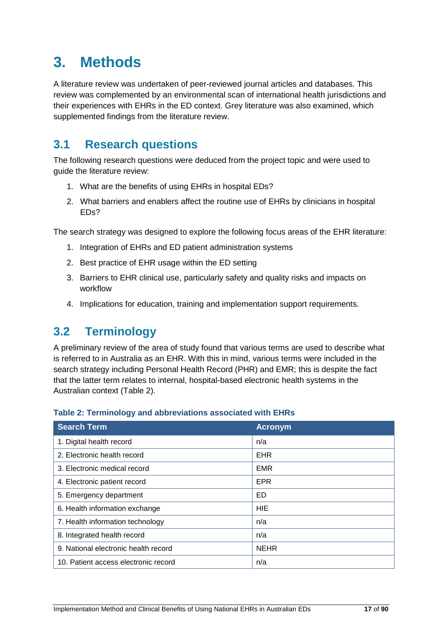# <span id="page-17-0"></span>**3. Methods**

A literature review was undertaken of peer-reviewed journal articles and databases. This review was complemented by an environmental scan of international health jurisdictions and their experiences with EHRs in the ED context. Grey literature was also examined, which supplemented findings from the literature review.

# <span id="page-17-1"></span>**3.1 Research questions**

The following research questions were deduced from the project topic and were used to guide the literature review:

- 1. What are the benefits of using EHRs in hospital EDs?
- 2. What barriers and enablers affect the routine use of EHRs by clinicians in hospital EDs?

The search strategy was designed to explore the following focus areas of the EHR literature:

- 1. Integration of EHRs and ED patient administration systems
- 2. Best practice of EHR usage within the ED setting
- 3. Barriers to EHR clinical use, particularly safety and quality risks and impacts on workflow
- 4. Implications for education, training and implementation support requirements.

# <span id="page-17-2"></span>**3.2 Terminology**

A preliminary review of the area of study found that various terms are used to describe what is referred to in Australia as an EHR. With this in mind, various terms were included in the search strategy including Personal Health Record (PHR) and EMR; this is despite the fact that the latter term relates to internal, hospital-based electronic health systems in the Australian context [\(Table 2\)](#page-17-3).

| <b>Fable 2: Terminology and abbreviations associated with EHRs</b> |                |  |
|--------------------------------------------------------------------|----------------|--|
| <b>Search Term</b>                                                 | <b>Acronym</b> |  |
| 1. Digital health record                                           | n/a            |  |
| 2. Electronic health record                                        | <b>EHR</b>     |  |
| 3. Electronic medical record                                       | <b>EMR</b>     |  |
| 4. Electronic patient record                                       | <b>EPR</b>     |  |
| 5. Emergency department                                            | ED             |  |
| 6. Health information exchange                                     | <b>HIE</b>     |  |
| 7. Health information technology                                   | n/a            |  |
| 8. Integrated health record                                        | n/a            |  |
| 9. National electronic health record                               | <b>NEHR</b>    |  |
| 10. Patient access electronic record                               | n/a            |  |
|                                                                    |                |  |

#### <span id="page-17-3"></span>**Table 2: Terminology and abbreviations associated with EHRs**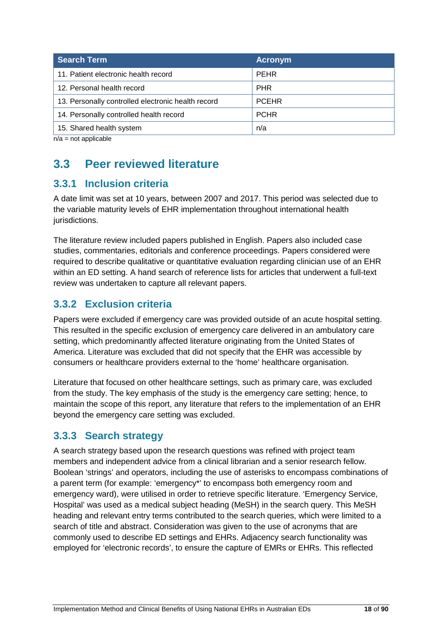| <b>Search Term</b>                                 | <b>Acronym</b> |
|----------------------------------------------------|----------------|
| 11. Patient electronic health record               | <b>PEHR</b>    |
| 12. Personal health record                         | <b>PHR</b>     |
| 13. Personally controlled electronic health record | <b>PCEHR</b>   |
| 14. Personally controlled health record            | <b>PCHR</b>    |
| 15. Shared health system                           | n/a            |

 $n/a$  = not applicable

# <span id="page-18-0"></span>**3.3 Peer reviewed literature**

## <span id="page-18-1"></span>**3.3.1 Inclusion criteria**

A date limit was set at 10 years, between 2007 and 2017. This period was selected due to the variable maturity levels of EHR implementation throughout international health jurisdictions.

The literature review included papers published in English. Papers also included case studies, commentaries, editorials and conference proceedings. Papers considered were required to describe qualitative or quantitative evaluation regarding clinician use of an EHR within an ED setting. A hand search of reference lists for articles that underwent a full-text review was undertaken to capture all relevant papers.

## <span id="page-18-2"></span>**3.3.2 Exclusion criteria**

Papers were excluded if emergency care was provided outside of an acute hospital setting. This resulted in the specific exclusion of emergency care delivered in an ambulatory care setting, which predominantly affected literature originating from the United States of America. Literature was excluded that did not specify that the EHR was accessible by consumers or healthcare providers external to the 'home' healthcare organisation.

Literature that focused on other healthcare settings, such as primary care, was excluded from the study. The key emphasis of the study is the emergency care setting; hence, to maintain the scope of this report, any literature that refers to the implementation of an EHR beyond the emergency care setting was excluded.

## <span id="page-18-3"></span>**3.3.3 Search strategy**

A search strategy based upon the research questions was refined with project team members and independent advice from a clinical librarian and a senior research fellow. Boolean 'strings' and operators, including the use of asterisks to encompass combinations of a parent term (for example: 'emergency\*' to encompass both emergency room and emergency ward), were utilised in order to retrieve specific literature. 'Emergency Service, Hospital' was used as a medical subject heading (MeSH) in the search query. This MeSH heading and relevant entry terms contributed to the search queries, which were limited to a search of title and abstract. Consideration was given to the use of acronyms that are commonly used to describe ED settings and EHRs. Adjacency search functionality was employed for 'electronic records', to ensure the capture of EMRs or EHRs. This reflected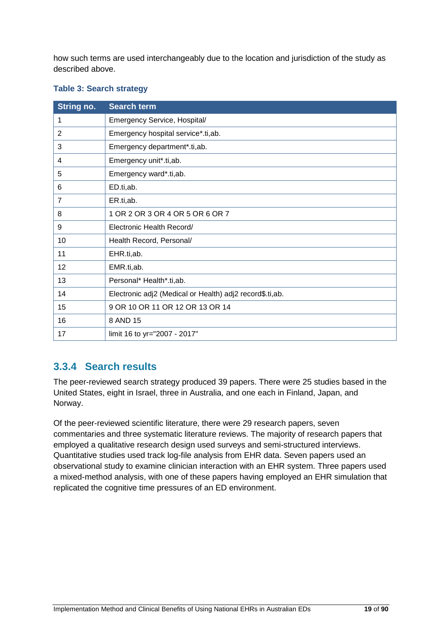how such terms are used interchangeably due to the location and jurisdiction of the study as described above.

| String no.      | <b>Search term</b>                                       |  |
|-----------------|----------------------------------------------------------|--|
| 1               | Emergency Service, Hospital/                             |  |
| 2               | Emergency hospital service*.ti,ab.                       |  |
| 3               | Emergency department*.ti,ab.                             |  |
| 4               | Emergency unit*.ti,ab.                                   |  |
| $5\phantom{.0}$ | Emergency ward*.ti,ab.                                   |  |
| 6               | ED.ti,ab.                                                |  |
| 7               | ER.ti,ab.                                                |  |
| 8               | 1 OR 2 OR 3 OR 4 OR 5 OR 6 OR 7                          |  |
| 9               | Electronic Health Record/                                |  |
| 10              | Health Record, Personal/                                 |  |
| 11              | EHR.ti,ab.                                               |  |
| 12              | EMR.ti,ab.                                               |  |
| 13              | Personal* Health*.ti,ab.                                 |  |
| 14              | Electronic adj2 (Medical or Health) adj2 record\$.ti,ab. |  |
| 15              | 9 OR 10 OR 11 OR 12 OR 13 OR 14                          |  |
| 16              | 8 AND 15                                                 |  |
| 17              | limit 16 to yr="2007 - 2017"                             |  |

#### <span id="page-19-1"></span>**Table 3: Search strategy**

## <span id="page-19-0"></span>**3.3.4 Search results**

The peer-reviewed search strategy produced 39 papers. There were 25 studies based in the United States, eight in Israel, three in Australia, and one each in Finland, Japan, and Norway.

Of the peer-reviewed scientific literature, there were 29 research papers, seven commentaries and three systematic literature reviews. The majority of research papers that employed a qualitative research design used surveys and semi-structured interviews. Quantitative studies used track log-file analysis from EHR data. Seven papers used an observational study to examine clinician interaction with an EHR system. Three papers used a mixed-method analysis, with one of these papers having employed an EHR simulation that replicated the cognitive time pressures of an ED environment.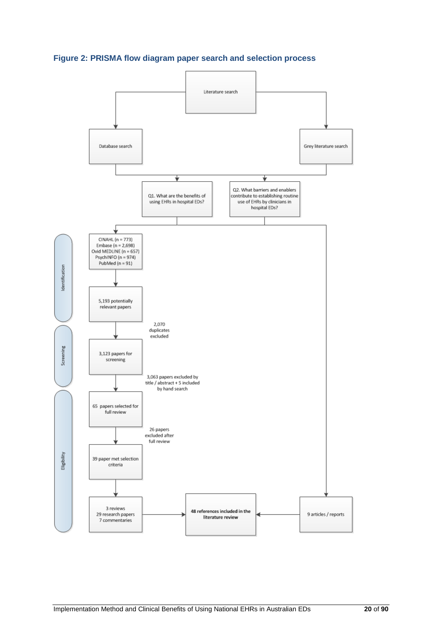<span id="page-20-0"></span>**Figure 2: PRISMA flow diagram paper search and selection process**

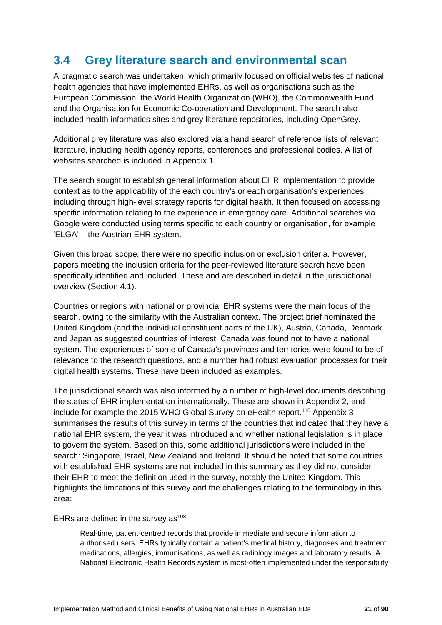# <span id="page-21-0"></span>**3.4 Grey literature search and environmental scan**

A pragmatic search was undertaken, which primarily focused on official websites of national health agencies that have implemented EHRs, as well as organisations such as the European Commission, the World Health Organization (WHO), the Commonwealth Fund and the Organisation for Economic Co-operation and Development. The search also included health informatics sites and grey literature repositories, including OpenGrey.

Additional grey literature was also explored via a hand search of reference lists of relevant literature, including health agency reports, conferences and professional bodies. A list of websites searched is included in Appendix 1.

The search sought to establish general information about EHR implementation to provide context as to the applicability of the each country's or each organisation's experiences, including through high-level strategy reports for digital health. It then focused on accessing specific information relating to the experience in emergency care. Additional searches via Google were conducted using terms specific to each country or organisation, for example 'ELGA' – the Austrian EHR system.

Given this broad scope, there were no specific inclusion or exclusion criteria. However, papers meeting the inclusion criteria for the peer-reviewed literature search have been specifically identified and included. These and are described in detail in the jurisdictional overview (Section 4.1).

Countries or regions with national or provincial EHR systems were the main focus of the search, owing to the similarity with the Australian context. The project brief nominated the United Kingdom (and the individual constituent parts of the UK), Austria, Canada, Denmark and Japan as suggested countries of interest. Canada was found not to have a national system. The experiences of some of Canada's provinces and territories were found to be of relevance to the research questions, and a number had robust evaluation processes for their digital health systems. These have been included as examples.

The jurisdictional search was also informed by a number of high-level documents describing the status of EHR implementation internationally. These are shown in Appendix 2, and include for example the 2015 WHO Global Survey on eHealth report.<sup>110</sup> Appendix 3 summarises the results of this survey in terms of the countries that indicated that they have a national EHR system, the year it was introduced and whether national legislation is in place to govern the system. Based on this, some additional jurisdictions were included in the search: Singapore, Israel, New Zealand and Ireland. It should be noted that some countries with established EHR systems are not included in this summary as they did not consider their EHR to meet the definition used in the survey, notably the United Kingdom. This highlights the limitations of this survey and the challenges relating to the terminology in this area:

EHRs are defined in the survey as $108$ :

Real-time, patient-centred records that provide immediate and secure information to authorised users. EHRs typically contain a patient's medical history, diagnoses and treatment, medications, allergies, immunisations, as well as radiology images and laboratory results. A National Electronic Health Records system is most-often implemented under the responsibility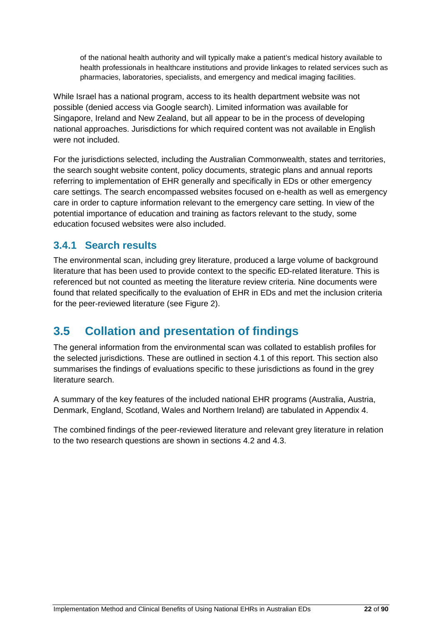of the national health authority and will typically make a patient's medical history available to health professionals in healthcare institutions and provide linkages to related services such as pharmacies, laboratories, specialists, and emergency and medical imaging facilities.

While Israel has a national program, access to its health department website was not possible (denied access via Google search). Limited information was available for Singapore, Ireland and New Zealand, but all appear to be in the process of developing national approaches. Jurisdictions for which required content was not available in English were not included.

For the jurisdictions selected, including the Australian Commonwealth, states and territories, the search sought website content, policy documents, strategic plans and annual reports referring to implementation of EHR generally and specifically in EDs or other emergency care settings. The search encompassed websites focused on e-health as well as emergency care in order to capture information relevant to the emergency care setting. In view of the potential importance of education and training as factors relevant to the study, some education focused websites were also included.

## <span id="page-22-0"></span>**3.4.1 Search results**

The environmental scan, including grey literature, produced a large volume of background literature that has been used to provide context to the specific ED-related literature. This is referenced but not counted as meeting the literature review criteria. Nine documents were found that related specifically to the evaluation of EHR in EDs and met the inclusion criteria for the peer-reviewed literature (see Figure 2).

# <span id="page-22-1"></span>**3.5 Collation and presentation of findings**

The general information from the environmental scan was collated to establish profiles for the selected jurisdictions. These are outlined in section 4.1 of this report. This section also summarises the findings of evaluations specific to these jurisdictions as found in the grey literature search.

A summary of the key features of the included national EHR programs (Australia, Austria, Denmark, England, Scotland, Wales and Northern Ireland) are tabulated in Appendix 4.

The combined findings of the peer-reviewed literature and relevant grey literature in relation to the two research questions are shown in sections 4.2 and 4.3.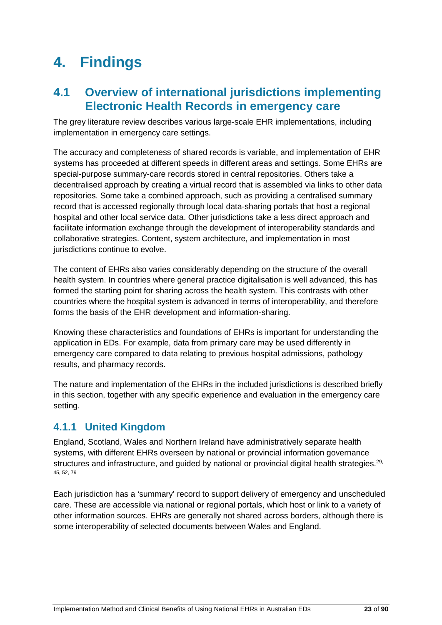# <span id="page-23-0"></span>**4. Findings**

# <span id="page-23-1"></span>**4.1 Overview of international jurisdictions implementing Electronic Health Records in emergency care**

The grey literature review describes various large-scale EHR implementations, including implementation in emergency care settings.

The accuracy and completeness of shared records is variable, and implementation of EHR systems has proceeded at different speeds in different areas and settings. Some EHRs are special-purpose summary-care records stored in central repositories. Others take a decentralised approach by creating a virtual record that is assembled via links to other data repositories. Some take a combined approach, such as providing a centralised summary record that is accessed regionally through local data-sharing portals that host a regional hospital and other local service data. Other jurisdictions take a less direct approach and facilitate information exchange through the development of interoperability standards and collaborative strategies. Content, system architecture, and implementation in most jurisdictions continue to evolve.

The content of EHRs also varies considerably depending on the structure of the overall health system. In countries where general practice digitalisation is well advanced, this has formed the starting point for sharing across the health system. This contrasts with other countries where the hospital system is advanced in terms of interoperability, and therefore forms the basis of the EHR development and information-sharing.

Knowing these characteristics and foundations of EHRs is important for understanding the application in EDs. For example, data from primary care may be used differently in emergency care compared to data relating to previous hospital admissions, pathology results, and pharmacy records.

The nature and implementation of the EHRs in the included jurisdictions is described briefly in this section, together with any specific experience and evaluation in the emergency care setting.

## <span id="page-23-2"></span>**4.1.1 United Kingdom**

England, Scotland, Wales and Northern Ireland have administratively separate health systems, with different EHRs overseen by national or provincial information governance structures and infrastructure, and guided by national or provincial digital health strategies.<sup>29,</sup> 45, 52, 79

Each jurisdiction has a 'summary' record to support delivery of emergency and unscheduled care. These are accessible via national or regional portals, which host or link to a variety of other information sources. EHRs are generally not shared across borders, although there is some interoperability of selected documents between Wales and England.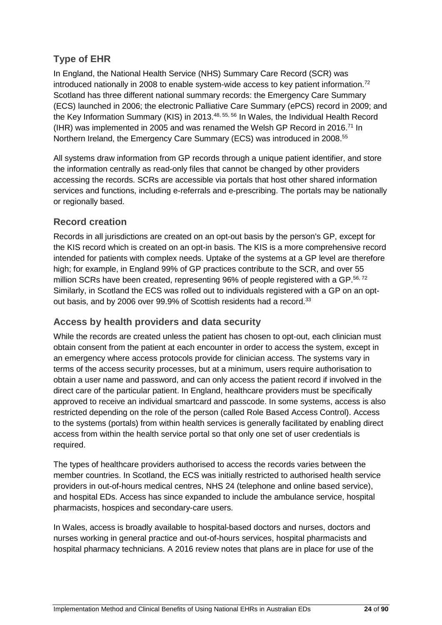## **Type of EHR**

In England, the National Health Service (NHS) Summary Care Record (SCR) was introduced nationally in 2008 to enable system-wide access to key patient information.<sup>72</sup> Scotland has three different national summary records: the Emergency Care Summary (ECS) launched in 2006; the electronic Palliative Care Summary (ePCS) record in 2009; and the Key Information Summary (KIS) in 2013.<sup>48, 55, 56</sup> In Wales, the Individual Health Record (IHR) was implemented in 2005 and was renamed the Welsh GP Record in 2016.<sup>71</sup> In Northern Ireland, the Emergency Care Summary (ECS) was introduced in 2008.<sup>55</sup>

All systems draw information from GP records through a unique patient identifier, and store the information centrally as read-only files that cannot be changed by other providers accessing the records. SCRs are accessible via portals that host other shared information services and functions, including e-referrals and e-prescribing. The portals may be nationally or regionally based.

### **Record creation**

Records in all jurisdictions are created on an opt-out basis by the person's GP, except for the KIS record which is created on an opt-in basis. The KIS is a more comprehensive record intended for patients with complex needs. Uptake of the systems at a GP level are therefore high; for example, in England 99% of GP practices contribute to the SCR, and over 55 million SCRs have been created, representing 96% of people registered with a GP.<sup>56,72</sup> Similarly, in Scotland the ECS was rolled out to individuals registered with a GP on an optout basis, and by 2006 over 99.9% of Scottish residents had a record.<sup>33</sup>

### **Access by health providers and data security**

While the records are created unless the patient has chosen to opt-out, each clinician must obtain consent from the patient at each encounter in order to access the system, except in an emergency where access protocols provide for clinician access. The systems vary in terms of the access security processes, but at a minimum, users require authorisation to obtain a user name and password, and can only access the patient record if involved in the direct care of the particular patient. In England, healthcare providers must be specifically approved to receive an individual smartcard and passcode. In some systems, access is also restricted depending on the role of the person (called Role Based Access Control). Access to the systems (portals) from within health services is generally facilitated by enabling direct access from within the health service portal so that only one set of user credentials is required.

The types of healthcare providers authorised to access the records varies between the member countries. In Scotland, the ECS was initially restricted to authorised health service providers in out-of-hours medical centres, NHS 24 (telephone and online based service), and hospital EDs. Access has since expanded to include the ambulance service, hospital pharmacists, hospices and secondary-care users.

In Wales, access is broadly available to hospital-based doctors and nurses, doctors and nurses working in general practice and out-of-hours services, hospital pharmacists and hospital pharmacy technicians. A 2016 review notes that plans are in place for use of the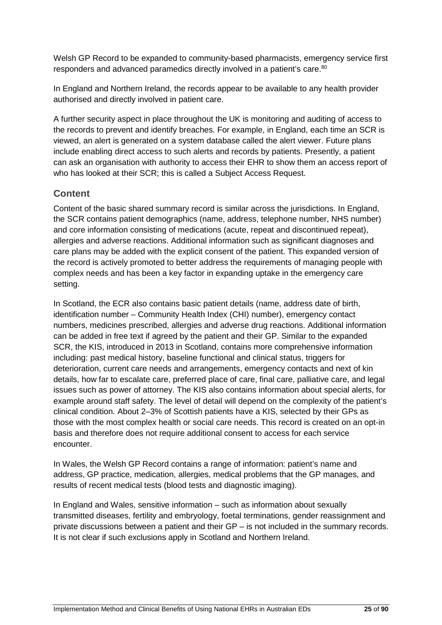Welsh GP Record to be expanded to community-based pharmacists, emergency service first responders and advanced paramedics directly involved in a patient's care.<sup>80</sup>

In England and Northern Ireland, the records appear to be available to any health provider authorised and directly involved in patient care.

A further security aspect in place throughout the UK is monitoring and auditing of access to the records to prevent and identify breaches. For example, in England, each time an SCR is viewed, an alert is generated on a system database called the alert viewer. Future plans include enabling direct access to such alerts and records by patients. Presently, a patient can ask an organisation with authority to access their EHR to show them an access report of who has looked at their SCR; this is called a Subject Access Request.

### **Content**

Content of the basic shared summary record is similar across the jurisdictions. In England, the SCR contains patient demographics (name, address, telephone number, NHS number) and core information consisting of medications (acute, repeat and discontinued repeat), allergies and adverse reactions. Additional information such as significant diagnoses and care plans may be added with the explicit consent of the patient. This expanded version of the record is actively promoted to better address the requirements of managing people with complex needs and has been a key factor in expanding uptake in the emergency care setting.

In Scotland, the ECR also contains basic patient details (name, address date of birth, identification number – Community Health Index (CHI) number), emergency contact numbers, medicines prescribed, allergies and adverse drug reactions. Additional information can be added in free text if agreed by the patient and their GP. Similar to the expanded SCR, the KIS, introduced in 2013 in Scotland, contains more comprehensive information including: past medical history, baseline functional and clinical status, triggers for deterioration, current care needs and arrangements, emergency contacts and next of kin details, how far to escalate care, preferred place of care, final care, palliative care, and legal issues such as power of attorney. The KIS also contains information about special alerts, for example around staff safety. The level of detail will depend on the complexity of the patient's clinical condition. About 2–3% of Scottish patients have a KIS, selected by their GPs as those with the most complex health or social care needs. This record is created on an opt-in basis and therefore does not require additional consent to access for each service encounter.

In Wales, the Welsh GP Record contains a range of information: patient's name and address, GP practice, medication, allergies, medical problems that the GP manages, and results of recent medical tests (blood tests and diagnostic imaging).

In England and Wales, sensitive information – such as information about sexually transmitted diseases, fertility and embryology, foetal terminations, gender reassignment and private discussions between a patient and their GP – is not included in the summary records. It is not clear if such exclusions apply in Scotland and Northern Ireland.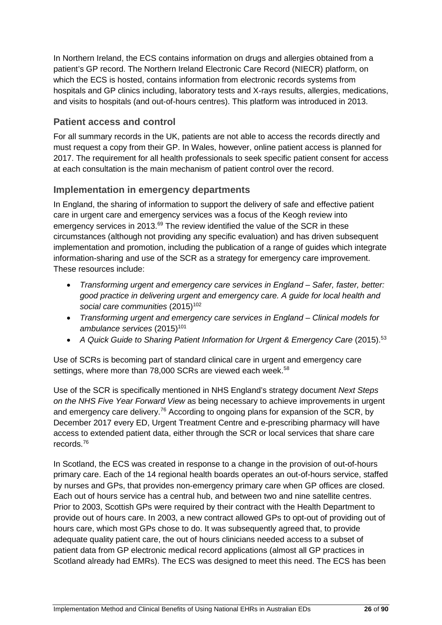In Northern Ireland, the ECS contains information on drugs and allergies obtained from a patient's GP record. The Northern Ireland Electronic Care Record (NIECR) platform, on which the ECS is hosted, contains information from electronic records systems from hospitals and GP clinics including, laboratory tests and X-rays results, allergies, medications, and visits to hospitals (and out-of-hours centres). This platform was introduced in 2013.

### **Patient access and control**

For all summary records in the UK, patients are not able to access the records directly and must request a copy from their GP. In Wales, however, online patient access is planned for 2017. The requirement for all health professionals to seek specific patient consent for access at each consultation is the main mechanism of patient control over the record.

### **Implementation in emergency departments**

In England, the sharing of information to support the delivery of safe and effective patient care in urgent care and emergency services was a focus of the Keogh review into emergency services in 2013.<sup>69</sup> The review identified the value of the SCR in these circumstances (although not providing any specific evaluation) and has driven subsequent implementation and promotion, including the publication of a range of guides which integrate information-sharing and use of the SCR as a strategy for emergency care improvement. These resources include:

- *Transforming urgent and emergency care services in England – Safer, faster, better: good practice in delivering urgent and emergency care. A guide for local health and social care communities* (2015)102
- *Transforming urgent and emergency care services in England – Clinical models for*  ambulance services (2015)<sup>101</sup>
- *A Quick Guide to Sharing Patient Information for Urgent & Emergency Care* (2015). 53

Use of SCRs is becoming part of standard clinical care in urgent and emergency care settings, where more than 78,000 SCRs are viewed each week.<sup>58</sup>

Use of the SCR is specifically mentioned in NHS England's strategy document *Next Steps on the NHS Five Year Forward View* as being necessary to achieve improvements in urgent and emergency care delivery.<sup>76</sup> According to ongoing plans for expansion of the SCR, by December 2017 every ED, Urgent Treatment Centre and e-prescribing pharmacy will have access to extended patient data, either through the SCR or local services that share care records. 76

In Scotland, the ECS was created in response to a change in the provision of out-of-hours primary care. Each of the 14 regional health boards operates an out-of-hours service, staffed by nurses and GPs, that provides non-emergency primary care when GP offices are closed. Each out of hours service has a central hub, and between two and nine satellite centres. Prior to 2003, Scottish GPs were required by their contract with the Health Department to provide out of hours care. In 2003, a new contract allowed GPs to opt-out of providing out of hours care, which most GPs chose to do. It was subsequently agreed that, to provide adequate quality patient care, the out of hours clinicians needed access to a subset of patient data from GP electronic medical record applications (almost all GP practices in Scotland already had EMRs). The ECS was designed to meet this need. The ECS has been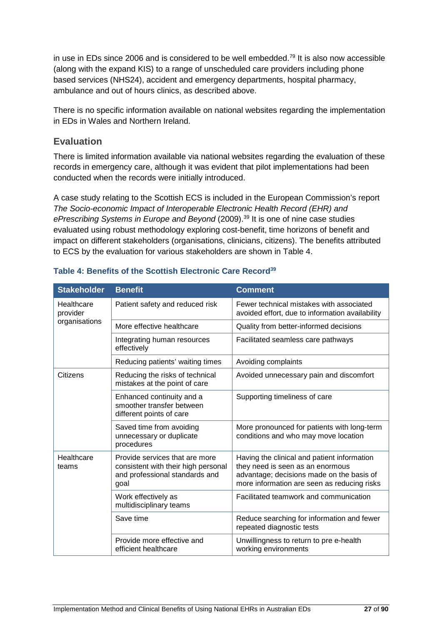in use in EDs since 2006 and is considered to be well embedded.<sup>79</sup> It is also now accessible (along with the expand KIS) to a range of unscheduled care providers including phone based services (NHS24), accident and emergency departments, hospital pharmacy, ambulance and out of hours clinics, as described above.

There is no specific information available on national websites regarding the implementation in EDs in Wales and Northern Ireland.

### **Evaluation**

There is limited information available via national websites regarding the evaluation of these records in emergency care, although it was evident that pilot implementations had been conducted when the records were initially introduced.

A case study relating to the Scottish ECS is included in the European Commission's report *The Socio-economic Impact of Interoperable Electronic Health Record (EHR) and ePrescribing Systems in Europe and Beyond* (2009). <sup>39</sup> It is one of nine case studies evaluated using robust methodology exploring cost-benefit, time horizons of benefit and impact on different stakeholders (organisations, clinicians, citizens). The benefits attributed to ECS by the evaluation for various stakeholders are shown in [Table 4.](#page-27-0)

| <b>Stakeholder</b>     | <b>Benefit</b>                                                                                                  | <b>Comment</b>                                                                                                                                                              |
|------------------------|-----------------------------------------------------------------------------------------------------------------|-----------------------------------------------------------------------------------------------------------------------------------------------------------------------------|
| Healthcare<br>provider | Patient safety and reduced risk                                                                                 | Fewer technical mistakes with associated<br>avoided effort, due to information availability                                                                                 |
| organisations          | More effective healthcare                                                                                       | Quality from better-informed decisions                                                                                                                                      |
|                        | Integrating human resources<br>effectively                                                                      | Facilitated seamless care pathways                                                                                                                                          |
|                        | Reducing patients' waiting times                                                                                | Avoiding complaints                                                                                                                                                         |
| Citizens               | Reducing the risks of technical<br>mistakes at the point of care                                                | Avoided unnecessary pain and discomfort                                                                                                                                     |
|                        | Enhanced continuity and a<br>smoother transfer between<br>different points of care                              | Supporting timeliness of care                                                                                                                                               |
|                        | Saved time from avoiding<br>unnecessary or duplicate<br>procedures                                              | More pronounced for patients with long-term<br>conditions and who may move location                                                                                         |
| Healthcare<br>teams    | Provide services that are more<br>consistent with their high personal<br>and professional standards and<br>goal | Having the clinical and patient information<br>they need is seen as an enormous<br>advantage; decisions made on the basis of<br>more information are seen as reducing risks |
|                        | Work effectively as<br>multidisciplinary teams                                                                  | Facilitated teamwork and communication                                                                                                                                      |
|                        | Save time                                                                                                       | Reduce searching for information and fewer<br>repeated diagnostic tests                                                                                                     |
|                        | Provide more effective and<br>efficient healthcare                                                              | Unwillingness to return to pre e-health<br>working environments                                                                                                             |

#### <span id="page-27-0"></span>**Table 4: Benefits of the Scottish Electronic Care Record39**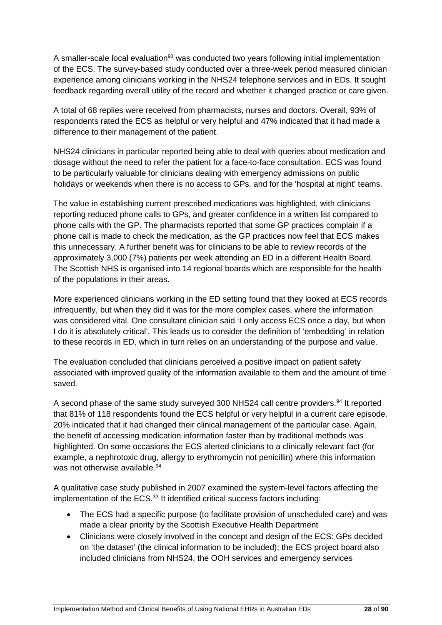A smaller-scale local evaluation<sup>93</sup> was conducted two years following initial implementation of the ECS. The survey-based study conducted over a three-week period measured clinician experience among clinicians working in the NHS24 telephone services and in EDs. It sought feedback regarding overall utility of the record and whether it changed practice or care given.

A total of 68 replies were received from pharmacists, nurses and doctors. Overall, 93% of respondents rated the ECS as helpful or very helpful and 47% indicated that it had made a difference to their management of the patient.

NHS24 clinicians in particular reported being able to deal with queries about medication and dosage without the need to refer the patient for a face-to-face consultation. ECS was found to be particularly valuable for clinicians dealing with emergency admissions on public holidays or weekends when there is no access to GPs, and for the 'hospital at night' teams.

The value in establishing current prescribed medications was highlighted, with clinicians reporting reduced phone calls to GPs, and greater confidence in a written list compared to phone calls with the GP. The pharmacists reported that some GP practices complain if a phone call is made to check the medication, as the GP practices now feel that ECS makes this unnecessary. A further benefit was for clinicians to be able to review records of the approximately 3,000 (7%) patients per week attending an ED in a different Health Board. The Scottish NHS is organised into 14 regional boards which are responsible for the health of the populations in their areas.

More experienced clinicians working in the ED setting found that they looked at ECS records infrequently, but when they did it was for the more complex cases, where the information was considered vital. One consultant clinician said 'I only access ECS once a day, but when I do it is absolutely critical'. This leads us to consider the definition of 'embedding' in relation to these records in ED, which in turn relies on an understanding of the purpose and value.

The evaluation concluded that clinicians perceived a positive impact on patient safety associated with improved quality of the information available to them and the amount of time saved.

A second phase of the same study surveyed 300 NHS24 call centre providers.<sup>94</sup> It reported that 81% of 118 respondents found the ECS helpful or very helpful in a current care episode. 20% indicated that it had changed their clinical management of the particular case. Again, the benefit of accessing medication information faster than by traditional methods was highlighted. On some occasions the ECS alerted clinicians to a clinically relevant fact (for example, a nephrotoxic drug, allergy to erythromycin not penicillin) where this information was not otherwise available.<sup>94</sup>

A qualitative case study published in 2007 examined the system-level factors affecting the implementation of the ECS.<sup>33</sup> It identified critical success factors including:

- The ECS had a specific purpose (to facilitate provision of unscheduled care) and was made a clear priority by the Scottish Executive Health Department
- Clinicians were closely involved in the concept and design of the ECS: GPs decided on 'the dataset' (the clinical information to be included); the ECS project board also included clinicians from NHS24, the OOH services and emergency services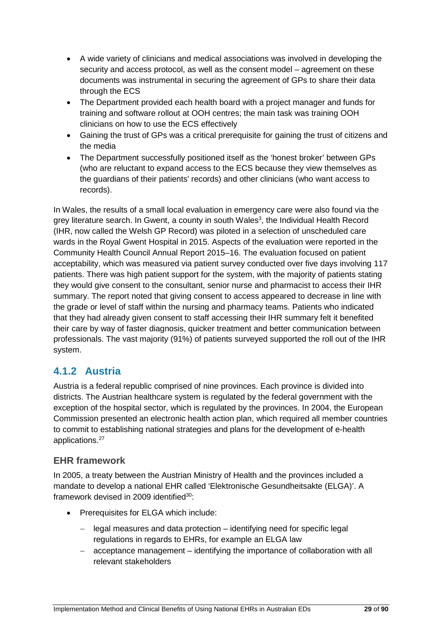- A wide variety of clinicians and medical associations was involved in developing the security and access protocol, as well as the consent model – agreement on these documents was instrumental in securing the agreement of GPs to share their data through the ECS
- The Department provided each health board with a project manager and funds for training and software rollout at OOH centres; the main task was training OOH clinicians on how to use the ECS effectively
- Gaining the trust of GPs was a critical prerequisite for gaining the trust of citizens and the media
- The Department successfully positioned itself as the 'honest broker' between GPs (who are reluctant to expand access to the ECS because they view themselves as the guardians of their patients' records) and other clinicians (who want access to records).

In Wales, the results of a small local evaluation in emergency care were also found via the grey literature search. In Gwent, a county in south Wales<sup>3</sup>, the Individual Health Record (IHR, now called the Welsh GP Record) was piloted in a selection of unscheduled care wards in the Royal Gwent Hospital in 2015. Aspects of the evaluation were reported in the Community Health Council Annual Report 2015–16. The evaluation focused on patient acceptability, which was measured via patient survey conducted over five days involving 117 patients. There was high patient support for the system, with the majority of patients stating they would give consent to the consultant, senior nurse and pharmacist to access their IHR summary. The report noted that giving consent to access appeared to decrease in line with the grade or level of staff within the nursing and pharmacy teams. Patients who indicated that they had already given consent to staff accessing their IHR summary felt it benefited their care by way of faster diagnosis, quicker treatment and better communication between professionals. The vast majority (91%) of patients surveyed supported the roll out of the IHR system.

## <span id="page-29-0"></span>**4.1.2 Austria**

Austria is a federal republic comprised of nine provinces. Each province is divided into districts. The Austrian healthcare system is regulated by the federal government with the exception of the hospital sector, which is regulated by the provinces. In 2004, the European Commission presented an electronic health action plan, which required all member countries to commit to establishing national strategies and plans for the development of e-health applications.<sup>27</sup>

### **EHR framework**

In 2005, a treaty between the Austrian Ministry of Health and the provinces included a mandate to develop a national EHR called 'Elektronische Gesundheitsakte (ELGA)'. A framework devised in 2009 identified<sup>30</sup>:

- Prerequisites for ELGA which include:
	- legal measures and data protection identifying need for specific legal regulations in regards to EHRs, for example an ELGA law
	- − acceptance management identifying the importance of collaboration with all relevant stakeholders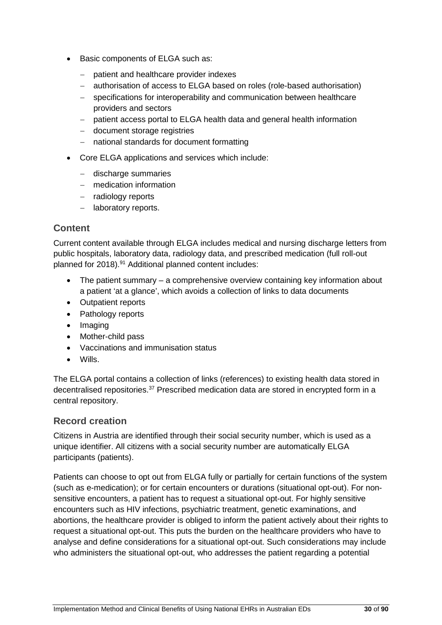- Basic components of ELGA such as:
	- − patient and healthcare provider indexes
	- − authorisation of access to ELGA based on roles (role-based authorisation)
	- − specifications for interoperability and communication between healthcare providers and sectors
	- − patient access portal to ELGA health data and general health information
	- − document storage registries
	- − national standards for document formatting
- Core ELGA applications and services which include:
	- − discharge summaries
	- − medication information
	- − radiology reports
	- − laboratory reports.

### **Content**

Current content available through ELGA includes medical and nursing discharge letters from public hospitals, laboratory data, radiology data, and prescribed medication (full roll-out planned for 2018).<sup>91</sup> Additional planned content includes:

- The patient summary a comprehensive overview containing key information about a patient 'at a glance', which avoids a collection of links to data documents
- Outpatient reports
- Pathology reports
- Imaging
- Mother-child pass
- Vaccinations and immunisation status
- Wills.

The ELGA portal contains a collection of links (references) to existing health data stored in decentralised repositories.37 Prescribed medication data are stored in encrypted form in a central repository.

#### **Record creation**

Citizens in Austria are identified through their social security number, which is used as a unique identifier. All citizens with a social security number are automatically ELGA participants (patients).

Patients can choose to opt out from ELGA fully or partially for certain functions of the system (such as e-medication); or for certain encounters or durations (situational opt-out). For nonsensitive encounters, a patient has to request a situational opt-out. For highly sensitive encounters such as HIV infections, psychiatric treatment, genetic examinations, and abortions, the healthcare provider is obliged to inform the patient actively about their rights to request a situational opt-out. This puts the burden on the healthcare providers who have to analyse and define considerations for a situational opt-out. Such considerations may include who administers the situational opt-out, who addresses the patient regarding a potential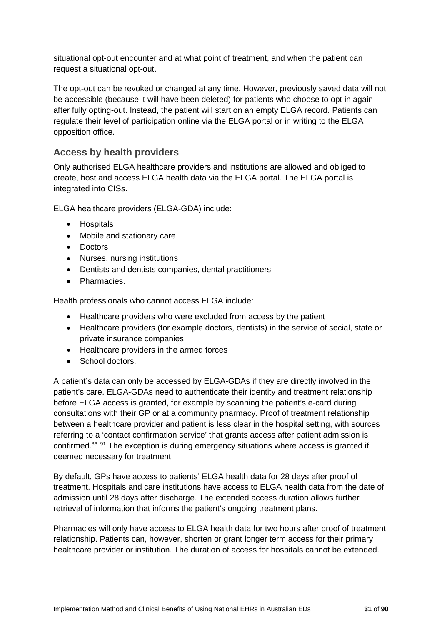situational opt-out encounter and at what point of treatment, and when the patient can request a situational opt-out.

The opt-out can be revoked or changed at any time. However, previously saved data will not be accessible (because it will have been deleted) for patients who choose to opt in again after fully opting-out. Instead, the patient will start on an empty ELGA record. Patients can regulate their level of participation online via the ELGA portal or in writing to the ELGA opposition office.

### **Access by health providers**

Only authorised ELGA healthcare providers and institutions are allowed and obliged to create, host and access ELGA health data via the ELGA portal. The ELGA portal is integrated into CISs.

ELGA healthcare providers (ELGA-GDA) include:

- Hospitals
- Mobile and stationary care
- Doctors
- Nurses, nursing institutions
- Dentists and dentists companies, dental practitioners
- Pharmacies.

Health professionals who cannot access ELGA include:

- Healthcare providers who were excluded from access by the patient
- Healthcare providers (for example doctors, dentists) in the service of social, state or private insurance companies
- Healthcare providers in the armed forces
- School doctors

A patient's data can only be accessed by ELGA-GDAs if they are directly involved in the patient's care. ELGA-GDAs need to authenticate their identity and treatment relationship before ELGA access is granted, for example by scanning the patient's e-card during consultations with their GP or at a community pharmacy. Proof of treatment relationship between a healthcare provider and patient is less clear in the hospital setting, with sources referring to a 'contact confirmation service' that grants access after patient admission is confirmed.36, 91 The exception is during emergency situations where access is granted if deemed necessary for treatment.

By default, GPs have access to patients' ELGA health data for 28 days after proof of treatment. Hospitals and care institutions have access to ELGA health data from the date of admission until 28 days after discharge. The extended access duration allows further retrieval of information that informs the patient's ongoing treatment plans.

Pharmacies will only have access to ELGA health data for two hours after proof of treatment relationship. Patients can, however, shorten or grant longer term access for their primary healthcare provider or institution. The duration of access for hospitals cannot be extended.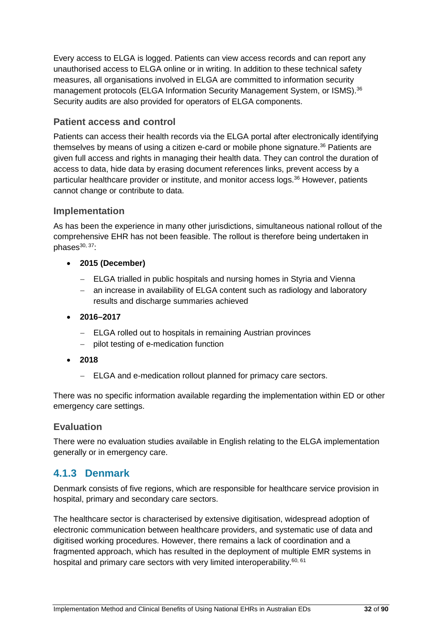Every access to ELGA is logged. Patients can view access records and can report any unauthorised access to ELGA online or in writing. In addition to these technical safety measures, all organisations involved in ELGA are committed to information security management protocols (ELGA Information Security Management System, or ISMS).<sup>36</sup> Security audits are also provided for operators of ELGA components.

#### **Patient access and control**

Patients can access their health records via the ELGA portal after electronically identifying themselves by means of using a citizen e-card or mobile phone signature. <sup>36</sup> Patients are given full access and rights in managing their health data. They can control the duration of access to data, hide data by erasing document references links, prevent access by a particular healthcare provider or institute, and monitor access logs.<sup>36</sup> However, patients cannot change or contribute to data.

#### **Implementation**

As has been the experience in many other jurisdictions, simultaneous national rollout of the comprehensive EHR has not been feasible. The rollout is therefore being undertaken in phases $30, 37$ :

- **2015 (December)**
	- − ELGA trialled in public hospitals and nursing homes in Styria and Vienna
	- − an increase in availability of ELGA content such as radiology and laboratory results and discharge summaries achieved
- **2016–2017**
	- − ELGA rolled out to hospitals in remaining Austrian provinces
	- − pilot testing of e-medication function
- **2018**
	- − ELGA and e-medication rollout planned for primacy care sectors.

There was no specific information available regarding the implementation within ED or other emergency care settings.

#### **Evaluation**

There were no evaluation studies available in English relating to the ELGA implementation generally or in emergency care.

### <span id="page-32-0"></span>**4.1.3 Denmark**

Denmark consists of five regions, which are responsible for healthcare service provision in hospital, primary and secondary care sectors.

The healthcare sector is characterised by extensive digitisation, widespread adoption of electronic communication between healthcare providers, and systematic use of data and digitised working procedures. However, there remains a lack of coordination and a fragmented approach, which has resulted in the deployment of multiple EMR systems in hospital and primary care sectors with very limited interoperability.<sup>60, 61</sup>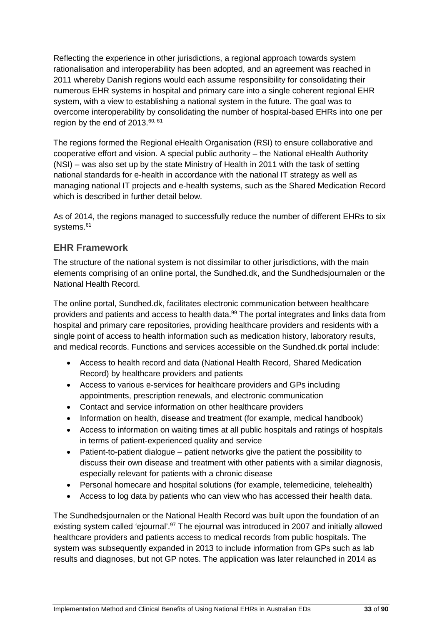Reflecting the experience in other jurisdictions, a regional approach towards system rationalisation and interoperability has been adopted, and an agreement was reached in 2011 whereby Danish regions would each assume responsibility for consolidating their numerous EHR systems in hospital and primary care into a single coherent regional EHR system, with a view to establishing a national system in the future. The goal was to overcome interoperability by consolidating the number of hospital-based EHRs into one per region by the end of  $2013$ .<sup>60, 61</sup>

The regions formed the Regional eHealth Organisation (RSI) to ensure collaborative and cooperative effort and vision. A special public authority – the National eHealth Authority (NSI) – was also set up by the state Ministry of Health in 2011 with the task of setting national standards for e-health in accordance with the national IT strategy as well as managing national IT projects and e-health systems, such as the Shared Medication Record which is described in further detail below.

As of 2014, the regions managed to successfully reduce the number of different EHRs to six systems. 61

### **EHR Framework**

The structure of the national system is not dissimilar to other jurisdictions, with the main elements comprising of an online portal, the Sundhed.dk, and the Sundhedsjournalen or the National Health Record.

The online portal, Sundhed.dk, facilitates electronic communication between healthcare providers and patients and access to health data.<sup>99</sup> The portal integrates and links data from hospital and primary care repositories, providing healthcare providers and residents with a single point of access to health information such as medication history, laboratory results, and medical records. Functions and services accessible on the Sundhed.dk portal include:

- Access to health record and data (National Health Record, Shared Medication Record) by healthcare providers and patients
- Access to various e-services for healthcare providers and GPs including appointments, prescription renewals, and electronic communication
- Contact and service information on other healthcare providers
- Information on health, disease and treatment (for example, medical handbook)
- Access to information on waiting times at all public hospitals and ratings of hospitals in terms of patient-experienced quality and service
- Patient-to-patient dialogue patient networks give the patient the possibility to discuss their own disease and treatment with other patients with a similar diagnosis, especially relevant for patients with a chronic disease
- Personal homecare and hospital solutions (for example, telemedicine, telehealth)
- Access to log data by patients who can view who has accessed their health data.

The Sundhedsjournalen or the National Health Record was built upon the foundation of an existing system called 'ejournal'.<sup>97</sup> The ejournal was introduced in 2007 and initially allowed healthcare providers and patients access to medical records from public hospitals. The system was subsequently expanded in 2013 to include information from GPs such as lab results and diagnoses, but not GP notes. The application was later relaunched in 2014 as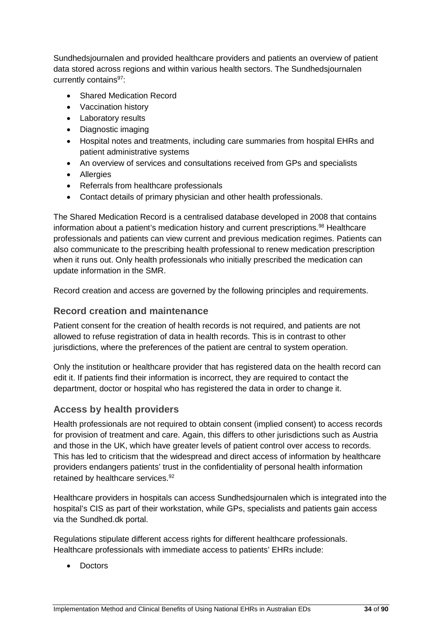Sundhedsjournalen and provided healthcare providers and patients an overview of patient data stored across regions and within various health sectors. The Sundhedsjournalen currently contains<sup>97</sup>:

- Shared Medication Record
- Vaccination history
- Laboratory results
- Diagnostic imaging
- Hospital notes and treatments, including care summaries from hospital EHRs and patient administrative systems
- An overview of services and consultations received from GPs and specialists
- Allergies
- Referrals from healthcare professionals
- Contact details of primary physician and other health professionals.

The Shared Medication Record is a centralised database developed in 2008 that contains information about a patient's medication history and current prescriptions.<sup>98</sup> Healthcare professionals and patients can view current and previous medication regimes. Patients can also communicate to the prescribing health professional to renew medication prescription when it runs out. Only health professionals who initially prescribed the medication can update information in the SMR.

Record creation and access are governed by the following principles and requirements.

#### **Record creation and maintenance**

Patient consent for the creation of health records is not required, and patients are not allowed to refuse registration of data in health records. This is in contrast to other jurisdictions, where the preferences of the patient are central to system operation.

Only the institution or healthcare provider that has registered data on the health record can edit it. If patients find their information is incorrect, they are required to contact the department, doctor or hospital who has registered the data in order to change it.

### **Access by health providers**

Health professionals are not required to obtain consent (implied consent) to access records for provision of treatment and care. Again, this differs to other jurisdictions such as Austria and those in the UK, which have greater levels of patient control over access to records. This has led to criticism that the widespread and direct access of information by healthcare providers endangers patients' trust in the confidentiality of personal health information retained by healthcare services.<sup>92</sup>

Healthcare providers in hospitals can access Sundhedsjournalen which is integrated into the hospital's CIS as part of their workstation, while GPs, specialists and patients gain access via the Sundhed.dk portal.

Regulations stipulate different access rights for different healthcare professionals. Healthcare professionals with immediate access to patients' EHRs include:

• Doctors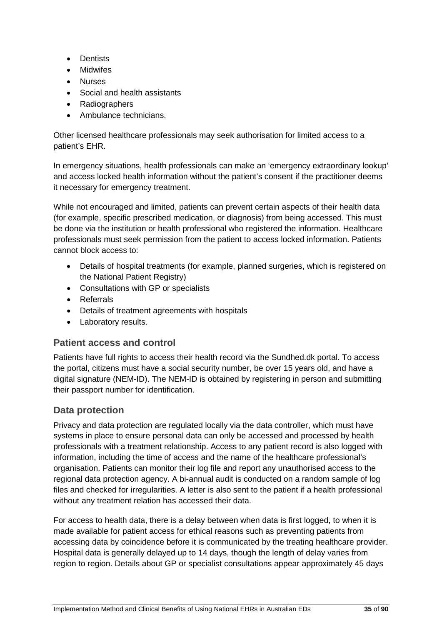- Dentists
- Midwifes
- Nurses
- Social and health assistants
- Radiographers
- Ambulance technicians.

Other licensed healthcare professionals may seek authorisation for limited access to a patient's EHR.

In emergency situations, health professionals can make an 'emergency extraordinary lookup' and access locked health information without the patient's consent if the practitioner deems it necessary for emergency treatment.

While not encouraged and limited, patients can prevent certain aspects of their health data (for example, specific prescribed medication, or diagnosis) from being accessed. This must be done via the institution or health professional who registered the information. Healthcare professionals must seek permission from the patient to access locked information. Patients cannot block access to:

- Details of hospital treatments (for example, planned surgeries, which is registered on the National Patient Registry)
- Consultations with GP or specialists
- Referrals
- Details of treatment agreements with hospitals
- Laboratory results.

### **Patient access and control**

Patients have full rights to access their health record via the Sundhed.dk portal. To access the portal, citizens must have a social security number, be over 15 years old, and have a digital signature (NEM-ID). The NEM-ID is obtained by registering in person and submitting their passport number for identification.

### **Data protection**

Privacy and data protection are regulated locally via the data controller, which must have systems in place to ensure personal data can only be accessed and processed by health professionals with a treatment relationship. Access to any patient record is also logged with information, including the time of access and the name of the healthcare professional's organisation. Patients can monitor their log file and report any unauthorised access to the regional data protection agency. A bi-annual audit is conducted on a random sample of log files and checked for irregularities. A letter is also sent to the patient if a health professional without any treatment relation has accessed their data.

For access to health data, there is a delay between when data is first logged, to when it is made available for patient access for ethical reasons such as preventing patients from accessing data by coincidence before it is communicated by the treating healthcare provider. Hospital data is generally delayed up to 14 days, though the length of delay varies from region to region. Details about GP or specialist consultations appear approximately 45 days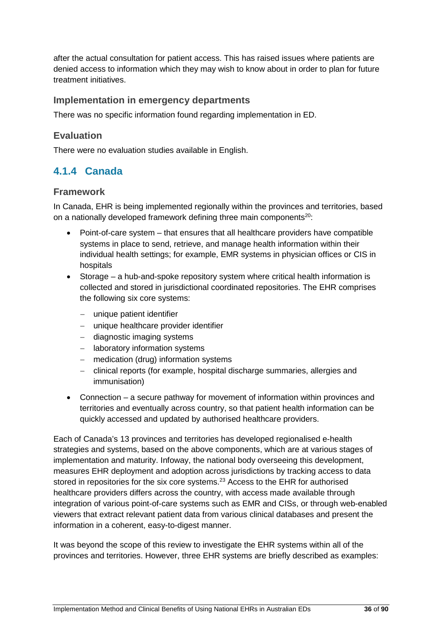after the actual consultation for patient access. This has raised issues where patients are denied access to information which they may wish to know about in order to plan for future treatment initiatives.

#### **Implementation in emergency departments**

There was no specific information found regarding implementation in ED.

## **Evaluation**

There were no evaluation studies available in English.

# **4.1.4 Canada**

#### **Framework**

In Canada, EHR is being implemented regionally within the provinces and territories, based on a nationally developed framework defining three main components<sup>20</sup>:

- Point-of-care system that ensures that all healthcare providers have compatible systems in place to send, retrieve, and manage health information within their individual health settings; for example, EMR systems in physician offices or CIS in hospitals
- Storage a hub-and-spoke repository system where critical health information is collected and stored in jurisdictional coordinated repositories. The EHR comprises the following six core systems:
	- − unique patient identifier
	- − unique healthcare provider identifier
	- − diagnostic imaging systems
	- − laboratory information systems
	- − medication (drug) information systems
	- − clinical reports (for example, hospital discharge summaries, allergies and immunisation)
- Connection a secure pathway for movement of information within provinces and territories and eventually across country, so that patient health information can be quickly accessed and updated by authorised healthcare providers.

Each of Canada's 13 provinces and territories has developed regionalised e-health strategies and systems, based on the above components, which are at various stages of implementation and maturity. Infoway, the national body overseeing this development, measures EHR deployment and adoption across jurisdictions by tracking access to data stored in repositories for the six core systems.<sup>23</sup> Access to the EHR for authorised healthcare providers differs across the country, with access made available through integration of various point-of-care systems such as EMR and CISs, or through web-enabled viewers that extract relevant patient data from various clinical databases and present the information in a coherent, easy-to-digest manner.

It was beyond the scope of this review to investigate the EHR systems within all of the provinces and territories. However, three EHR systems are briefly described as examples: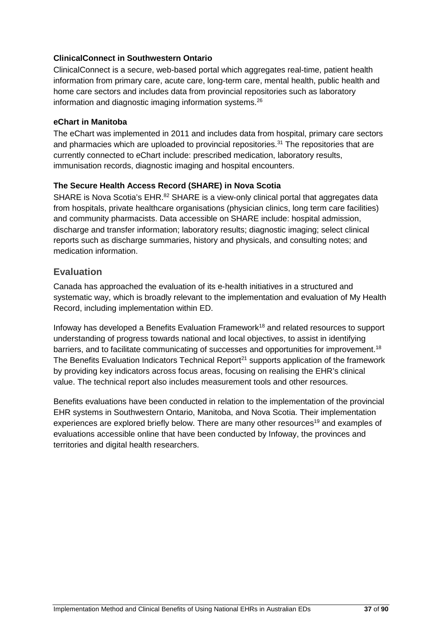#### **ClinicalConnect in Southwestern Ontario**

ClinicalConnect is a secure, web-based portal which aggregates real-time, patient health information from primary care, acute care, long-term care, mental health, public health and home care sectors and includes data from provincial repositories such as laboratory information and diagnostic imaging information systems.26

#### **eChart in Manitoba**

The eChart was implemented in 2011 and includes data from hospital, primary care sectors and pharmacies which are uploaded to provincial repositories.<sup>31</sup> The repositories that are currently connected to eChart include: prescribed medication, laboratory results, immunisation records, diagnostic imaging and hospital encounters.

#### **The Secure Health Access Record (SHARE) in Nova Scotia**

SHARE is Nova Scotia's EHR.<sup>82</sup> SHARE is a view-only clinical portal that aggregates data from hospitals, private healthcare organisations (physician clinics, long term care facilities) and community pharmacists. Data accessible on SHARE include: hospital admission, discharge and transfer information; laboratory results; diagnostic imaging; select clinical reports such as discharge summaries, history and physicals, and consulting notes; and medication information.

#### **Evaluation**

Canada has approached the evaluation of its e-health initiatives in a structured and systematic way, which is broadly relevant to the implementation and evaluation of My Health Record, including implementation within ED.

Infoway has developed a Benefits Evaluation Framework<sup>18</sup> and related resources to support understanding of progress towards national and local objectives, to assist in identifying barriers, and to facilitate communicating of successes and opportunities for improvement.<sup>18</sup> The Benefits Evaluation Indicators Technical Report<sup>21</sup> supports application of the framework by providing key indicators across focus areas, focusing on realising the EHR's clinical value. The technical report also includes measurement tools and other resources.

Benefits evaluations have been conducted in relation to the implementation of the provincial EHR systems in Southwestern Ontario, Manitoba, and Nova Scotia. Their implementation experiences are explored briefly below. There are many other resources<sup>19</sup> and examples of evaluations accessible online that have been conducted by Infoway, the provinces and territories and digital health researchers.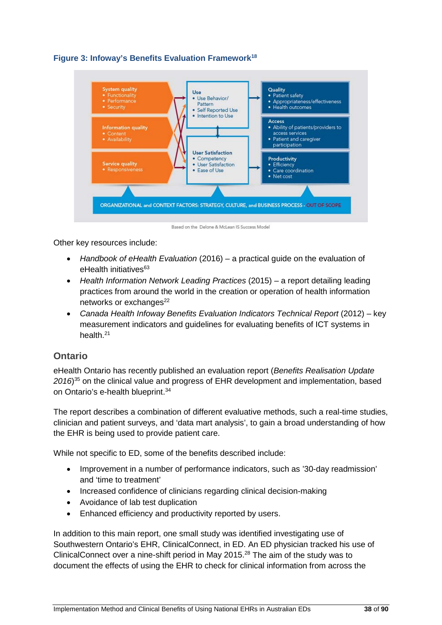



Based on the Delone & McLean IS Success Model

Other key resources include:

- *Handbook of eHealth Evaluation* (2016) a practical guide on the evaluation of eHealth initiatives<sup>63</sup>
- *Health Information Network Leading Practices* (2015) a report detailing leading practices from around the world in the creation or operation of health information networks or exchanges $^{22}$
- *Canada Health Infoway Benefits Evaluation Indicators Technical Report* (2012) key measurement indicators and guidelines for evaluating benefits of ICT systems in health.<sup>21</sup>

#### **Ontario**

eHealth Ontario has recently published an evaluation report (*Benefits Realisation Update 2016*) <sup>35</sup> on the clinical value and progress of EHR development and implementation, based on Ontario's e-health blueprint. 34

The report describes a combination of different evaluative methods, such a real-time studies, clinician and patient surveys, and 'data mart analysis', to gain a broad understanding of how the EHR is being used to provide patient care.

While not specific to ED, some of the benefits described include:

- Improvement in a number of performance indicators, such as '30-day readmission' and 'time to treatment'
- Increased confidence of clinicians regarding clinical decision-making
- Avoidance of lab test duplication
- Enhanced efficiency and productivity reported by users.

In addition to this main report, one small study was identified investigating use of Southwestern Ontario's EHR, ClinicalConnect, in ED. An ED physician tracked his use of ClinicalConnect over a nine-shift period in May 2015.28 The aim of the study was to document the effects of using the EHR to check for clinical information from across the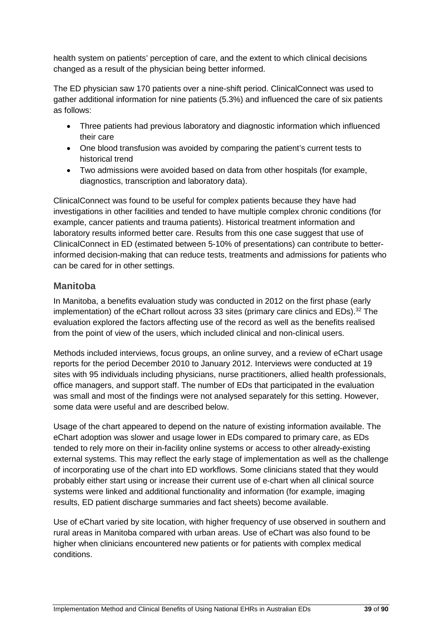health system on patients' perception of care, and the extent to which clinical decisions changed as a result of the physician being better informed.

The ED physician saw 170 patients over a nine-shift period. ClinicalConnect was used to gather additional information for nine patients (5.3%) and influenced the care of six patients as follows:

- Three patients had previous laboratory and diagnostic information which influenced their care
- One blood transfusion was avoided by comparing the patient's current tests to historical trend
- Two admissions were avoided based on data from other hospitals (for example, diagnostics, transcription and laboratory data).

ClinicalConnect was found to be useful for complex patients because they have had investigations in other facilities and tended to have multiple complex chronic conditions (for example, cancer patients and trauma patients). Historical treatment information and laboratory results informed better care. Results from this one case suggest that use of ClinicalConnect in ED (estimated between 5-10% of presentations) can contribute to betterinformed decision-making that can reduce tests, treatments and admissions for patients who can be cared for in other settings.

#### **Manitoba**

In Manitoba, a benefits evaluation study was conducted in 2012 on the first phase (early implementation) of the eChart rollout across 33 sites (primary care clinics and EDs).<sup>32</sup> The evaluation explored the factors affecting use of the record as well as the benefits realised from the point of view of the users, which included clinical and non-clinical users.

Methods included interviews, focus groups, an online survey, and a review of eChart usage reports for the period December 2010 to January 2012. Interviews were conducted at 19 sites with 95 individuals including physicians, nurse practitioners, allied health professionals, office managers, and support staff. The number of EDs that participated in the evaluation was small and most of the findings were not analysed separately for this setting. However, some data were useful and are described below.

Usage of the chart appeared to depend on the nature of existing information available. The eChart adoption was slower and usage lower in EDs compared to primary care, as EDs tended to rely more on their in-facility online systems or access to other already-existing external systems. This may reflect the early stage of implementation as well as the challenge of incorporating use of the chart into ED workflows. Some clinicians stated that they would probably either start using or increase their current use of e-chart when all clinical source systems were linked and additional functionality and information (for example, imaging results, ED patient discharge summaries and fact sheets) become available.

Use of eChart varied by site location, with higher frequency of use observed in southern and rural areas in Manitoba compared with urban areas. Use of eChart was also found to be higher when clinicians encountered new patients or for patients with complex medical conditions.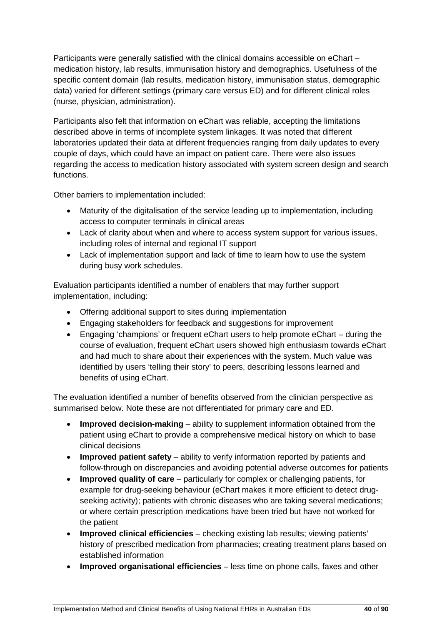Participants were generally satisfied with the clinical domains accessible on eChart – medication history, lab results, immunisation history and demographics. Usefulness of the specific content domain (lab results, medication history, immunisation status, demographic data) varied for different settings (primary care versus ED) and for different clinical roles (nurse, physician, administration).

Participants also felt that information on eChart was reliable, accepting the limitations described above in terms of incomplete system linkages. It was noted that different laboratories updated their data at different frequencies ranging from daily updates to every couple of days, which could have an impact on patient care. There were also issues regarding the access to medication history associated with system screen design and search functions.

Other barriers to implementation included:

- Maturity of the digitalisation of the service leading up to implementation, including access to computer terminals in clinical areas
- Lack of clarity about when and where to access system support for various issues, including roles of internal and regional IT support
- Lack of implementation support and lack of time to learn how to use the system during busy work schedules.

Evaluation participants identified a number of enablers that may further support implementation, including:

- Offering additional support to sites during implementation
- Engaging stakeholders for feedback and suggestions for improvement
- Engaging 'champions' or frequent eChart users to help promote eChart during the course of evaluation, frequent eChart users showed high enthusiasm towards eChart and had much to share about their experiences with the system. Much value was identified by users 'telling their story' to peers, describing lessons learned and benefits of using eChart.

The evaluation identified a number of benefits observed from the clinician perspective as summarised below. Note these are not differentiated for primary care and ED.

- **Improved decision-making** ability to supplement information obtained from the patient using eChart to provide a comprehensive medical history on which to base clinical decisions
- **Improved patient safety** ability to verify information reported by patients and follow-through on discrepancies and avoiding potential adverse outcomes for patients
- **Improved quality of care** particularly for complex or challenging patients, for example for drug-seeking behaviour (eChart makes it more efficient to detect drugseeking activity); patients with chronic diseases who are taking several medications; or where certain prescription medications have been tried but have not worked for the patient
- **Improved clinical efficiencies** checking existing lab results; viewing patients' history of prescribed medication from pharmacies; creating treatment plans based on established information
- **Improved organisational efficiencies** less time on phone calls, faxes and other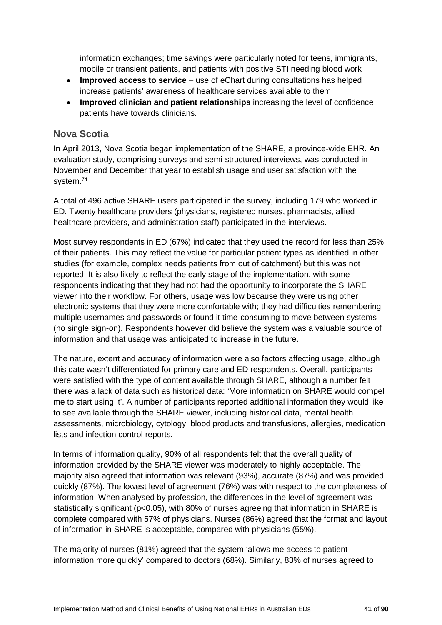information exchanges; time savings were particularly noted for teens, immigrants, mobile or transient patients, and patients with positive STI needing blood work

- **Improved access to service** use of eChart during consultations has helped increase patients' awareness of healthcare services available to them
- **Improved clinician and patient relationships** increasing the level of confidence patients have towards clinicians.

#### **Nova Scotia**

In April 2013, Nova Scotia began implementation of the SHARE, a province-wide EHR. An evaluation study, comprising surveys and semi-structured interviews, was conducted in November and December that year to establish usage and user satisfaction with the system.74

A total of 496 active SHARE users participated in the survey, including 179 who worked in ED. Twenty healthcare providers (physicians, registered nurses, pharmacists, allied healthcare providers, and administration staff) participated in the interviews.

Most survey respondents in ED (67%) indicated that they used the record for less than 25% of their patients. This may reflect the value for particular patient types as identified in other studies (for example, complex needs patients from out of catchment) but this was not reported. It is also likely to reflect the early stage of the implementation, with some respondents indicating that they had not had the opportunity to incorporate the SHARE viewer into their workflow. For others, usage was low because they were using other electronic systems that they were more comfortable with; they had difficulties remembering multiple usernames and passwords or found it time-consuming to move between systems (no single sign-on). Respondents however did believe the system was a valuable source of information and that usage was anticipated to increase in the future.

The nature, extent and accuracy of information were also factors affecting usage, although this date wasn't differentiated for primary care and ED respondents. Overall, participants were satisfied with the type of content available through SHARE, although a number felt there was a lack of data such as historical data: 'More information on SHARE would compel me to start using it'. A number of participants reported additional information they would like to see available through the SHARE viewer, including historical data, mental health assessments, microbiology, cytology, blood products and transfusions, allergies, medication lists and infection control reports.

In terms of information quality, 90% of all respondents felt that the overall quality of information provided by the SHARE viewer was moderately to highly acceptable. The majority also agreed that information was relevant (93%), accurate (87%) and was provided quickly (87%). The lowest level of agreement (76%) was with respect to the completeness of information. When analysed by profession, the differences in the level of agreement was statistically significant (p<0.05), with 80% of nurses agreeing that information in SHARE is complete compared with 57% of physicians. Nurses (86%) agreed that the format and layout of information in SHARE is acceptable, compared with physicians (55%).

The majority of nurses (81%) agreed that the system 'allows me access to patient information more quickly' compared to doctors (68%). Similarly, 83% of nurses agreed to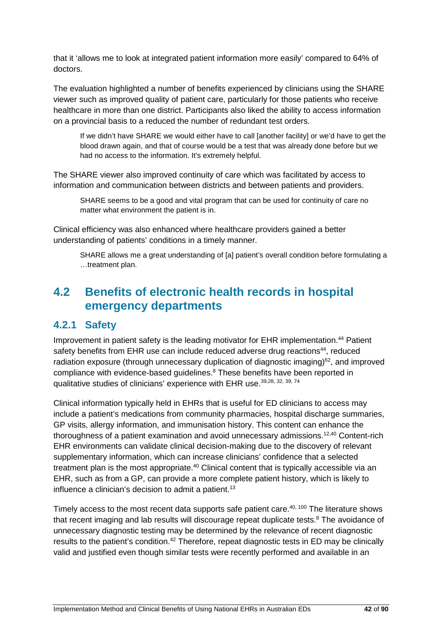that it 'allows me to look at integrated patient information more easily' compared to 64% of doctors.

The evaluation highlighted a number of benefits experienced by clinicians using the SHARE viewer such as improved quality of patient care, particularly for those patients who receive healthcare in more than one district. Participants also liked the ability to access information on a provincial basis to a reduced the number of redundant test orders.

If we didn't have SHARE we would either have to call [another facility] or we'd have to get the blood drawn again, and that of course would be a test that was already done before but we had no access to the information. It's extremely helpful.

The SHARE viewer also improved continuity of care which was facilitated by access to information and communication between districts and between patients and providers.

SHARE seems to be a good and vital program that can be used for continuity of care no matter what environment the patient is in.

Clinical efficiency was also enhanced where healthcare providers gained a better understanding of patients' conditions in a timely manner.

SHARE allows me a great understanding of [a] patient's overall condition before formulating a …treatment plan.

# **4.2 Benefits of electronic health records in hospital emergency departments**

## **4.2.1 Safety**

Improvement in patient safety is the leading motivator for EHR implementation.<sup>44</sup> Patient safety benefits from EHR use can include reduced adverse drug reactions<sup>44</sup>, reduced radiation exposure (through unnecessary duplication of diagnostic imaging)<sup>62</sup>, and improved compliance with evidence-based guidelines. <sup>8</sup> These benefits have been reported in qualitative studies of clinicians' experience with EHR use.<sup>39,28, 32, 39, 74</sup>

Clinical information typically held in EHRs that is useful for ED clinicians to access may include a patient's medications from community pharmacies, hospital discharge summaries, GP visits, allergy information, and immunisation history. This content can enhance the thoroughness of a patient examination and avoid unnecessary admissions.<sup>12,40</sup> Content-rich EHR environments can validate clinical decision-making due to the discovery of relevant supplementary information, which can increase clinicians' confidence that a selected treatment plan is the most appropriate.<sup>40</sup> Clinical content that is typically accessible via an EHR, such as from a GP, can provide a more complete patient history, which is likely to influence a clinician's decision to admit a patient. 13

Timely access to the most recent data supports safe patient care.<sup>40, 100</sup> The literature shows that recent imaging and lab results will discourage repeat duplicate tests. $8$  The avoidance of unnecessary diagnostic testing may be determined by the relevance of recent diagnostic results to the patient's condition.<sup>42</sup> Therefore, repeat diagnostic tests in ED may be clinically valid and justified even though similar tests were recently performed and available in an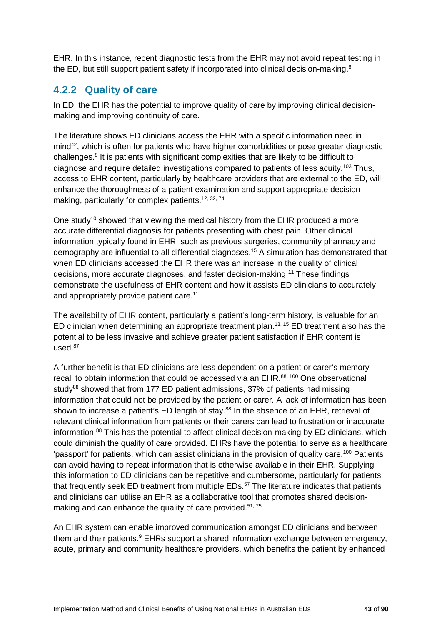EHR. In this instance, recent diagnostic tests from the EHR may not avoid repeat testing in the ED, but still support patient safety if incorporated into clinical decision-making.<sup>8</sup>

# **4.2.2 Quality of care**

In ED, the EHR has the potential to improve quality of care by improving clinical decisionmaking and improving continuity of care.

The literature shows ED clinicians access the EHR with a specific information need in mind42, which is often for patients who have higher comorbidities or pose greater diagnostic challenges.8 It is patients with significant complexities that are likely to be difficult to diagnose and require detailed investigations compared to patients of less acuity.<sup>103</sup> Thus, access to EHR content, particularly by healthcare providers that are external to the ED, will enhance the thoroughness of a patient examination and support appropriate decisionmaking, particularly for complex patients.<sup>12, 32, 74</sup>

One study<sup>10</sup> showed that viewing the medical history from the EHR produced a more accurate differential diagnosis for patients presenting with chest pain. Other clinical information typically found in EHR, such as previous surgeries, community pharmacy and demography are influential to all differential diagnoses.15 A simulation has demonstrated that when ED clinicians accessed the EHR there was an increase in the quality of clinical decisions, more accurate diagnoses, and faster decision-making.11 These findings demonstrate the usefulness of EHR content and how it assists ED clinicians to accurately and appropriately provide patient care.<sup>11</sup>

The availability of EHR content, particularly a patient's long-term history, is valuable for an ED clinician when determining an appropriate treatment plan.<sup>13, 15</sup> ED treatment also has the potential to be less invasive and achieve greater patient satisfaction if EHR content is used. 87

A further benefit is that ED clinicians are less dependent on a patient or carer's memory recall to obtain information that could be accessed via an EHR.<sup>88, 100</sup> One observational study<sup>88</sup> showed that from 177 ED patient admissions, 37% of patients had missing information that could not be provided by the patient or carer. A lack of information has been shown to increase a patient's ED length of stay.<sup>88</sup> In the absence of an EHR, retrieval of relevant clinical information from patients or their carers can lead to frustration or inaccurate information.<sup>88</sup> This has the potential to affect clinical decision-making by ED clinicians, which could diminish the quality of care provided. EHRs have the potential to serve as a healthcare 'passport' for patients, which can assist clinicians in the provision of quality care.100 Patients can avoid having to repeat information that is otherwise available in their EHR. Supplying this information to ED clinicians can be repetitive and cumbersome, particularly for patients that frequently seek ED treatment from multiple EDs.<sup>57</sup> The literature indicates that patients and clinicians can utilise an EHR as a collaborative tool that promotes shared decisionmaking and can enhance the quality of care provided.<sup>51, 75</sup>

An EHR system can enable improved communication amongst ED clinicians and between them and their patients.<sup>9</sup> EHRs support a shared information exchange between emergency, acute, primary and community healthcare providers, which benefits the patient by enhanced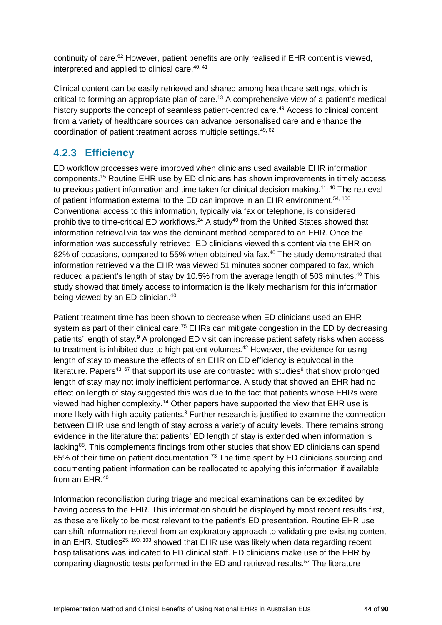continuity of care.<sup>62</sup> However, patient benefits are only realised if EHR content is viewed, interpreted and applied to clinical care.<sup>40, 41</sup>

Clinical content can be easily retrieved and shared among healthcare settings, which is critical to forming an appropriate plan of care.<sup>13</sup> A comprehensive view of a patient's medical history supports the concept of seamless patient-centred care.<sup>49</sup> Access to clinical content from a variety of healthcare sources can advance personalised care and enhance the coordination of patient treatment across multiple settings.49, 62

# **4.2.3 Efficiency**

ED workflow processes were improved when clinicians used available EHR information components.15 Routine EHR use by ED clinicians has shown improvements in timely access to previous patient information and time taken for clinical decision-making.<sup>11, 40</sup> The retrieval of patient information external to the ED can improve in an EHR environment.<sup>54, 100</sup> Conventional access to this information, typically via fax or telephone, is considered prohibitive to time-critical ED workflows.<sup>24</sup> A study<sup>40</sup> from the United States showed that information retrieval via fax was the dominant method compared to an EHR. Once the information was successfully retrieved, ED clinicians viewed this content via the EHR on 82% of occasions, compared to 55% when obtained via fax.<sup>40</sup> The study demonstrated that information retrieved via the EHR was viewed 51 minutes sooner compared to fax, which reduced a patient's length of stay by 10.5% from the average length of 503 minutes.<sup>40</sup> This study showed that timely access to information is the likely mechanism for this information being viewed by an ED clinician.<sup>40</sup>

Patient treatment time has been shown to decrease when ED clinicians used an EHR system as part of their clinical care.<sup>75</sup> EHRs can mitigate congestion in the ED by decreasing patients' length of stay.<sup>9</sup> A prolonged ED visit can increase patient safety risks when access to treatment is inhibited due to high patient volumes.<sup>42</sup> However, the evidence for using length of stay to measure the effects of an EHR on ED efficiency is equivocal in the literature. Papers<sup>43, 67</sup> that support its use are contrasted with studies<sup>9</sup> that show prolonged length of stay may not imply inefficient performance. A study that showed an EHR had no effect on length of stay suggested this was due to the fact that patients whose EHRs were viewed had higher complexity.<sup>14</sup> Other papers have supported the view that EHR use is more likely with high-acuity patients.<sup>8</sup> Further research is justified to examine the connection between EHR use and length of stay across a variety of acuity levels. There remains strong evidence in the literature that patients' ED length of stay is extended when information is lacking<sup>88</sup>. This complements findings from other studies that show ED clinicians can spend 65% of their time on patient documentation.73 The time spent by ED clinicians sourcing and documenting patient information can be reallocated to applying this information if available from an EHR.40

Information reconciliation during triage and medical examinations can be expedited by having access to the EHR. This information should be displayed by most recent results first, as these are likely to be most relevant to the patient's ED presentation. Routine EHR use can shift information retrieval from an exploratory approach to validating pre-existing content in an EHR. Studies<sup>25, 100, 103</sup> showed that EHR use was likely when data regarding recent hospitalisations was indicated to ED clinical staff. ED clinicians make use of the EHR by comparing diagnostic tests performed in the ED and retrieved results.<sup>57</sup> The literature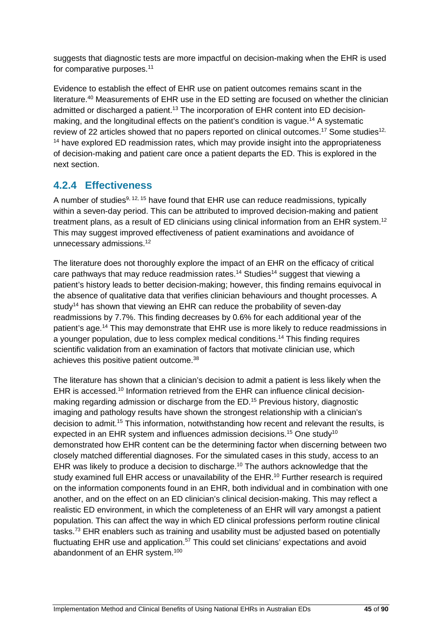suggests that diagnostic tests are more impactful on decision-making when the EHR is used for comparative purposes.<sup>11</sup>

Evidence to establish the effect of EHR use on patient outcomes remains scant in the literature.40 Measurements of EHR use in the ED setting are focused on whether the clinician admitted or discharged a patient.<sup>13</sup> The incorporation of EHR content into ED decisionmaking, and the longitudinal effects on the patient's condition is vague.<sup>14</sup> A systematic review of 22 articles showed that no papers reported on clinical outcomes.<sup>17</sup> Some studies<sup>12,</sup> <sup>14</sup> have explored ED readmission rates, which may provide insight into the appropriateness of decision-making and patient care once a patient departs the ED. This is explored in the next section.

# **4.2.4 Effectiveness**

A number of studies<sup>9, 12, 15</sup> have found that EHR use can reduce readmissions, typically within a seven-day period. This can be attributed to improved decision-making and patient treatment plans, as a result of ED clinicians using clinical information from an EHR system.<sup>12</sup> This may suggest improved effectiveness of patient examinations and avoidance of unnecessary admissions.<sup>12</sup>

The literature does not thoroughly explore the impact of an EHR on the efficacy of critical care pathways that may reduce readmission rates.<sup>14</sup> Studies<sup>14</sup> suggest that viewing a patient's history leads to better decision-making; however, this finding remains equivocal in the absence of qualitative data that verifies clinician behaviours and thought processes. A study<sup>14</sup> has shown that viewing an EHR can reduce the probability of seven-day readmissions by 7.7%. This finding decreases by 0.6% for each additional year of the patient's age.14 This may demonstrate that EHR use is more likely to reduce readmissions in a younger population, due to less complex medical conditions. <sup>14</sup> This finding requires scientific validation from an examination of factors that motivate clinician use, which achieves this positive patient outcome.38

The literature has shown that a clinician's decision to admit a patient is less likely when the EHR is accessed.<sup>10</sup> Information retrieved from the EHR can influence clinical decisionmaking regarding admission or discharge from the ED.15 Previous history, diagnostic imaging and pathology results have shown the strongest relationship with a clinician's decision to admit.<sup>15</sup> This information, notwithstanding how recent and relevant the results, is expected in an EHR system and influences admission decisions.<sup>15</sup> One study<sup>10</sup> demonstrated how EHR content can be the determining factor when discerning between two closely matched differential diagnoses. For the simulated cases in this study, access to an EHR was likely to produce a decision to discharge.<sup>10</sup> The authors acknowledge that the study examined full EHR access or unavailability of the EHR.<sup>10</sup> Further research is required on the information components found in an EHR, both individual and in combination with one another, and on the effect on an ED clinician's clinical decision-making. This may reflect a realistic ED environment, in which the completeness of an EHR will vary amongst a patient population. This can affect the way in which ED clinical professions perform routine clinical tasks.<sup>73</sup> EHR enablers such as training and usability must be adjusted based on potentially fluctuating EHR use and application.<sup>57</sup> This could set clinicians' expectations and avoid abandonment of an EHR system.100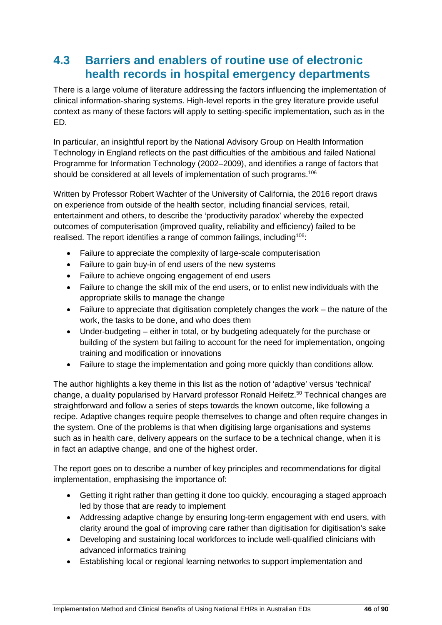# **4.3 Barriers and enablers of routine use of electronic health records in hospital emergency departments**

There is a large volume of literature addressing the factors influencing the implementation of clinical information-sharing systems. High-level reports in the grey literature provide useful context as many of these factors will apply to setting-specific implementation, such as in the ED.

In particular, an insightful report by the National Advisory Group on Health Information Technology in England reflects on the past difficulties of the ambitious and failed National Programme for Information Technology (2002–2009), and identifies a range of factors that should be considered at all levels of implementation of such programs.<sup>106</sup>

Written by Professor Robert Wachter of the University of California, the 2016 report draws on experience from outside of the health sector, including financial services, retail, entertainment and others, to describe the 'productivity paradox' whereby the expected outcomes of computerisation (improved quality, reliability and efficiency) failed to be realised. The report identifies a range of common failings, including<sup>106</sup>:

- Failure to appreciate the complexity of large-scale computerisation
- Failure to gain buy-in of end users of the new systems
- Failure to achieve ongoing engagement of end users
- Failure to change the skill mix of the end users, or to enlist new individuals with the appropriate skills to manage the change
- Failure to appreciate that digitisation completely changes the work the nature of the work, the tasks to be done, and who does them
- Under-budgeting either in total, or by budgeting adequately for the purchase or building of the system but failing to account for the need for implementation, ongoing training and modification or innovations
- Failure to stage the implementation and going more quickly than conditions allow.

The author highlights a key theme in this list as the notion of 'adaptive' versus 'technical' change, a duality popularised by Harvard professor Ronald Heifetz.<sup>50</sup> Technical changes are straightforward and follow a series of steps towards the known outcome, like following a recipe. Adaptive changes require people themselves to change and often require changes in the system. One of the problems is that when digitising large organisations and systems such as in health care, delivery appears on the surface to be a technical change, when it is in fact an adaptive change, and one of the highest order.

The report goes on to describe a number of key principles and recommendations for digital implementation, emphasising the importance of:

- Getting it right rather than getting it done too quickly, encouraging a staged approach led by those that are ready to implement
- Addressing adaptive change by ensuring long-term engagement with end users, with clarity around the goal of improving care rather than digitisation for digitisation's sake
- Developing and sustaining local workforces to include well-qualified clinicians with advanced informatics training
- Establishing local or regional learning networks to support implementation and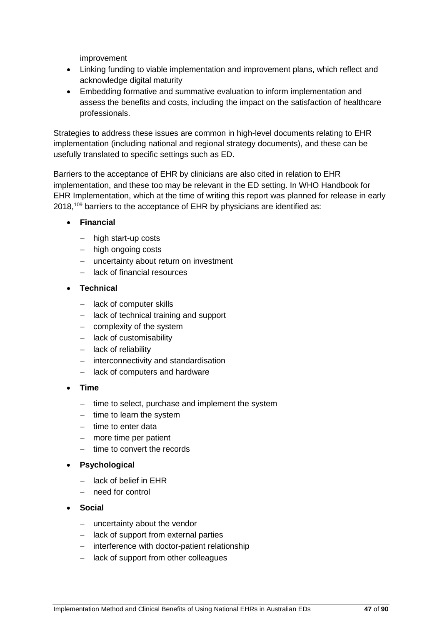improvement

- Linking funding to viable implementation and improvement plans, which reflect and acknowledge digital maturity
- Embedding formative and summative evaluation to inform implementation and assess the benefits and costs, including the impact on the satisfaction of healthcare professionals.

Strategies to address these issues are common in high-level documents relating to EHR implementation (including national and regional strategy documents), and these can be usefully translated to specific settings such as ED.

Barriers to the acceptance of EHR by clinicians are also cited in relation to EHR implementation, and these too may be relevant in the ED setting. In WHO Handbook for EHR Implementation, which at the time of writing this report was planned for release in early 2018, <sup>109</sup> barriers to the acceptance of EHR by physicians are identified as:

- **Financial**
	- − high start-up costs
	- − high ongoing costs
	- − uncertainty about return on investment
	- − lack of financial resources
- **Technical**
	- − lack of computer skills
	- − lack of technical training and support
	- − complexity of the system
	- − lack of customisability
	- − lack of reliability
	- − interconnectivity and standardisation
	- − lack of computers and hardware
- **Time**
	- − time to select, purchase and implement the system
	- − time to learn the system
	- − time to enter data
	- − more time per patient
	- − time to convert the records
- **Psychological**
	- − lack of belief in EHR
	- − need for control
- **Social**
	- − uncertainty about the vendor
	- − lack of support from external parties
	- − interference with doctor-patient relationship
	- − lack of support from other colleagues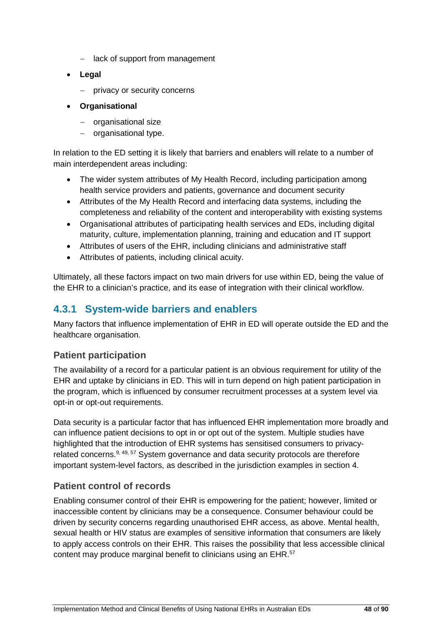- − lack of support from management
- **Legal**
	- − privacy or security concerns
- **Organisational**
	- − organisational size
	- − organisational type.

In relation to the ED setting it is likely that barriers and enablers will relate to a number of main interdependent areas including:

- The wider system attributes of My Health Record, including participation among health service providers and patients, governance and document security
- Attributes of the My Health Record and interfacing data systems, including the completeness and reliability of the content and interoperability with existing systems
- Organisational attributes of participating health services and EDs, including digital maturity, culture, implementation planning, training and education and IT support
- Attributes of users of the EHR, including clinicians and administrative staff
- Attributes of patients, including clinical acuity.

Ultimately, all these factors impact on two main drivers for use within ED, being the value of the EHR to a clinician's practice, and its ease of integration with their clinical workflow.

## **4.3.1 System-wide barriers and enablers**

Many factors that influence implementation of EHR in ED will operate outside the ED and the healthcare organisation.

#### **Patient participation**

The availability of a record for a particular patient is an obvious requirement for utility of the EHR and uptake by clinicians in ED. This will in turn depend on high patient participation in the program, which is influenced by consumer recruitment processes at a system level via opt-in or opt-out requirements.

Data security is a particular factor that has influenced EHR implementation more broadly and can influence patient decisions to opt in or opt out of the system. Multiple studies have highlighted that the introduction of EHR systems has sensitised consumers to privacyrelated concerns.<sup>9, 49, 57</sup> System governance and data security protocols are therefore important system-level factors, as described in the jurisdiction examples in section 4.

#### **Patient control of records**

Enabling consumer control of their EHR is empowering for the patient; however, limited or inaccessible content by clinicians may be a consequence. Consumer behaviour could be driven by security concerns regarding unauthorised EHR access, as above. Mental health, sexual health or HIV status are examples of sensitive information that consumers are likely to apply access controls on their EHR. This raises the possibility that less accessible clinical content may produce marginal benefit to clinicians using an EHR.57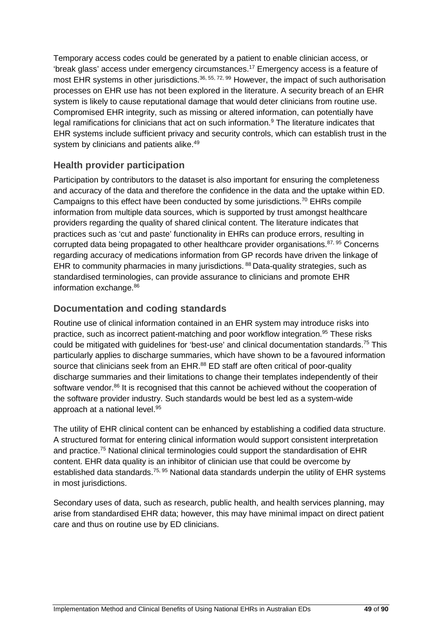Temporary access codes could be generated by a patient to enable clinician access, or 'break glass' access under emergency circumstances.17 Emergency access is a feature of most EHR systems in other jurisdictions.<sup>36, 55, 72, 99</sup> However, the impact of such authorisation processes on EHR use has not been explored in the literature. A security breach of an EHR system is likely to cause reputational damage that would deter clinicians from routine use. Compromised EHR integrity, such as missing or altered information, can potentially have legal ramifications for clinicians that act on such information.<sup>9</sup> The literature indicates that EHR systems include sufficient privacy and security controls, which can establish trust in the system by clinicians and patients alike.<sup>49</sup>

## **Health provider participation**

Participation by contributors to the dataset is also important for ensuring the completeness and accuracy of the data and therefore the confidence in the data and the uptake within ED. Campaigns to this effect have been conducted by some jurisdictions.<sup>70</sup> EHRs compile information from multiple data sources, which is supported by trust amongst healthcare providers regarding the quality of shared clinical content. The literature indicates that practices such as 'cut and paste' functionality in EHRs can produce errors, resulting in corrupted data being propagated to other healthcare provider organisations.<sup>87, 95</sup> Concerns regarding accuracy of medications information from GP records have driven the linkage of EHR to community pharmacies in many jurisdictions. <sup>88</sup> Data-quality strategies, such as standardised terminologies, can provide assurance to clinicians and promote EHR information exchange.<sup>86</sup>

### **Documentation and coding standards**

Routine use of clinical information contained in an EHR system may introduce risks into practice, such as incorrect patient-matching and poor workflow integration.<sup>95</sup> These risks could be mitigated with guidelines for 'best-use' and clinical documentation standards.<sup>75</sup> This particularly applies to discharge summaries, which have shown to be a favoured information source that clinicians seek from an EHR.<sup>88</sup> ED staff are often critical of poor-quality discharge summaries and their limitations to change their templates independently of their software vendor.<sup>86</sup> It is recognised that this cannot be achieved without the cooperation of the software provider industry. Such standards would be best led as a system-wide approach at a national level. 95

The utility of EHR clinical content can be enhanced by establishing a codified data structure. A structured format for entering clinical information would support consistent interpretation and practice.75 National clinical terminologies could support the standardisation of EHR content. EHR data quality is an inhibitor of clinician use that could be overcome by established data standards.<sup>75, 95</sup> National data standards underpin the utility of EHR systems in most jurisdictions.

Secondary uses of data, such as research, public health, and health services planning, may arise from standardised EHR data; however, this may have minimal impact on direct patient care and thus on routine use by ED clinicians.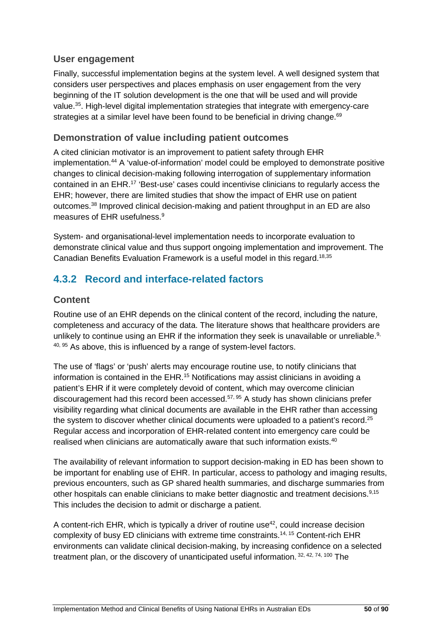#### **User engagement**

Finally, successful implementation begins at the system level. A well designed system that considers user perspectives and places emphasis on user engagement from the very beginning of the IT solution development is the one that will be used and will provide value.35. High-level digital implementation strategies that integrate with emergency-care strategies at a similar level have been found to be beneficial in driving change.<sup>69</sup>

#### **Demonstration of value including patient outcomes**

A cited clinician motivator is an improvement to patient safety through EHR implementation. <sup>44</sup> A 'value-of-information' model could be employed to demonstrate positive changes to clinical decision-making following interrogation of supplementary information contained in an EHR.17 'Best-use' cases could incentivise clinicians to regularly access the EHR; however, there are limited studies that show the impact of EHR use on patient outcomes.<sup>38</sup> Improved clinical decision-making and patient throughput in an ED are also measures of EHR usefulness.9

System- and organisational-level implementation needs to incorporate evaluation to demonstrate clinical value and thus support ongoing implementation and improvement. The Canadian Benefits Evaluation Framework is a useful model in this regard. 18,35

# **4.3.2 Record and interface-related factors**

#### **Content**

Routine use of an EHR depends on the clinical content of the record, including the nature, completeness and accuracy of the data. The literature shows that healthcare providers are unlikely to continue using an EHR if the information they seek is unavailable or unreliable.<sup>9,</sup>  $40, 95$  As above, this is influenced by a range of system-level factors.

The use of 'flags' or 'push' alerts may encourage routine use, to notify clinicians that information is contained in the EHR.<sup>15</sup> Notifications may assist clinicians in avoiding a patient's EHR if it were completely devoid of content, which may overcome clinician discouragement had this record been accessed.<sup>57, 95</sup> A study has shown clinicians prefer visibility regarding what clinical documents are available in the EHR rather than accessing the system to discover whether clinical documents were uploaded to a patient's record.<sup>25</sup> Regular access and incorporation of EHR-related content into emergency care could be realised when clinicians are automatically aware that such information exists.<sup>40</sup>

The availability of relevant information to support decision-making in ED has been shown to be important for enabling use of EHR. In particular, access to pathology and imaging results, previous encounters, such as GP shared health summaries, and discharge summaries from other hospitals can enable clinicians to make better diagnostic and treatment decisions.9,15 This includes the decision to admit or discharge a patient.

A content-rich EHR, which is typically a driver of routine use<sup>42</sup>, could increase decision complexity of busy ED clinicians with extreme time constraints.14, 15 Content-rich EHR environments can validate clinical decision-making, by increasing confidence on a selected treatment plan, or the discovery of unanticipated useful information. 32, 42, 74, 100 The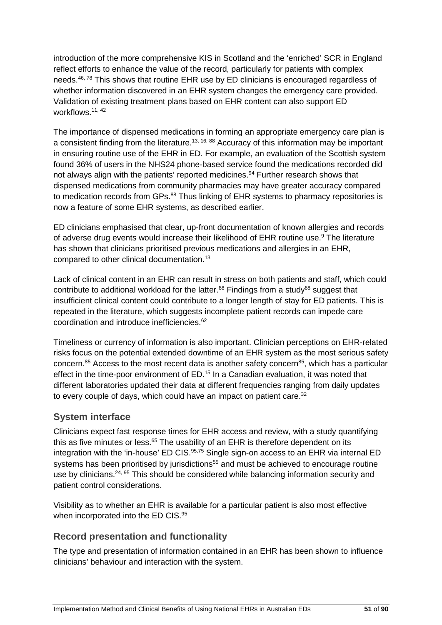introduction of the more comprehensive KIS in Scotland and the 'enriched' SCR in England reflect efforts to enhance the value of the record, particularly for patients with complex needs.<sup>46, 78</sup> This shows that routine EHR use by ED clinicians is encouraged regardless of whether information discovered in an EHR system changes the emergency care provided. Validation of existing treatment plans based on EHR content can also support ED workflows.11, 42

The importance of dispensed medications in forming an appropriate emergency care plan is a consistent finding from the literature.<sup>13, 16, 88</sup> Accuracy of this information may be important in ensuring routine use of the EHR in ED. For example, an evaluation of the Scottish system found 36% of users in the NHS24 phone-based service found the medications recorded did not always align with the patients' reported medicines.<sup>94</sup> Further research shows that dispensed medications from community pharmacies may have greater accuracy compared to medication records from GPs.<sup>88</sup> Thus linking of EHR systems to pharmacy repositories is now a feature of some EHR systems, as described earlier.

ED clinicians emphasised that clear, up-front documentation of known allergies and records of adverse drug events would increase their likelihood of EHR routine use.<sup>9</sup> The literature has shown that clinicians prioritised previous medications and allergies in an EHR, compared to other clinical documentation.13

Lack of clinical content in an EHR can result in stress on both patients and staff, which could contribute to additional workload for the latter.<sup>88</sup> Findings from a study<sup>88</sup> suggest that insufficient clinical content could contribute to a longer length of stay for ED patients. This is repeated in the literature, which suggests incomplete patient records can impede care coordination and introduce inefficiencies.62

Timeliness or currency of information is also important. Clinician perceptions on EHR-related risks focus on the potential extended downtime of an EHR system as the most serious safety concern.<sup>85</sup> Access to the most recent data is another safety concern<sup>85</sup>, which has a particular effect in the time-poor environment of ED.<sup>15</sup> In a Canadian evaluation, it was noted that different laboratories updated their data at different frequencies ranging from daily updates to every couple of days, which could have an impact on patient care.<sup>32</sup>

## **System interface**

Clinicians expect fast response times for EHR access and review, with a study quantifying this as five minutes or less.<sup>65</sup> The usability of an EHR is therefore dependent on its integration with the 'in-house' ED CIS.<sup>95,75</sup> Single sign-on access to an EHR via internal ED systems has been prioritised by jurisdictions<sup>55</sup> and must be achieved to encourage routine use by clinicians.<sup>24, 95</sup> This should be considered while balancing information security and patient control considerations.

Visibility as to whether an EHR is available for a particular patient is also most effective when incorporated into the ED CIS.<sup>95</sup>

## **Record presentation and functionality**

The type and presentation of information contained in an EHR has been shown to influence clinicians' behaviour and interaction with the system.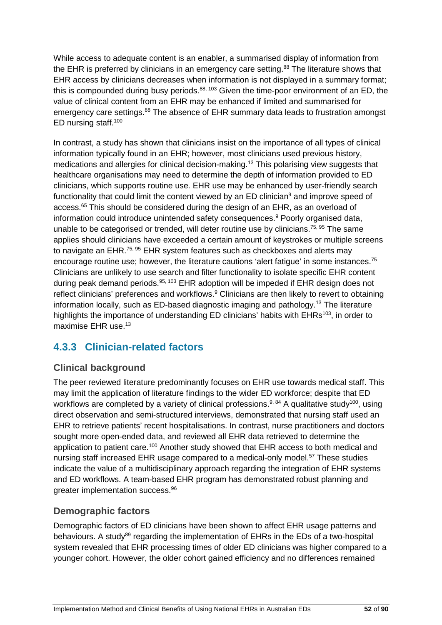While access to adequate content is an enabler, a summarised display of information from the EHR is preferred by clinicians in an emergency care setting.<sup>88</sup> The literature shows that EHR access by clinicians decreases when information is not displayed in a summary format; this is compounded during busy periods.<sup>88, 103</sup> Given the time-poor environment of an ED, the value of clinical content from an EHR may be enhanced if limited and summarised for emergency care settings.<sup>88</sup> The absence of EHR summary data leads to frustration amongst ED nursing staff.100

In contrast, a study has shown that clinicians insist on the importance of all types of clinical information typically found in an EHR; however, most clinicians used previous history, medications and allergies for clinical decision-making.<sup>13</sup> This polarising view suggests that healthcare organisations may need to determine the depth of information provided to ED clinicians, which supports routine use. EHR use may be enhanced by user-friendly search functionality that could limit the content viewed by an ED clinician<sup>9</sup> and improve speed of access.<sup>65</sup> This should be considered during the design of an EHR, as an overload of information could introduce unintended safety consequences.<sup>9</sup> Poorly organised data, unable to be categorised or trended, will deter routine use by clinicians.<sup>75, 95</sup> The same applies should clinicians have exceeded a certain amount of keystrokes or multiple screens to navigate an EHR.<sup>75, 95</sup> EHR system features such as checkboxes and alerts may encourage routine use; however, the literature cautions 'alert fatigue' in some instances.<sup>75</sup> Clinicians are unlikely to use search and filter functionality to isolate specific EHR content during peak demand periods.<sup>95, 103</sup> EHR adoption will be impeded if EHR design does not reflect clinicians' preferences and workflows.<sup>9</sup> Clinicians are then likely to revert to obtaining information locally, such as ED-based diagnostic imaging and pathology.13 The literature highlights the importance of understanding ED clinicians' habits with EHRs<sup>103</sup>, in order to maximise EHR use.<sup>13</sup>

# **4.3.3 Clinician-related factors**

# **Clinical background**

The peer reviewed literature predominantly focuses on EHR use towards medical staff. This may limit the application of literature findings to the wider ED workforce; despite that ED workflows are completed by a variety of clinical professions.<sup>9, 84</sup> A qualitative study<sup>100</sup>, using direct observation and semi-structured interviews, demonstrated that nursing staff used an EHR to retrieve patients' recent hospitalisations. In contrast, nurse practitioners and doctors sought more open-ended data, and reviewed all EHR data retrieved to determine the application to patient care.<sup>100</sup> Another study showed that EHR access to both medical and nursing staff increased EHR usage compared to a medical-only model.<sup>57</sup> These studies indicate the value of a multidisciplinary approach regarding the integration of EHR systems and ED workflows. A team-based EHR program has demonstrated robust planning and greater implementation success.96

## **Demographic factors**

Demographic factors of ED clinicians have been shown to affect EHR usage patterns and behaviours. A study<sup>89</sup> regarding the implementation of EHRs in the EDs of a two-hospital system revealed that EHR processing times of older ED clinicians was higher compared to a younger cohort. However, the older cohort gained efficiency and no differences remained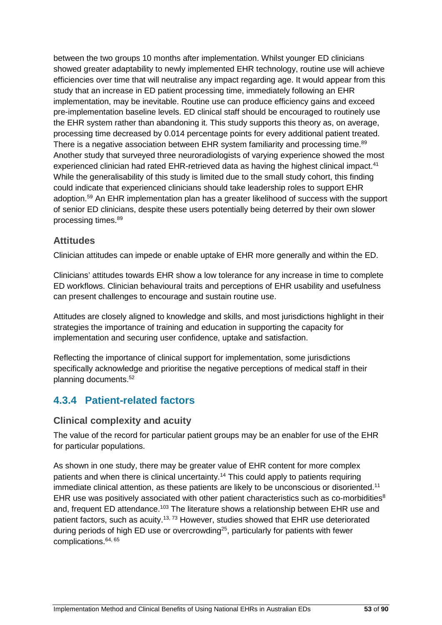between the two groups 10 months after implementation. Whilst younger ED clinicians showed greater adaptability to newly implemented EHR technology, routine use will achieve efficiencies over time that will neutralise any impact regarding age. It would appear from this study that an increase in ED patient processing time, immediately following an EHR implementation, may be inevitable. Routine use can produce efficiency gains and exceed pre-implementation baseline levels. ED clinical staff should be encouraged to routinely use the EHR system rather than abandoning it. This study supports this theory as, on average, processing time decreased by 0.014 percentage points for every additional patient treated. There is a negative association between EHR system familiarity and processing time.<sup>89</sup> Another study that surveyed three neuroradiologists of varying experience showed the most experienced clinician had rated EHR-retrieved data as having the highest clinical impact.<sup>41</sup> While the generalisability of this study is limited due to the small study cohort, this finding could indicate that experienced clinicians should take leadership roles to support EHR adoption.59 An EHR implementation plan has a greater likelihood of success with the support of senior ED clinicians, despite these users potentially being deterred by their own slower processing times.89

#### **Attitudes**

Clinician attitudes can impede or enable uptake of EHR more generally and within the ED.

Clinicians' attitudes towards EHR show a low tolerance for any increase in time to complete ED workflows. Clinician behavioural traits and perceptions of EHR usability and usefulness can present challenges to encourage and sustain routine use.

Attitudes are closely aligned to knowledge and skills, and most jurisdictions highlight in their strategies the importance of training and education in supporting the capacity for implementation and securing user confidence, uptake and satisfaction.

Reflecting the importance of clinical support for implementation, some jurisdictions specifically acknowledge and prioritise the negative perceptions of medical staff in their planning documents.52

# **4.3.4 Patient-related factors**

#### **Clinical complexity and acuity**

The value of the record for particular patient groups may be an enabler for use of the EHR for particular populations.

As shown in one study, there may be greater value of EHR content for more complex patients and when there is clinical uncertainty.<sup>14</sup> This could apply to patients requiring immediate clinical attention, as these patients are likely to be unconscious or disoriented.11 EHR use was positively associated with other patient characteristics such as co-morbidities<sup>8</sup> and, frequent ED attendance.<sup>103</sup> The literature shows a relationship between EHR use and patient factors, such as acuity.<sup>13, 73</sup> However, studies showed that EHR use deteriorated during periods of high ED use or overcrowding<sup>25</sup>, particularly for patients with fewer complications.64, 65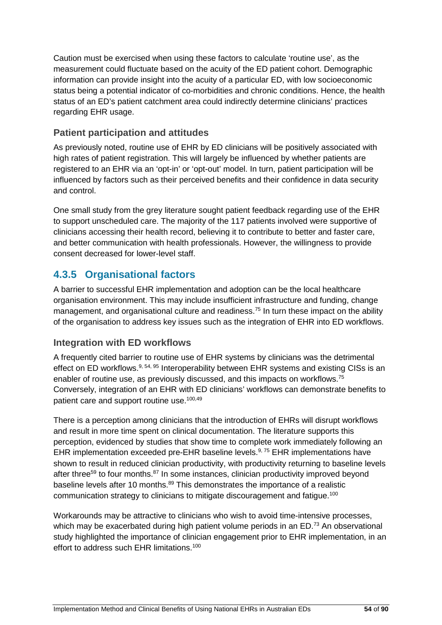Caution must be exercised when using these factors to calculate 'routine use', as the measurement could fluctuate based on the acuity of the ED patient cohort. Demographic information can provide insight into the acuity of a particular ED, with low socioeconomic status being a potential indicator of co-morbidities and chronic conditions. Hence, the health status of an ED's patient catchment area could indirectly determine clinicians' practices regarding EHR usage.

### **Patient participation and attitudes**

As previously noted, routine use of EHR by ED clinicians will be positively associated with high rates of patient registration. This will largely be influenced by whether patients are registered to an EHR via an 'opt-in' or 'opt-out' model. In turn, patient participation will be influenced by factors such as their perceived benefits and their confidence in data security and control.

One small study from the grey literature sought patient feedback regarding use of the EHR to support unscheduled care. The majority of the 117 patients involved were supportive of clinicians accessing their health record, believing it to contribute to better and faster care, and better communication with health professionals. However, the willingness to provide consent decreased for lower-level staff.

# **4.3.5 Organisational factors**

A barrier to successful EHR implementation and adoption can be the local healthcare organisation environment. This may include insufficient infrastructure and funding, change management, and organisational culture and readiness.<sup>75</sup> In turn these impact on the ability of the organisation to address key issues such as the integration of EHR into ED workflows.

#### **Integration with ED workflows**

A frequently cited barrier to routine use of EHR systems by clinicians was the detrimental effect on ED workflows.<sup>9, 54, 95</sup> Interoperability between EHR systems and existing CISs is an enabler of routine use, as previously discussed, and this impacts on workflows.<sup>75</sup> Conversely, integration of an EHR with ED clinicians' workflows can demonstrate benefits to patient care and support routine use.<sup>100,49</sup>

There is a perception among clinicians that the introduction of EHRs will disrupt workflows and result in more time spent on clinical documentation. The literature supports this perception, evidenced by studies that show time to complete work immediately following an EHR implementation exceeded pre-EHR baseline levels. $9, 75$  EHR implementations have shown to result in reduced clinician productivity, with productivity returning to baseline levels after three<sup>59</sup> to four months.<sup>87</sup> In some instances, clinician productivity improved beyond baseline levels after 10 months. <sup>89</sup> This demonstrates the importance of a realistic communication strategy to clinicians to mitigate discouragement and fatigue.<sup>100</sup>

Workarounds may be attractive to clinicians who wish to avoid time-intensive processes, which may be exacerbated during high patient volume periods in an ED.<sup>73</sup> An observational study highlighted the importance of clinician engagement prior to EHR implementation, in an effort to address such EHR limitations.<sup>100</sup>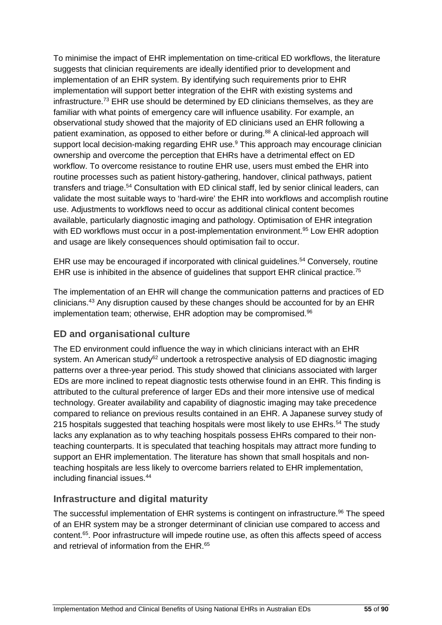To minimise the impact of EHR implementation on time-critical ED workflows, the literature suggests that clinician requirements are ideally identified prior to development and implementation of an EHR system. By identifying such requirements prior to EHR implementation will support better integration of the EHR with existing systems and infrastructure.73 EHR use should be determined by ED clinicians themselves, as they are familiar with what points of emergency care will influence usability. For example, an observational study showed that the majority of ED clinicians used an EHR following a patient examination, as opposed to either before or during.<sup>88</sup> A clinical-led approach will support local decision-making regarding EHR use.<sup>9</sup> This approach may encourage clinician ownership and overcome the perception that EHRs have a detrimental effect on ED workflow. To overcome resistance to routine EHR use, users must embed the EHR into routine processes such as patient history-gathering, handover, clinical pathways, patient transfers and triage.<sup>54</sup> Consultation with ED clinical staff, led by senior clinical leaders, can validate the most suitable ways to 'hard-wire' the EHR into workflows and accomplish routine use. Adjustments to workflows need to occur as additional clinical content becomes available, particularly diagnostic imaging and pathology. Optimisation of EHR integration with ED workflows must occur in a post-implementation environment.<sup>95</sup> Low EHR adoption and usage are likely consequences should optimisation fail to occur.

EHR use may be encouraged if incorporated with clinical guidelines.<sup>54</sup> Conversely, routine EHR use is inhibited in the absence of quidelines that support EHR clinical practice.<sup>75</sup>

The implementation of an EHR will change the communication patterns and practices of ED clinicians.43 Any disruption caused by these changes should be accounted for by an EHR implementation team; otherwise, EHR adoption may be compromised.<sup>96</sup>

## **ED and organisational culture**

The ED environment could influence the way in which clinicians interact with an EHR system. An American study<sup>62</sup> undertook a retrospective analysis of ED diagnostic imaging patterns over a three-year period. This study showed that clinicians associated with larger EDs are more inclined to repeat diagnostic tests otherwise found in an EHR. This finding is attributed to the cultural preference of larger EDs and their more intensive use of medical technology. Greater availability and capability of diagnostic imaging may take precedence compared to reliance on previous results contained in an EHR. A Japanese survey study of 215 hospitals suggested that teaching hospitals were most likely to use EHRs.<sup>54</sup> The study lacks any explanation as to why teaching hospitals possess EHRs compared to their nonteaching counterparts. It is speculated that teaching hospitals may attract more funding to support an EHR implementation. The literature has shown that small hospitals and nonteaching hospitals are less likely to overcome barriers related to EHR implementation, including financial issues.44

## **Infrastructure and digital maturity**

The successful implementation of EHR systems is contingent on infrastructure.<sup>96</sup> The speed of an EHR system may be a stronger determinant of clinician use compared to access and content.65. Poor infrastructure will impede routine use, as often this affects speed of access and retrieval of information from the EHR.<sup>65</sup>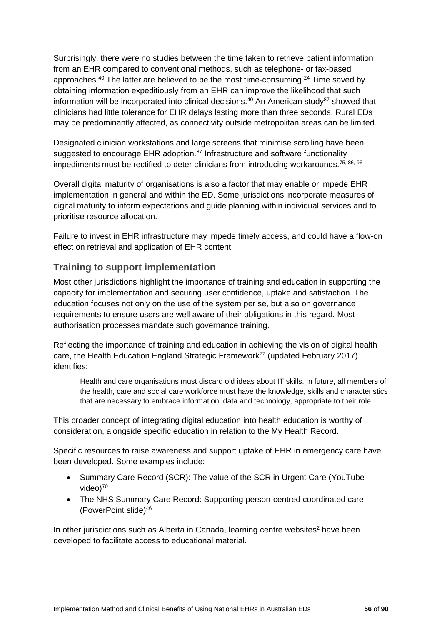Surprisingly, there were no studies between the time taken to retrieve patient information from an EHR compared to conventional methods, such as telephone- or fax-based approaches.<sup>40</sup> The latter are believed to be the most time-consuming.<sup>24</sup> Time saved by obtaining information expeditiously from an EHR can improve the likelihood that such information will be incorporated into clinical decisions.<sup>40</sup> An American study<sup>87</sup> showed that clinicians had little tolerance for EHR delays lasting more than three seconds. Rural EDs may be predominantly affected, as connectivity outside metropolitan areas can be limited.

Designated clinician workstations and large screens that minimise scrolling have been suggested to encourage EHR adoption.<sup>87</sup> Infrastructure and software functionality impediments must be rectified to deter clinicians from introducing workarounds.<sup>75, 86, 96</sup>

Overall digital maturity of organisations is also a factor that may enable or impede EHR implementation in general and within the ED. Some jurisdictions incorporate measures of digital maturity to inform expectations and guide planning within individual services and to prioritise resource allocation.

Failure to invest in EHR infrastructure may impede timely access, and could have a flow-on effect on retrieval and application of EHR content.

#### **Training to support implementation**

Most other jurisdictions highlight the importance of training and education in supporting the capacity for implementation and securing user confidence, uptake and satisfaction. The education focuses not only on the use of the system per se, but also on governance requirements to ensure users are well aware of their obligations in this regard. Most authorisation processes mandate such governance training.

Reflecting the importance of training and education in achieving the vision of digital health care, the Health Education England Strategic Framework<sup>77</sup> (updated February 2017) identifies:

Health and care organisations must discard old ideas about IT skills. In future, all members of the health, care and social care workforce must have the knowledge, skills and characteristics that are necessary to embrace information, data and technology, appropriate to their role.

This broader concept of integrating digital education into health education is worthy of consideration, alongside specific education in relation to the My Health Record.

Specific resources to raise awareness and support uptake of EHR in emergency care have been developed. Some examples include:

- Summary Care Record (SCR): The value of the SCR in Urgent Care (YouTube  $video<sup>70</sup>$
- The NHS Summary Care Record: Supporting person-centred coordinated care (PowerPoint slide)46

In other jurisdictions such as Alberta in Canada, learning centre websites<sup>2</sup> have been developed to facilitate access to educational material.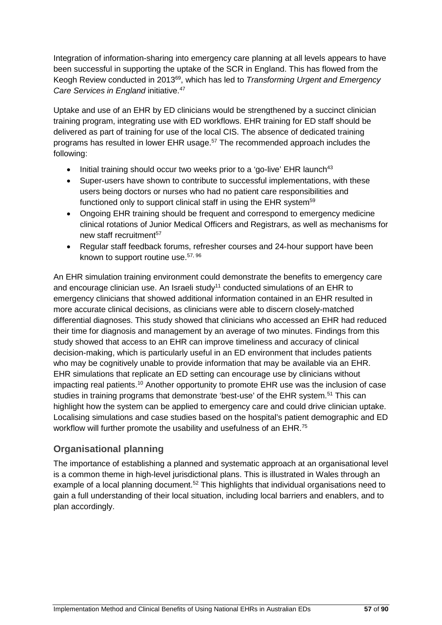Integration of information-sharing into emergency care planning at all levels appears to have been successful in supporting the uptake of the SCR in England. This has flowed from the Keogh Review conducted in 201369, which has led to *Transforming Urgent and Emergency Care Services in England* initiative. 47

Uptake and use of an EHR by ED clinicians would be strengthened by a succinct clinician training program, integrating use with ED workflows. EHR training for ED staff should be delivered as part of training for use of the local CIS. The absence of dedicated training programs has resulted in lower EHR usage. <sup>57</sup> The recommended approach includes the following:

- Initial training should occur two weeks prior to a 'go-live' EHR launch<sup>43</sup>
- Super-users have shown to contribute to successful implementations, with these users being doctors or nurses who had no patient care responsibilities and functioned only to support clinical staff in using the EHR system<sup>59</sup>
- Ongoing EHR training should be frequent and correspond to emergency medicine clinical rotations of Junior Medical Officers and Registrars, as well as mechanisms for new staff recruitment<sup>57</sup>
- Regular staff feedback forums, refresher courses and 24-hour support have been known to support routine use.<sup>57, 96</sup>

An EHR simulation training environment could demonstrate the benefits to emergency care and encourage clinician use. An Israeli study<sup>11</sup> conducted simulations of an EHR to emergency clinicians that showed additional information contained in an EHR resulted in more accurate clinical decisions, as clinicians were able to discern closely-matched differential diagnoses. This study showed that clinicians who accessed an EHR had reduced their time for diagnosis and management by an average of two minutes. Findings from this study showed that access to an EHR can improve timeliness and accuracy of clinical decision-making, which is particularly useful in an ED environment that includes patients who may be cognitively unable to provide information that may be available via an EHR. EHR simulations that replicate an ED setting can encourage use by clinicians without impacting real patients.<sup>10</sup> Another opportunity to promote EHR use was the inclusion of case studies in training programs that demonstrate 'best-use' of the EHR system.<sup>51</sup> This can highlight how the system can be applied to emergency care and could drive clinician uptake. Localising simulations and case studies based on the hospital's patient demographic and ED workflow will further promote the usability and usefulness of an EHR.<sup>75</sup>

## **Organisational planning**

The importance of establishing a planned and systematic approach at an organisational level is a common theme in high-level jurisdictional plans. This is illustrated in Wales through an example of a local planning document.<sup>52</sup> This highlights that individual organisations need to gain a full understanding of their local situation, including local barriers and enablers, and to plan accordingly.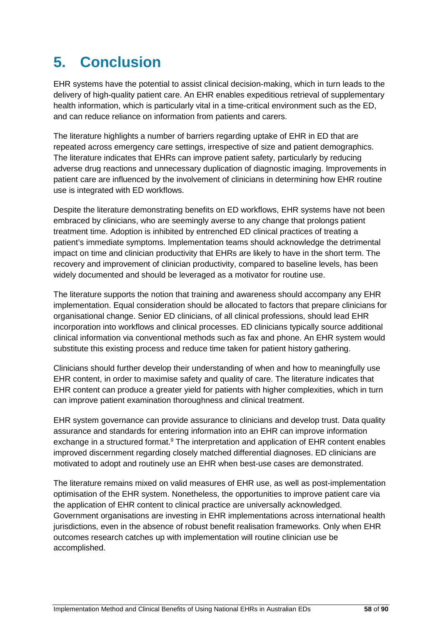# **5. Conclusion**

EHR systems have the potential to assist clinical decision-making, which in turn leads to the delivery of high-quality patient care. An EHR enables expeditious retrieval of supplementary health information, which is particularly vital in a time-critical environment such as the ED, and can reduce reliance on information from patients and carers.

The literature highlights a number of barriers regarding uptake of EHR in ED that are repeated across emergency care settings, irrespective of size and patient demographics. The literature indicates that EHRs can improve patient safety, particularly by reducing adverse drug reactions and unnecessary duplication of diagnostic imaging. Improvements in patient care are influenced by the involvement of clinicians in determining how EHR routine use is integrated with ED workflows.

Despite the literature demonstrating benefits on ED workflows, EHR systems have not been embraced by clinicians, who are seemingly averse to any change that prolongs patient treatment time. Adoption is inhibited by entrenched ED clinical practices of treating a patient's immediate symptoms. Implementation teams should acknowledge the detrimental impact on time and clinician productivity that EHRs are likely to have in the short term. The recovery and improvement of clinician productivity, compared to baseline levels, has been widely documented and should be leveraged as a motivator for routine use.

The literature supports the notion that training and awareness should accompany any EHR implementation. Equal consideration should be allocated to factors that prepare clinicians for organisational change. Senior ED clinicians, of all clinical professions, should lead EHR incorporation into workflows and clinical processes. ED clinicians typically source additional clinical information via conventional methods such as fax and phone. An EHR system would substitute this existing process and reduce time taken for patient history gathering.

Clinicians should further develop their understanding of when and how to meaningfully use EHR content, in order to maximise safety and quality of care. The literature indicates that EHR content can produce a greater yield for patients with higher complexities, which in turn can improve patient examination thoroughness and clinical treatment.

EHR system governance can provide assurance to clinicians and develop trust. Data quality assurance and standards for entering information into an EHR can improve information exchange in a structured format.<sup>9</sup> The interpretation and application of EHR content enables improved discernment regarding closely matched differential diagnoses. ED clinicians are motivated to adopt and routinely use an EHR when best-use cases are demonstrated.

The literature remains mixed on valid measures of EHR use, as well as post-implementation optimisation of the EHR system. Nonetheless, the opportunities to improve patient care via the application of EHR content to clinical practice are universally acknowledged. Government organisations are investing in EHR implementations across international health jurisdictions, even in the absence of robust benefit realisation frameworks. Only when EHR outcomes research catches up with implementation will routine clinician use be accomplished.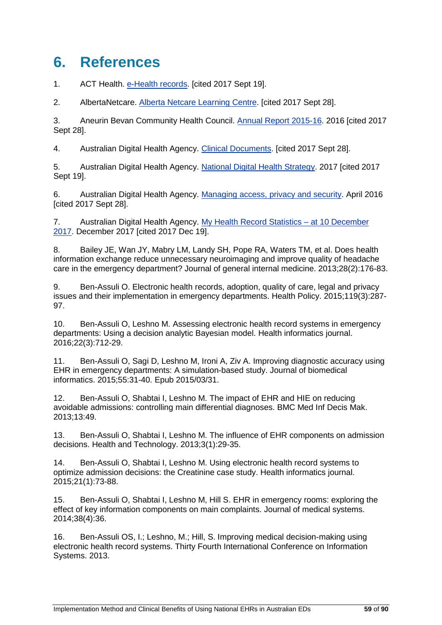# **6. References**

1. ACT Health. [e-Health records.](http://www.health.act.gov.au/public-information/consumers/health-records/e-health) [cited 2017 Sept 19].

2. AlbertaNetcare. [Alberta Netcare Learning Centre.](http://www.albertanetcare.ca/LearningCentre) [cited 2017 Sept 28].

3. Aneurin Bevan Community Health Council. [Annual Report 2015-16.](http://www.wales.nhs.uk/sitesplus/documents/901/Annual%20Report%202015%2016%20final%20English.pdf) 2016 [cited 2017 Sept 28].

4. Australian Digital Health Agency. [Clinical Documents.](https://www.digitalhealth.gov.au/get-started-with-digital-health/what-is-digital-health/features-of-the-my-health-record-system/clinical-documents) [cited 2017 Sept 28].

5. Australian Digital Health Agency. [National Digital Health Strategy.](https://www.digitalhealth.gov.au/about-the-agency/publications/australias-national-digital-health-strategy) 2017 [cited 2017 Sept 19].

6. Australian Digital Health Agency. [Managing access, privacy and security.](https://myhealthrecord.gov.au/internet/mhr/publishing.nsf/Content/privacy) April 2016 [cited 2017 Sept 28].

7. Australian Digital Health Agency. [My Health Record Statistics –](https://myhealthrecord.gov.au/internet/mhr/publishing.nsf/Content/news-002) at 10 December [2017.](https://myhealthrecord.gov.au/internet/mhr/publishing.nsf/Content/news-002) December 2017 [cited 2017 Dec 19].

8. Bailey JE, Wan JY, Mabry LM, Landy SH, Pope RA, Waters TM, et al. Does health information exchange reduce unnecessary neuroimaging and improve quality of headache care in the emergency department? Journal of general internal medicine. 2013;28(2):176-83.

9. Ben-Assuli O. Electronic health records, adoption, quality of care, legal and privacy issues and their implementation in emergency departments. Health Policy. 2015;119(3):287- 97.

10. Ben-Assuli O, Leshno M. Assessing electronic health record systems in emergency departments: Using a decision analytic Bayesian model. Health informatics journal. 2016;22(3):712-29.

11. Ben-Assuli O, Sagi D, Leshno M, Ironi A, Ziv A. Improving diagnostic accuracy using EHR in emergency departments: A simulation-based study. Journal of biomedical informatics. 2015;55:31-40. Epub 2015/03/31.

12. Ben-Assuli O, Shabtai I, Leshno M. The impact of EHR and HIE on reducing avoidable admissions: controlling main differential diagnoses. BMC Med Inf Decis Mak. 2013;13:49.

13. Ben-Assuli O, Shabtai I, Leshno M. The influence of EHR components on admission decisions. Health and Technology. 2013;3(1):29-35.

14. Ben-Assuli O, Shabtai I, Leshno M. Using electronic health record systems to optimize admission decisions: the Creatinine case study. Health informatics journal. 2015;21(1):73-88.

15. Ben-Assuli O, Shabtai I, Leshno M, Hill S. EHR in emergency rooms: exploring the effect of key information components on main complaints. Journal of medical systems. 2014;38(4):36.

16. Ben-Assuli OS, I.; Leshno, M.; Hill, S. Improving medical decision-making using electronic health record systems. Thirty Fourth International Conference on Information Systems. 2013.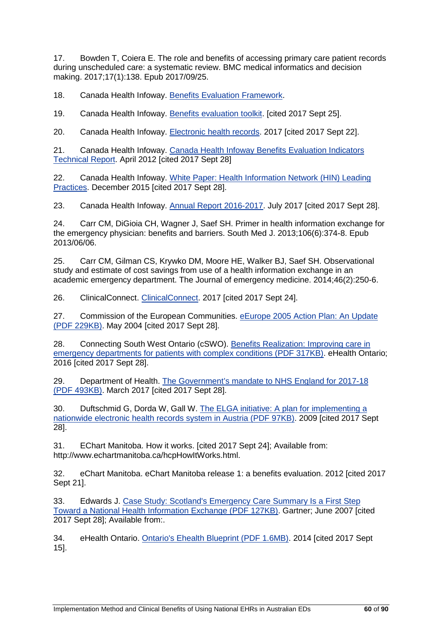17. Bowden T, Coiera E. The role and benefits of accessing primary care patient records during unscheduled care: a systematic review. BMC medical informatics and decision making. 2017;17(1):138. Epub 2017/09/25.

18. Canada Health Infoway. [Benefits Evaluation Framework.](https://www.infoway-inforoute.ca/en/what-we-do/research-and-insights/benefits-evaluation/benefits-evaluation-framework)

19. Canada Health Infoway. [Benefits evaluation toolkit.](https://www.infoway-inforoute.ca/en/resource-centre/toolkits/benefits-evaluation-toolkit) [cited 2017 Sept 25].

20. Canada Health Infoway. [Electronic health records.](https://www.infoway-inforoute.ca/en/solutions/electronic-health-records) 2017 [cited 2017 Sept 22].

21. Canada Health Infoway. Canada Health Infoway Benefits Evaluation Indicators [Technical Report.](https://www.infoway-inforoute.ca/en/component/edocman/450-benefits-evaluation-indicators-technical-report-version-2-0/view-document?Itemid=0) April 2012 [cited 2017 Sept 28]

22. Canada Health Infoway. [White Paper: Health Information Network \(HIN\) Leading](https://www.infoway-inforoute.ca/en/component/edocman/resources/reports/2836-health-information-network-hin-leading-practices)  [Practices.](https://www.infoway-inforoute.ca/en/component/edocman/resources/reports/2836-health-information-network-hin-leading-practices) December 2015 [cited 2017 Sept 28].

23. Canada Health Infoway. [Annual Report 2016-2017.](https://www.infoway-inforoute.ca/en/component/edocman/3350-annual-report-2016-2017/view-document?Itemid=101) July 2017 [cited 2017 Sept 28].

24. Carr CM, DiGioia CH, Wagner J, Saef SH. Primer in health information exchange for the emergency physician: benefits and barriers. South Med J. 2013;106(6):374-8. Epub 2013/06/06.

25. Carr CM, Gilman CS, Krywko DM, Moore HE, Walker BJ, Saef SH. Observational study and estimate of cost savings from use of a health information exchange in an academic emergency department. The Journal of emergency medicine. 2014;46(2):250-6.

26. ClinicalConnect. [ClinicalConnect.](https://info.clinicalconnect.ca/CC/about-clinicalconnect/) 2017 [cited 2017 Sept 24].

27. Commission of the European Communities. [eEurope 2005 Action Plan: An Update](http://aei.pitt.edu/45680/1/com2004_0380.pdf)  [\(PDF 229KB\).](http://aei.pitt.edu/45680/1/com2004_0380.pdf) May 2004 [cited 2017 Sept 28].

28. Connecting South West Ontario (cSWO). [Benefits Realization: Improving care in](http://ehealthce.ca/userContent/documents/Benefits%20Realization/cSWO%20BR%20-%20Improving%20care%20in%20EDs%20FINAL%200616.pdf)  [emergency departments for patients with complex conditions \(PDF 317KB\).](http://ehealthce.ca/userContent/documents/Benefits%20Realization/cSWO%20BR%20-%20Improving%20care%20in%20EDs%20FINAL%200616.pdf) eHealth Ontario; 2016 [cited 2017 Sept 28].

29. Department of Health. [The Government's mandate to NHS England for 2017-18](https://www.gov.uk/government/uploads/system/uploads/attachment_data/file/601188/NHS_Mandate_2017-18_A.pdf)  [\(PDF 493KB\).](https://www.gov.uk/government/uploads/system/uploads/attachment_data/file/601188/NHS_Mandate_2017-18_A.pdf) March 2017 [cited 2017 Sept 28].

30. Duftschmid G, Dorda W, Gall W. [The ELGA initiative: A plan for implementing a](https://www.meduniwien.ac.at/msi/mias/papers/Duftschmid2009a.pdf)  [nationwide electronic health records system in Austria \(PDF 97KB\).](https://www.meduniwien.ac.at/msi/mias/papers/Duftschmid2009a.pdf) 2009 [cited 2017 Sept 28].

31. EChart Manitoba. How it works. [cited 2017 Sept 24]; Available from: http://www.echartmanitoba.ca/hcpHowItWorks.html.

32. eChart Manitoba. eChart Manitoba release 1: a benefits evaluation. 2012 [cited 2017 Sept 21].

33. Edwards J. [Case Study: Scotland's Emergency Care Summary Is a First Step](http://www.scimp.scot.nhs.uk/wp-content/uploads/documents/GartnerECScase_study_149175June07.pdf)  [Toward a National Health Information Exchange \(PDF 127KB\).](http://www.scimp.scot.nhs.uk/wp-content/uploads/documents/GartnerECScase_study_149175June07.pdf) Gartner; June 2007 [cited 2017 Sept 28]; Available from:.

34. eHealth Ontario. [Ontario's Ehealth Blueprint \(PDF 1.6MB\).](http://www.ehealthontario.on.ca/images/uploads/pages/documents/Blueprint_Book.pdf) 2014 [cited 2017 Sept 15].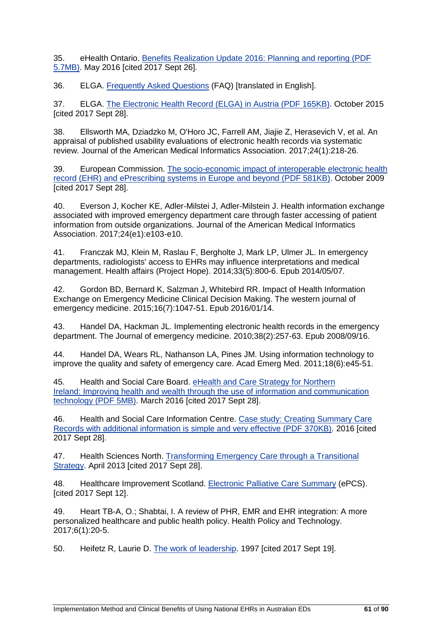35. eHealth Ontario. [Benefits Realization Update 2016: Planning and reporting \(PDF](https://www.ehealthontario.on.ca/images/uploads/pages/documents/2016_Benefits_Realization_Update_EN.pdf)  [5.7MB\).](https://www.ehealthontario.on.ca/images/uploads/pages/documents/2016_Benefits_Realization_Update_EN.pdf) May 2016 [cited 2017 Sept 26].

36. ELGA. [Frequently Asked Questions](https://www.elga.gv.at/faq/wissenswertes-zu-elga/index.html) (FAQ) [translated in English].

37. ELGA. [The Electronic Health Record \(ELGA\) in Austria \(PDF 165KB\).](https://www.bmgf.gv.at/cms/home/attachments/1/7/2/CH1538/CMS1458292318057/1511_elga_the_electronic_health_record_in_austria.pdf) October 2015 [cited 2017 Sept 28].

38. Ellsworth MA, Dziadzko M, O'Horo JC, Farrell AM, Jiajie Z, Herasevich V, et al. An appraisal of published usability evaluations of electronic health records via systematic review. Journal of the American Medical Informatics Association. 2017;24(1):218-26.

39. European Commission. [The socio-economic impact of interoperable electronic health](http://www.ehr-impact.eu/downloads/documents/EHRI_final_report_2009.pdf)  [record \(EHR\) and ePrescribing systems in Europe and beyond \(PDF 581KB\).](http://www.ehr-impact.eu/downloads/documents/EHRI_final_report_2009.pdf) October 2009 [cited 2017 Sept 28].

40. Everson J, Kocher KE, Adler-Milstei J, Adler-Milstein J. Health information exchange associated with improved emergency department care through faster accessing of patient information from outside organizations. Journal of the American Medical Informatics Association. 2017;24(e1):e103-e10.

41. Franczak MJ, Klein M, Raslau F, Bergholte J, Mark LP, Ulmer JL. In emergency departments, radiologists' access to EHRs may influence interpretations and medical management. Health affairs (Project Hope). 2014;33(5):800-6. Epub 2014/05/07.

42. Gordon BD, Bernard K, Salzman J, Whitebird RR. Impact of Health Information Exchange on Emergency Medicine Clinical Decision Making. The western journal of emergency medicine. 2015;16(7):1047-51. Epub 2016/01/14.

43. Handel DA, Hackman JL. Implementing electronic health records in the emergency department. The Journal of emergency medicine. 2010;38(2):257-63. Epub 2008/09/16.

44. Handel DA, Wears RL, Nathanson LA, Pines JM. Using information technology to improve the quality and safety of emergency care. Acad Emerg Med. 2011;18(6):e45-51.

45. Health and Social Care Board. [eHealth and Care Strategy for Northern](https://www.health-ni.gov.uk/sites/default/files/publications/dhssps/interactive-ehealth-strategy.pdf)  Ireland: [Improving health and wealth through the use of information and communication](https://www.health-ni.gov.uk/sites/default/files/publications/dhssps/interactive-ehealth-strategy.pdf)  technology [\(PDF 5MB\).](https://www.health-ni.gov.uk/sites/default/files/publications/dhssps/interactive-ehealth-strategy.pdf) March 2016 [cited 2017 Sept 28].

46. Health and Social Care Information Centre. [Case study: Creating Summary Care](https://digital.nhs.uk/media/1176/Case-study-on-using-additional-information-in-SCR-Dr-Mark-Spring-GP/pdf/case_study_on_additional_information)  [Records with additional information is simple and very effective \(PDF 370KB\).](https://digital.nhs.uk/media/1176/Case-study-on-using-additional-information-in-SCR-Dr-Mark-Spring-GP/pdf/case_study_on_additional_information) 2016 [cited 2017 Sept 28].

47. Health Sciences North. [Transforming Emergency Care through a Transitional](https://www.infoway-inforoute.ca/en/component/edocman/2624-health-sciences-north-emergency-department-sudbury-ontario/view-document?Itemid=101)  [Strategy.](https://www.infoway-inforoute.ca/en/component/edocman/2624-health-sciences-north-emergency-department-sudbury-ontario/view-document?Itemid=101) April 2013 [cited 2017 Sept 28].

48. Healthcare Improvement Scotland. [Electronic Palliative Care Summary](http://www.healthcareimprovementscotland.org/our_work/person-centred_care/dnacpr_resources/epcs.aspx) (ePCS). [cited 2017 Sept 12].

49. Heart TB-A, O.; Shabtai, I. A review of PHR, EMR and EHR integration: A more personalized healthcare and public health policy. Health Policy and Technology. 2017;6(1):20-5.

50. Heifetz R, Laurie D. [The work of leadership.](https://hbr.org/product/the-work-of-leadership-hbr-classic/R0111K-PDF-ENG) 1997 [cited 2017 Sept 19].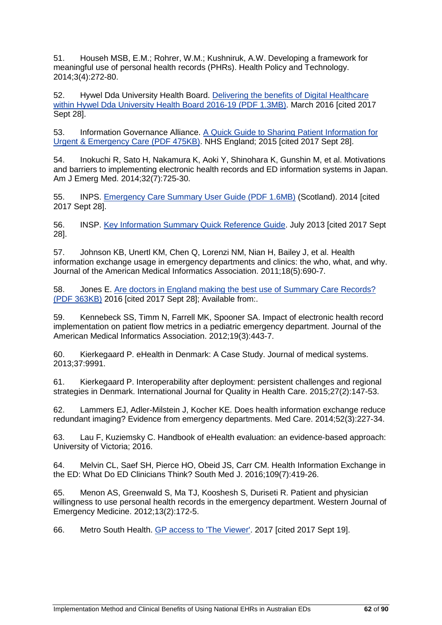51. Househ MSB, E.M.; Rohrer, W.M.; Kushniruk, A.W. Developing a framework for meaningful use of personal health records (PHRs). Health Policy and Technology. 2014;3(4):272-80.

52. Hywel Dda University Health Board. [Delivering the benefits](http://www.wales.nhs.uk/sitesplus/documents/862/FOI-098-17a.pdf) of Digital Healthcare [within Hywel Dda University Health Board 2016-19 \(PDF 1.3MB\).](http://www.wales.nhs.uk/sitesplus/documents/862/FOI-098-17a.pdf) March 2016 [cited 2017 Sept 28].

53. Information Governance Alliance. [A Quick Guide to Sharing Patient Information for](http://www.nhs.uk/NHSEngland/keogh-review/Documents/160203-qucik-guide-Sharing-Patient-Information-for-Urgent-Care.pdf)  [Urgent & Emergency Care \(PDF 475KB\).](http://www.nhs.uk/NHSEngland/keogh-review/Documents/160203-qucik-guide-Sharing-Patient-Information-for-Urgent-Care.pdf) NHS England; 2015 [cited 2017 Sept 28].

54. Inokuchi R, Sato H, Nakamura K, Aoki Y, Shinohara K, Gunshin M, et al. Motivations and barriers to implementing electronic health records and ED information systems in Japan. Am J Emerg Med. 2014;32(7):725-30.

55. INPS. [Emergency Care Summary User Guide \(PDF 1.6MB\)](http://www.inps.co.uk/sites/default/files/Emergency%20Care%20Summary%20%28ECS%29%20Management%20-%20Scotland%20v015.pdf) (Scotland). 2014 [cited 2017 Sept 28].

56. INSP. [Key Information Summary Quick Reference Guide.](http://www.inps.co.uk/file/5416/download?token=vcfG5PVS) July 2013 [cited 2017 Sept 28].

57. Johnson KB, Unertl KM, Chen Q, Lorenzi NM, Nian H, Bailey J, et al. Health information exchange usage in emergency departments and clinics: the who, what, and why. Journal of the American Medical Informatics Association. 2011;18(5):690-7.

58. Jones E. [Are doctors in England making the best use of Summary Care Records?](http://www.bmj.com/company/wp-content/uploads/2016/11/Are-you-making-the-best-use-of-Summary-Care-Records.pdf)  [\(PDF 363KB\)](http://www.bmj.com/company/wp-content/uploads/2016/11/Are-you-making-the-best-use-of-Summary-Care-Records.pdf) 2016 [cited 2017 Sept 28]; Available from:.

59. Kennebeck SS, Timm N, Farrell MK, Spooner SA. Impact of electronic health record implementation on patient flow metrics in a pediatric emergency department. Journal of the American Medical Informatics Association. 2012;19(3):443-7.

60. Kierkegaard P. eHealth in Denmark: A Case Study. Journal of medical systems. 2013;37:9991.

61. Kierkegaard P. Interoperability after deployment: persistent challenges and regional strategies in Denmark. International Journal for Quality in Health Care. 2015;27(2):147-53.

62. Lammers EJ, Adler-Milstein J, Kocher KE. Does health information exchange reduce redundant imaging? Evidence from emergency departments. Med Care. 2014;52(3):227-34.

63. Lau F, Kuziemsky C. Handbook of eHealth evaluation: an evidence-based approach: University of Victoria; 2016.

64. Melvin CL, Saef SH, Pierce HO, Obeid JS, Carr CM. Health Information Exchange in the ED: What Do ED Clinicians Think? South Med J. 2016;109(7):419-26.

65. Menon AS, Greenwald S, Ma TJ, Kooshesh S, Duriseti R. Patient and physician willingness to use personal health records in the emergency department. Western Journal of Emergency Medicine. 2012;13(2):172-5.

66. Metro South Health. [GP access to 'The Viewer'.](https://metrosouth.health.qld.gov.au/about-us/accessing-information/gp-access-to-the-viewer) 2017 [cited 2017 Sept 19].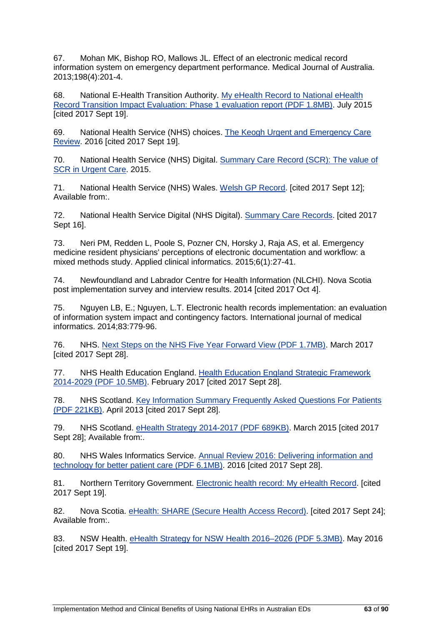67. Mohan MK, Bishop RO, Mallows JL. Effect of an electronic medical record information system on emergency department performance. Medical Journal of Australia. 2013;198(4):201-4.

68. National E-Health Transition Authority. [My eHealth Record to National eHealth](https://www.digitalhealth.gov.au/about-the-agency/publications/reports/benefit-and-evaluation-reports/myehr-to-national-ehealth-record-transition-impact-evaluation-phase-1-report/TIE_Phase1_Report.pdf)  [Record Transition Impact Evaluation: Phase 1 evaluation report \(PDF 1.8MB\).](https://www.digitalhealth.gov.au/about-the-agency/publications/reports/benefit-and-evaluation-reports/myehr-to-national-ehealth-record-transition-impact-evaluation-phase-1-report/TIE_Phase1_Report.pdf) July 2015 [cited 2017 Sept 19].

69. National Health Service (NHS) choices. [The Keogh Urgent and Emergency Care](http://www.nhs.uk/NHSEngland/keogh-review/Pages/urgent-and-emergency-care-review.aspx)  [Review.](http://www.nhs.uk/NHSEngland/keogh-review/Pages/urgent-and-emergency-care-review.aspx) 2016 [cited 2017 Sept 19].

70. National Health Service (NHS) Digital. [Summary Care Record \(SCR\): The value of](https://www.youtube.com/watch?v=1h8JqQpUwGI)  [SCR in Urgent Care.](https://www.youtube.com/watch?v=1h8JqQpUwGI) 2015.

71. National Health Service (NHS) Wales. [Welsh GP Record.](http://www.gprecord.wales.nhs.uk/home) [cited 2017 Sept 12]; Available from:.

72. National Health Service Digital (NHS Digital). [Summary Care Records.](https://digital.nhs.uk/summary-care-records) [cited 2017 Sept 16].

73. Neri PM, Redden L, Poole S, Pozner CN, Horsky J, Raja AS, et al. Emergency medicine resident physicians' perceptions of electronic documentation and workflow: a mixed methods study. Applied clinical informatics. 2015;6(1):27-41.

74. Newfoundland and Labrador Centre for Health Information (NLCHI). Nova Scotia post implementation survey and interview results. 2014 [cited 2017 Oct 4].

75. Nguyen LB, E.; Nguyen, L.T. Electronic health records implementation: an evaluation of information system impact and contingency factors. International journal of medical informatics. 2014;83:779-96.

76. NHS. [Next Steps on the NHS Five Year Forward View \(PDF 1.7MB\).](https://www.england.nhs.uk/wp-content/uploads/2017/03/NEXT-STEPS-ON-THE-NHS-FIVE-YEAR-FORWARD-VIEW.pdf) March 2017 [cited 2017 Sept 28].

77. NHS Health Education England. [Health Education England Strategic Framework](https://www.hee.nhs.uk/sites/default/files/documents/HEE%20strategic%20framework%202017_1.pdf)  [2014-2029 \(PDF 10.5MB\).](https://www.hee.nhs.uk/sites/default/files/documents/HEE%20strategic%20framework%202017_1.pdf) February 2017 [cited 2017 Sept 28].

78. NHS Scotland. Key Information Summary Frequently Asked Questions For Patients [\(PDF 221KB\).](http://www.scimp.scot.nhs.uk/wp-content/uploads/2013-04-05-KIS-Patient-FAQs-v2.01.pdf) April 2013 [cited 2017 Sept 28].

79. NHS Scotland. [eHealth Strategy 2014-2017 \(PDF 689KB\).](http://www.gov.scot/Resource/0047/00472754.pdf) March 2015 [cited 2017 Sept 28]; Available from:.

80. NHS Wales Informatics Service. [Annual Review 2016: Delivering information and](http://www.wales.nhs.uk/sitesplus/documents/956/annual-review-nwis-2016-English-single.pdf)  [technology for better patient care \(PDF 6.1MB\).](http://www.wales.nhs.uk/sitesplus/documents/956/annual-review-nwis-2016-English-single.pdf) 2016 [cited 2017 Sept 28].

81. Northern Territory Government. [Electronic health record: My eHealth Record.](https://nt.gov.au/wellbeing/hospitals-health-services/my-ehealth-record) [cited 2017 Sept 19].

82. Nova Scotia. [eHealth: SHARE \(Secure Health Access Record\).](https://novascotia.ca/dhw/ehealth/share/) [cited 2017 Sept 24]; Available from:.

83. NSW Health. [eHealth Strategy for NSW Health 2016–2026 \(PDF 5.3MB\).](http://www.health.nsw.gov.au/eHealth/Documents/eHealth-Strategy-for-NSW-Health-2016-2026.pdf) May 2016 [cited 2017 Sept 19].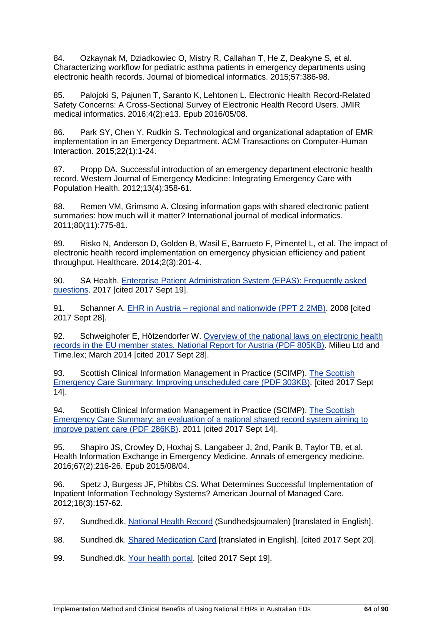84. Ozkaynak M, Dziadkowiec O, Mistry R, Callahan T, He Z, Deakyne S, et al. Characterizing workflow for pediatric asthma patients in emergency departments using electronic health records. Journal of biomedical informatics. 2015;57:386-98.

85. Palojoki S, Pajunen T, Saranto K, Lehtonen L. Electronic Health Record-Related Safety Concerns: A Cross-Sectional Survey of Electronic Health Record Users. JMIR medical informatics. 2016;4(2):e13. Epub 2016/05/08.

86. Park SY, Chen Y, Rudkin S. Technological and organizational adaptation of EMR implementation in an Emergency Department. ACM Transactions on Computer-Human Interaction. 2015;22(1):1-24.

87. Propp DA. Successful introduction of an emergency department electronic health record. Western Journal of Emergency Medicine: Integrating Emergency Care with Population Health. 2012;13(4):358-61.

88. Remen VM, Grimsmo A. Closing information gaps with shared electronic patient summaries: how much will it matter? International journal of medical informatics. 2011;80(11):775-81.

89. Risko N, Anderson D, Golden B, Wasil E, Barrueto F, Pimentel L, et al. The impact of electronic health record implementation on emergency physician efficiency and patient throughput. Healthcare. 2014;2(3):201-4.

90. SA Health. [Enterprise Patient Administration System \(EPAS\): Frequently asked](http://www.sahealth.sa.gov.au/wps/wcm/connect/f159a98049668072bfd1ff3b73084503/EPAS+Frequently+asked+question+FAQ+-+20170914.pdf?MOD=AJPERES&CACHEID=f159a98049668072bfd1ff3b73084503)  [questions.](http://www.sahealth.sa.gov.au/wps/wcm/connect/f159a98049668072bfd1ff3b73084503/EPAS+Frequently+asked+question+FAQ+-+20170914.pdf?MOD=AJPERES&CACHEID=f159a98049668072bfd1ff3b73084503) 2017 [cited 2017 Sept 19].

91. Schanner A. EHR in Austria – [regional and nationwide \(PPT 2.2MB\).](http://ec.europa.eu/regional_policy/opendays/od2008/doc/presentation/09A35_Schanner.ppt) 2008 [cited 2017 Sept 28].

92. Schweighofer E, Hötzendorfer W. [Overview of the national laws on electronic health](https://ec.europa.eu/health/sites/health/files/ehealth/docs/laws_austria_en.pdf)  [records in the EU member states. National Report for Austria \(PDF 805KB\).](https://ec.europa.eu/health/sites/health/files/ehealth/docs/laws_austria_en.pdf) Milieu Ltd and Time.lex; March 2014 [cited 2017 Sept 28].

93. Scottish Clinical Information Management in Practice (SCIMP). [The Scottish](http://www.scimp.scot.nhs.uk/wp-content/uploads/documents/Quality_Improvement_report_final_001.pdf)  [Emergency Care Summary: Improving unscheduled care \(PDF 303KB\).](http://www.scimp.scot.nhs.uk/wp-content/uploads/documents/Quality_Improvement_report_final_001.pdf) [cited 2017 Sept 14].

94. Scottish Clinical Information Management in Practice (SCIMP). [The Scottish](http://www.scimp.scot.nhs.uk/wp-content/uploads/documents/ECSpaperMarch2011HIJ_July2011_001.pdf)  [Emergency Care Summary: an evaluation of a national shared record system aiming to](http://www.scimp.scot.nhs.uk/wp-content/uploads/documents/ECSpaperMarch2011HIJ_July2011_001.pdf)  [improve patient care \(PDF 286KB\).](http://www.scimp.scot.nhs.uk/wp-content/uploads/documents/ECSpaperMarch2011HIJ_July2011_001.pdf) 2011 [cited 2017 Sept 14].

95. Shapiro JS, Crowley D, Hoxhaj S, Langabeer J, 2nd, Panik B, Taylor TB, et al. Health Information Exchange in Emergency Medicine. Annals of emergency medicine. 2016;67(2):216-26. Epub 2015/08/04.

96. Spetz J, Burgess JF, Phibbs CS. What Determines Successful Implementation of Inpatient Information Technology Systems? American Journal of Managed Care. 2012;18(3):157-62.

97. Sundhed.dk. [National Health Record](https://www.sundhed.dk/borger/min-side/min-sundhedsjournal/) (Sundhedsjournalen) [translated in English].

98. Sundhed.dk. [Shared Medication Card](https://www.sundhed.dk/borger/min-side/min-sundhedsjournal/medicinkortet) [translated in English]. [cited 2017 Sept 20].

99. Sundhed.dk. [Your health portal.](https://www.sundhed.dk/) [cited 2017 Sept 19].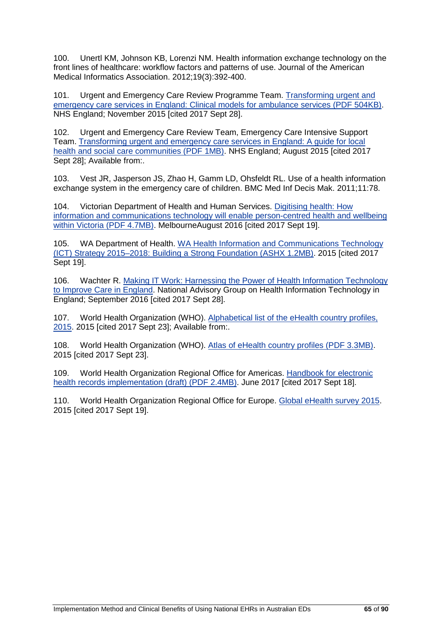100. Unertl KM, Johnson KB, Lorenzi NM. Health information exchange technology on the front lines of healthcare: workflow factors and patterns of use. Journal of the American Medical Informatics Association. 2012;19(3):392-400.

101. Urgent and Emergency Care Review Programme Team. [Transforming urgent and](http://www.nhs.uk/NHSEngland/keogh-review/Documents/UECR-ambulance-guidance-FV.PDF)  [emergency care services in England: Clinical models for ambulance services \(PDF 504KB\).](http://www.nhs.uk/NHSEngland/keogh-review/Documents/UECR-ambulance-guidance-FV.PDF) NHS England; November 2015 [cited 2017 Sept 28].

102. Urgent and Emergency Care Review Team, Emergency Care Intensive Support Team. [Transforming urgent and emergency care services in England:](https://www.england.nhs.uk/wp-content/uploads/2015/06/trans-uec.pdf) A guide for local [health and social care communities \(PDF 1MB\).](https://www.england.nhs.uk/wp-content/uploads/2015/06/trans-uec.pdf) NHS England; August 2015 [cited 2017 Sept 28]; Available from:.

103. Vest JR, Jasperson JS, Zhao H, Gamm LD, Ohsfeldt RL. Use of a health information exchange system in the emergency care of children. BMC Med Inf Decis Mak. 2011;11:78.

104. Victorian Department of Health and Human Services. [Digitising health: How](http://www2.health.vic.gov.au/Api/downloadmedia/%7BC0F7245E-7F28-472E-821C-F17BCF1DB816%7D)  [information and communications technology will enable person-centred health and wellbeing](http://www2.health.vic.gov.au/Api/downloadmedia/%7BC0F7245E-7F28-472E-821C-F17BCF1DB816%7D)  [within Victoria \(PDF 4.7MB\).](http://www2.health.vic.gov.au/Api/downloadmedia/%7BC0F7245E-7F28-472E-821C-F17BCF1DB816%7D) MelbourneAugust 2016 [cited 2017 Sept 19].

105. WA Department of Health. [WA Health Information and Communications Technology](http://ww2.health.wa.gov.au/%7E/media/Files/Corporate/Reports%20and%20publications/PDF/ICT-strategy-2015-2018.ashx)  [\(ICT\) Strategy 2015–2018: Building a Strong Foundation \(ASHX 1.2MB\).](http://ww2.health.wa.gov.au/%7E/media/Files/Corporate/Reports%20and%20publications/PDF/ICT-strategy-2015-2018.ashx) 2015 [cited 2017 Sept 19].

106. Wachter R. [Making IT Work: Harnessing the Power of Health Information Technology](https://www.gov.uk/government/publications/using-information-technology-to-improve-the-nhs/making-it-work-harnessing-the-power-of-health-information-technology-to-improve-care-in-england)  [to Improve Care in England.](https://www.gov.uk/government/publications/using-information-technology-to-improve-the-nhs/making-it-work-harnessing-the-power-of-health-information-technology-to-improve-care-in-england) National Advisory Group on Health Information Technology in England; September 2016 [cited 2017 Sept 28].

107. World Health Organization (WHO). Alphabetical list of the eHealth country profiles, [2015.](http://www.who.int/goe/publications/atlas/2015/en/) 2015 [cited 2017 Sept 23]; Available from:.

108. World Health Organization (WHO). [Atlas of eHealth country profiles \(PDF 3.3MB\).](http://apps.who.int/iris/bitstream/10665/204523/1/9789241565219_eng.pdf?ua=1) 2015 [cited 2017 Sept 23].

109. World Health Organization Regional Office for Americas. [Handbook for electronic](http://www.paho.org/ict4health/images/docs/DRAFT-Handbook_EHR_Implementation.pdf)  [health records implementation \(draft\) \(PDF 2.4MB\).](http://www.paho.org/ict4health/images/docs/DRAFT-Handbook_EHR_Implementation.pdf) June 2017 [cited 2017 Sept 18].

110. World Health Organization Regional Office for Europe. [Global eHealth survey 2015.](https://gateway.euro.who.int/en/datasets/ehealth-survey-2015/) 2015 [cited 2017 Sept 19].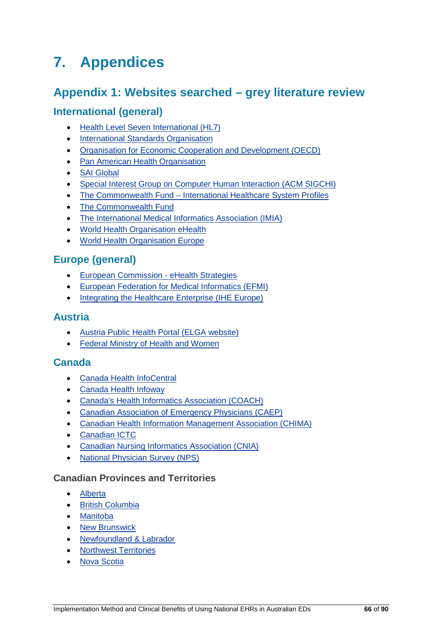# **7. Appendices**

# **Appendix 1: Websites searched – grey literature review**

# **International (general)**

- [Health Level Seven International \(HL7\)](http://www.hl7.org/)
- [International Standards Organisation](http://www.iso.org/)
- [Organisation for Economic Cooperation and Development \(OECD\)](http://www.oecd.org/)
- [Pan American Health Organisation](http://www.paho.org/)
- [SAI Global](https://infostore.saiglobal.com/)
- [Special Interest Group on Computer Human Interaction \(ACM SIGCHI\)](http://www.sigchi.org/)
- The Commonwealth Fund [International Healthcare System Profiles](http://international.commonwealthfund.org/)
- [The Commonwealth Fund](http://www.commonwealthfund.org/)
- [The International Medical Informatics Association](http://www.imia-medinfo.org/new2/) (IMIA)
- [World Health Organisation eHealth](http://www.who.int/eHealth/en/)
- [World Health Organisation Europe](http://www.euro.who.int/en/home)

# **Europe (general)**

- [European Commission -](http://ehealth-strategies.eu/about/about.html) eHealth Strategies
- [European Federation for Medical Informatics \(EFMI\)](http://www.efmi.org/)
- [Integrating the Healthcare Enterprise \(IHE Europe\)](https://www.ihe-europe.net/)

# **Austria**

- [Austria Public Health Portal \(ELGA website\)](https://www.gesundheit.gv.at/)
- [Federal Ministry of Health and](https://www.bmgf.gv.at/) Women

# **Canada**

- [Canada Health InfoCentral](https://infocentral.infoway-inforoute.ca/)
- [Canada Health Infoway](https://www.infoway-inforoute.ca/en/)
- [Canada's Health Informatics Association \(COACH\)](http://www.coachorg.com/en/index.asp)
- [Canadian Association of Emergency Physicians \(CAEP\)](http://caep.ca/)
- [Canadian Health Information Management Association \(CHIMA\)](https://www.echima.ca/)
- [Canadian ICTC](https://www.ictc-ctic.ca/)
- [Canadian Nursing Informatics Association \(CNIA\)](https://cnia.ca/)
- [National Physician Survey \(NPS\)](http://nationalphysiciansurvey.ca/)

## **Canadian Provinces and Territories**

- [Alberta](http://www.health.alberta.ca/)
- [British Columbia](http://www2.gov.bc.ca/)
- [Manitoba](http://www.echartmanitoba.ca/)
- [New Brunswick](http://www2.gnb.ca/)
- [Newfoundland & Labrador](https://www.nlchi.nl.ca/)
- [Northwest Territories](http://www.gov.nt.ca/)
- [Nova Scotia](https://novascotia.ca/)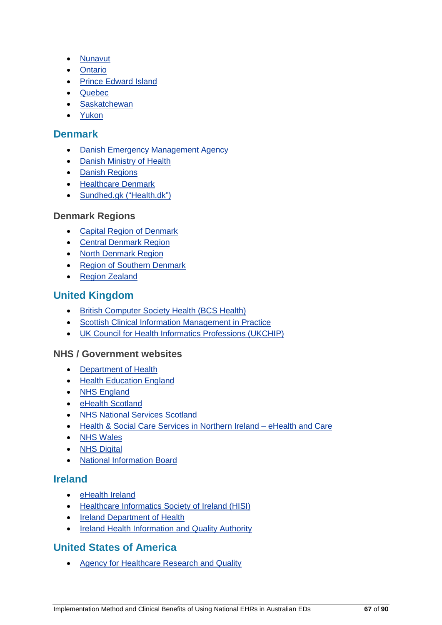- [Nunavut](http://www.gov.nu.ca/)
- [Ontario](http://www.ehealthontario.on.ca/)
- [Prince Edward Island](https://www.princeedwardisland.ca/)
- [Quebec](https://www.dcicristalnet.com/)
- [Saskatchewan](https://www.ehealthsask.ca/)
- [Yukon](http://www.hss.gov.yk.ca/)

### **Denmark**

- [Danish Emergency Management Agency](http://brs.dk/)
- [Danish Ministry of Health](http://sum.dk/)
- [Danish Regions](http://www.regioner.dk/)
- [Healthcare Denmark](http://healthcaredenmark.dk/)
- [Sundhed.gk \("Health.dk"\)](https://www.sundhed.dk/)

#### **Denmark Regions**

- [Capital Region of Denmark](http://www.regionh.dk/)
- [Central Denmark Region](https://www.rm.dk/)
- [North Denmark Region](http://www.rn.dk/)
- [Region of Southern Denmark](http://www.regionsyddanmark.dk/)
- [Region Zealand](http://www.regionsjaelland.dk/)

## **United Kingdom**

- [British Computer Society Health \(BCS Health\)](http://www.bcs.org/category/6044)
- [Scottish Clinical Information Management in Practice](http://www.scimp.scot.nhs.uk/)
- [UK Council for Health Informatics Professions \(UKCHIP\)](http://www.ukchip.org/)

#### **NHS / Government websites**

- [Department of Health](https://www.gov.uk/)
- [Health Education England](https://hee.nhs.uk/)
- [NHS England](https://www.england.nhs.uk/)
- [eHealth Scotland](http://www.ehealth.nhs.scot/)
- [NHS National Services Scotland](https://nhsnss.org/)
- [Health & Social Care Services in Northern Ireland –](http://www.ehealthandcare.hscni.net/eHealth.aspx) eHealth and Care
- [NHS Wales](http://www.wales.nhs.uk/)
- [NHS Digital](https://digital.nhs.uk/)
- [National Information Board](https://www.gov.uk/government/organisations/national-information-board)

## **Ireland**

- [eHealth Ireland](http://www.ehealthireland.ie/)
- [Healthcare Informatics Society of Ireland \(HISI\)](http://www.hisi.ie/hisi)
- [Ireland Department of Health](http://health.gov.ie/future-health/tackling-the-capacity-deficit/eHealth/)
- [Ireland Health Information and Quality Authority](http://www.hiqa.ie/)

# **United States of America**

• [Agency for Healthcare Research and Quality](https://psnet.ahrq.gov/topics)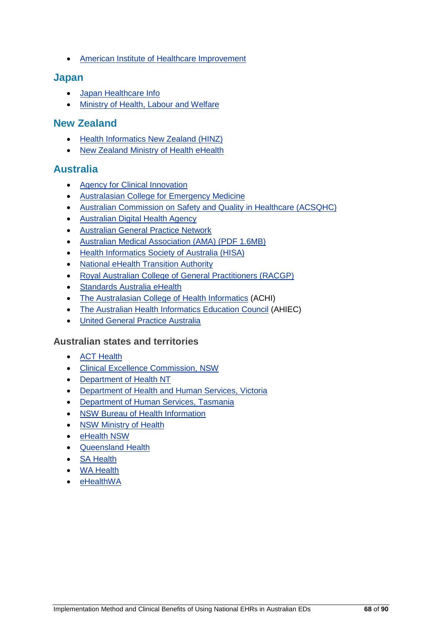• [American Institute of Healthcare Improvement](http://www.ihi.org/resources/Pages/Tools/HowtoGuideImprovingTransitionstoReduceAvoidableRehospitalizations.aspx)

#### **Japan**

- [Japan Healthcare Info](http://japanhealthinfo.com/)
- [Ministry of Health, Labour and Welfare](http://www.mhlw.go.jp/english/)

### **New Zealand**

- [Health Informatics New Zealand \(HINZ\)](http://www.hinz.org.nz/)
- [New Zealand Ministry of Health eHealth](http://www.health.govt.nz/our-work/eHealth)

#### **Australia**

- [Agency for Clinical Innovation](http://www.aci.health.nsw.gov.au/)
- [Australasian College for Emergency Medicine](https://acem.org.au/)
- [Australian Commission on Safety and Quality in Healthcare \(ACSQHC\)](http://www.safetyandquality.gov.au/)
- [Australian Digital Health Agency](https://www.digitalhealth.gov.au/)
- [Australian General Practice Network](https://www.agpg.org.au/)
- [Australian Medical Association \(AMA\) \(PDF 1.6MB\)](file://192.168.100.10/groups/01-Projects/01-Projects%20-%20Active/ACSQHC/16-122-eHEALTH/Edits/25-Accessibility%20ehealth%20in%20EDs/%E2%80%A2%09https:/ama.com.au/sites/default/files/documents/Clinical_Handover_0.pdf)
- [Health Informatics Society of Australia \(HISA\)](http://www.hisa.org.au/)
- [National eHealth Transition Authority](http://www.nehta.gov.au/)
- [Royal Australian College of General Practitioners \(RACGP\)](http://www.racgp.org.au/your-practice/standards/standards4thedition/)
- [Standards Australia eHealth](http://www.e-health.standards.org.au/Home/Publications.aspx)
- [The Australasian College of Health Informatics](http://www.achi.org.au/) (ACHI)
- [The Australian Health Informatics Education Council](http://www.ahiec.org.au/) (AHIEC)
- [United General Practice Australia](https://gpra.org.au/ugpa/)

#### **Australian states and territories**

- [ACT Health](http://www.health.act.gov.au/)
- [Clinical Excellence Commission, NSW](http://www.cec.health.nsw.gov.au/)
- [Department of Health NT](https://health.nt.gov.au/)
- [Department of Health and Human Services, Victoria](https://www2.health.vic.gov.au/)
- [Department of Human Services, Tasmania](http://www.dhhs.tas.gov.au/)
- [NSW Bureau of Health Information](http://www.bhi.nsw.gov.au/)
- [NSW Ministry of Health](http://www.health.nsw.gov.au/Pages/default.aspx)
- [eHealth NSW](http://www.ehealth.nsw.gov.au/)
- [Queensland Health](https://www.health.qld.gov.au/)
- [SA Health](http://www.sahealth.sa.gov.au/wps/wcm/connect/Public+Content/SA+Health+Internet/)
- [WA Health](http://ww2.health.wa.gov.au/)
- [eHealthWA](http://www.health.wa.gov.au/eHealthwa/home/)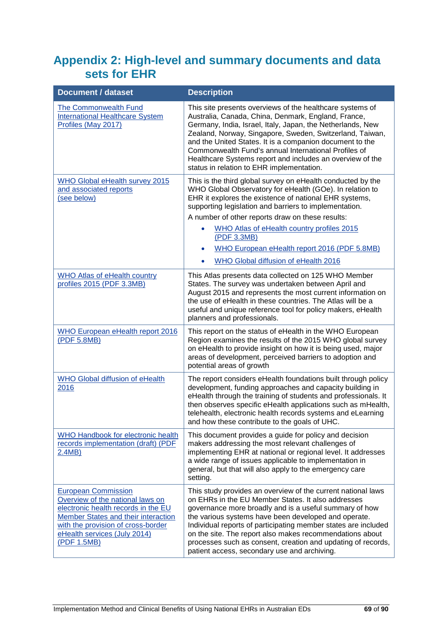# **Appendix 2: High-level and summary documents and data sets for EHR**

| <b>Document / dataset</b>                                                                                                                                                                                                         | <b>Description</b>                                                                                                                                                                                                                                                                                                                                                                                                                                                                 |  |
|-----------------------------------------------------------------------------------------------------------------------------------------------------------------------------------------------------------------------------------|------------------------------------------------------------------------------------------------------------------------------------------------------------------------------------------------------------------------------------------------------------------------------------------------------------------------------------------------------------------------------------------------------------------------------------------------------------------------------------|--|
| <b>The Commonwealth Fund</b><br><b>International Healthcare System</b><br>Profiles (May 2017)                                                                                                                                     | This site presents overviews of the healthcare systems of<br>Australia, Canada, China, Denmark, England, France,<br>Germany, India, Israel, Italy, Japan, the Netherlands, New<br>Zealand, Norway, Singapore, Sweden, Switzerland, Taiwan,<br>and the United States. It is a companion document to the<br>Commonwealth Fund's annual International Profiles of<br>Healthcare Systems report and includes an overview of the<br>status in relation to EHR implementation.           |  |
| <b>WHO Global eHealth survey 2015</b><br>and associated reports<br>(see below)                                                                                                                                                    | This is the third global survey on eHealth conducted by the<br>WHO Global Observatory for eHealth (GOe). In relation to<br>EHR it explores the existence of national EHR systems,<br>supporting legislation and barriers to implementation.<br>A number of other reports draw on these results:<br>WHO Atlas of eHealth country profiles 2015<br>(PDF 3.3MB)<br>WHO European eHealth report 2016 (PDF 5.8MB)<br><b>WHO Global diffusion of eHealth 2016</b>                        |  |
| <b>WHO Atlas of eHealth country</b><br>profiles 2015 (PDF 3.3MB)                                                                                                                                                                  | This Atlas presents data collected on 125 WHO Member<br>States. The survey was undertaken between April and<br>August 2015 and represents the most current information on<br>the use of eHealth in these countries. The Atlas will be a<br>useful and unique reference tool for policy makers, eHealth<br>planners and professionals.                                                                                                                                              |  |
| <b>WHO European eHealth report 2016</b><br>(PDF 5.8MB)                                                                                                                                                                            | This report on the status of eHealth in the WHO European<br>Region examines the results of the 2015 WHO global survey<br>on eHealth to provide insight on how it is being used, major<br>areas of development, perceived barriers to adoption and<br>potential areas of growth                                                                                                                                                                                                     |  |
| WHO Global diffusion of eHealth<br>2016                                                                                                                                                                                           | The report considers eHealth foundations built through policy<br>development, funding approaches and capacity building in<br>eHealth through the training of students and professionals. It<br>then observes specific eHealth applications such as mHealth,<br>telehealth, electronic health records systems and eLearning<br>and how these contribute to the goals of UHC.                                                                                                        |  |
| WHO Handbook for electronic health<br>records implementation (draft) (PDF<br>2.4MB)                                                                                                                                               | This document provides a guide for policy and decision<br>makers addressing the most relevant challenges of<br>implementing EHR at national or regional level. It addresses<br>a wide range of issues applicable to implementation in<br>general, but that will also apply to the emergency care<br>setting.                                                                                                                                                                       |  |
| <b>European Commission</b><br>Overview of the national laws on<br>electronic health records in the EU<br>Member States and their interaction<br>with the provision of cross-border<br>eHealth services (July 2014)<br>(PDF 1.5MB) | This study provides an overview of the current national laws<br>on EHRs in the EU Member States. It also addresses<br>governance more broadly and is a useful summary of how<br>the various systems have been developed and operate.<br>Individual reports of participating member states are included<br>on the site. The report also makes recommendations about<br>processes such as consent, creation and updating of records,<br>patient access, secondary use and archiving. |  |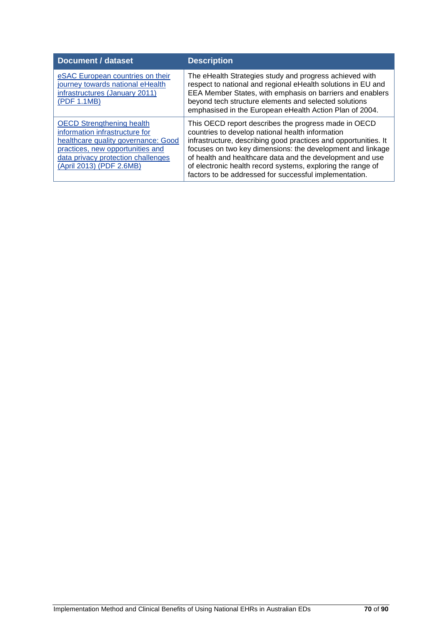| <b>Document / dataset</b>                                                                                                                                                                                       | <b>Description</b>                                                                                                                                                                                                                                                                                                                                                                                                              |
|-----------------------------------------------------------------------------------------------------------------------------------------------------------------------------------------------------------------|---------------------------------------------------------------------------------------------------------------------------------------------------------------------------------------------------------------------------------------------------------------------------------------------------------------------------------------------------------------------------------------------------------------------------------|
| eSAC European countries on their<br>journey towards national eHealth<br>infrastructures (January 2011)<br>(PDF 1.1MB)                                                                                           | The eHealth Strategies study and progress achieved with<br>respect to national and regional eHealth solutions in EU and<br>EEA Member States, with emphasis on barriers and enablers<br>beyond tech structure elements and selected solutions<br>emphasised in the European eHealth Action Plan of 2004.                                                                                                                        |
| <b>OECD Strengthening health</b><br>information infrastructure for<br>healthcare quality governance: Good<br>practices, new opportunities and<br>data privacy protection challenges<br>(April 2013) (PDF 2.6MB) | This OECD report describes the progress made in OECD<br>countries to develop national health information<br>infrastructure, describing good practices and opportunities. It<br>focuses on two key dimensions: the development and linkage<br>of health and healthcare data and the development and use<br>of electronic health record systems, exploring the range of<br>factors to be addressed for successful implementation. |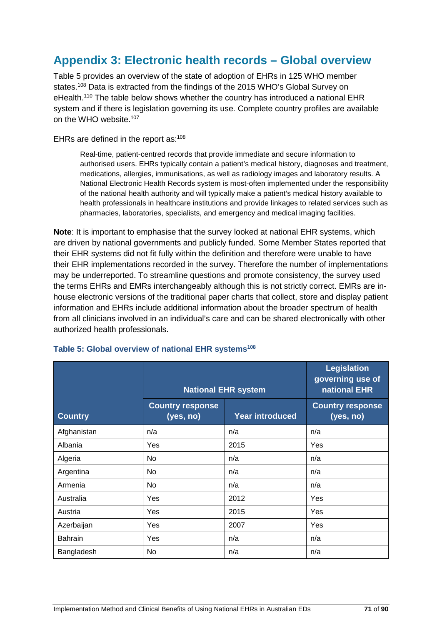# **Appendix 3: Electronic health records – Global overview**

Table 5 provides an overview of the state of adoption of EHRs in 125 WHO member states.<sup>108</sup> Data is extracted from the findings of the 2015 WHO's Global Survey on eHealth.<sup>110</sup> The table below shows whether the country has introduced a national EHR system and if there is legislation governing its use. Complete country profiles are available on the WHO website.107

EHRs are defined in the report as: 108

Real-time, patient-centred records that provide immediate and secure information to authorised users. EHRs typically contain a patient's medical history, diagnoses and treatment, medications, allergies, immunisations, as well as radiology images and laboratory results. A National Electronic Health Records system is most-often implemented under the responsibility of the national health authority and will typically make a patient's medical history available to health professionals in healthcare institutions and provide linkages to related services such as pharmacies, laboratories, specialists, and emergency and medical imaging facilities.

**Note**: It is important to emphasise that the survey looked at national EHR systems, which are driven by national governments and publicly funded. Some Member States reported that their EHR systems did not fit fully within the definition and therefore were unable to have their EHR implementations recorded in the survey. Therefore the number of implementations may be underreported. To streamline questions and promote consistency, the survey used the terms EHRs and EMRs interchangeably although this is not strictly correct. EMRs are inhouse electronic versions of the traditional paper charts that collect, store and display patient information and EHRs include additional information about the broader spectrum of health from all clinicians involved in an individual's care and can be shared electronically with other authorized health professionals.

|                | <b>National EHR system</b>           |                        | <b>Legislation</b><br>governing use of<br>national EHR |
|----------------|--------------------------------------|------------------------|--------------------------------------------------------|
| <b>Country</b> | <b>Country response</b><br>(yes, no) | <b>Year introduced</b> | <b>Country response</b><br>(yes, no)                   |
| Afghanistan    | n/a                                  | n/a                    | n/a                                                    |
| Albania        | Yes                                  | 2015                   | Yes                                                    |
| Algeria        | No                                   | n/a                    | n/a                                                    |
| Argentina      | No.                                  | n/a                    | n/a                                                    |
| Armenia        | No                                   | n/a                    | n/a                                                    |
| Australia      | Yes                                  | 2012                   | Yes                                                    |
| Austria        | Yes                                  | 2015                   | Yes                                                    |
| Azerbaijan     | Yes                                  | 2007                   | Yes                                                    |
| <b>Bahrain</b> | Yes                                  | n/a                    | n/a                                                    |
| Bangladesh     | No                                   | n/a                    | n/a                                                    |

#### Table 5: Global overview of national EHR systems<sup>108</sup>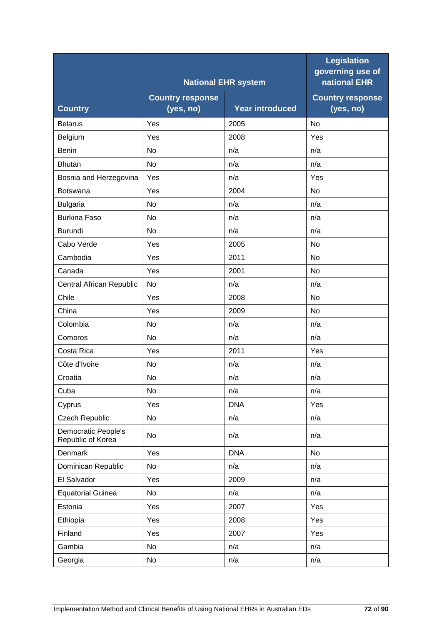|                                          |                                      | <b>National EHR system</b> | Legislation<br>governing use of<br>national EHR |
|------------------------------------------|--------------------------------------|----------------------------|-------------------------------------------------|
| <b>Country</b>                           | <b>Country response</b><br>(yes, no) | <b>Year introduced</b>     | <b>Country response</b><br>(yes, no)            |
| <b>Belarus</b>                           | Yes                                  | 2005                       | No                                              |
| Belgium                                  | Yes                                  | 2008                       | Yes                                             |
| <b>Benin</b>                             | <b>No</b>                            | n/a                        | n/a                                             |
| <b>Bhutan</b>                            | No                                   | n/a                        | n/a                                             |
| Bosnia and Herzegovina                   | Yes                                  | n/a                        | Yes                                             |
| <b>Botswana</b>                          | Yes                                  | 2004                       | No                                              |
| <b>Bulgaria</b>                          | No                                   | n/a                        | n/a                                             |
| <b>Burkina Faso</b>                      | No                                   | n/a                        | n/a                                             |
| <b>Burundi</b>                           | No                                   | n/a                        | n/a                                             |
| Cabo Verde                               | Yes                                  | 2005                       | No                                              |
| Cambodia                                 | Yes                                  | 2011                       | No                                              |
| Canada                                   | Yes                                  | 2001                       | No                                              |
| Central African Republic                 | No                                   | n/a                        | n/a                                             |
| Chile                                    | Yes                                  | 2008                       | <b>No</b>                                       |
| China                                    | Yes                                  | 2009                       | No                                              |
| Colombia                                 | <b>No</b>                            | n/a                        | n/a                                             |
| Comoros                                  | <b>No</b>                            | n/a                        | n/a                                             |
| Costa Rica                               | Yes                                  | 2011                       | Yes                                             |
| Côte d'Ivoire                            | No                                   | n/a                        | n/a                                             |
| Croatia                                  | No                                   | n/a                        | n/a                                             |
| Cuba                                     | No                                   | n/a                        | n/a                                             |
| Cyprus                                   | Yes                                  | <b>DNA</b>                 | Yes                                             |
| <b>Czech Republic</b>                    | No                                   | n/a                        | n/a                                             |
| Democratic People's<br>Republic of Korea | No                                   | n/a                        | n/a                                             |
| Denmark                                  | Yes                                  | <b>DNA</b>                 | No                                              |
| Dominican Republic                       | No                                   | n/a                        | n/a                                             |
| El Salvador                              | Yes                                  | 2009                       | n/a                                             |
| <b>Equatorial Guinea</b>                 | No                                   | n/a                        | n/a                                             |
| Estonia                                  | Yes                                  | 2007                       | Yes                                             |
| Ethiopia                                 | Yes                                  | 2008                       | Yes                                             |
| Finland                                  | Yes                                  | 2007                       | Yes                                             |
| Gambia                                   | No                                   | n/a                        | n/a                                             |
| Georgia                                  | No                                   | n/a                        | n/a                                             |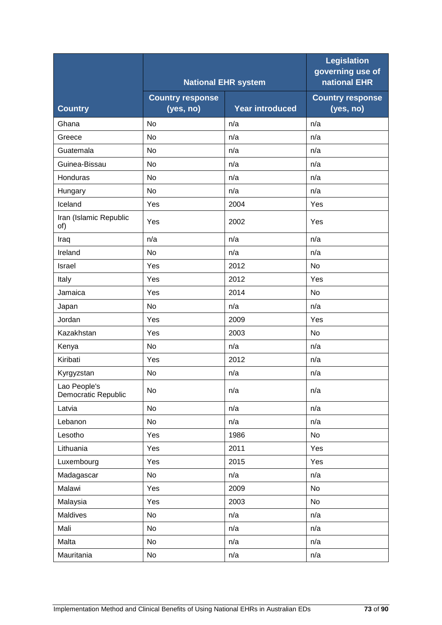|                                     |                                      | <b>National EHR system</b> | <b>Legislation</b><br>governing use of<br>national EHR |
|-------------------------------------|--------------------------------------|----------------------------|--------------------------------------------------------|
| <b>Country</b>                      | <b>Country response</b><br>(yes, no) | <b>Year introduced</b>     | <b>Country response</b><br>(yes, no)                   |
| Ghana                               | No                                   | n/a                        | n/a                                                    |
| Greece                              | <b>No</b>                            | n/a                        | n/a                                                    |
| Guatemala                           | <b>No</b>                            | n/a                        | n/a                                                    |
| Guinea-Bissau                       | <b>No</b>                            | n/a                        | n/a                                                    |
| Honduras                            | <b>No</b>                            | n/a                        | n/a                                                    |
| Hungary                             | No                                   | n/a                        | n/a                                                    |
| Iceland                             | Yes                                  | 2004                       | Yes                                                    |
| Iran (Islamic Republic<br>of)       | Yes                                  | 2002                       | Yes                                                    |
| Iraq                                | n/a                                  | n/a                        | n/a                                                    |
| Ireland                             | No                                   | n/a                        | n/a                                                    |
| Israel                              | Yes                                  | 2012                       | No                                                     |
| Italy                               | Yes                                  | 2012                       | Yes                                                    |
| Jamaica                             | Yes                                  | 2014                       | No                                                     |
| Japan                               | <b>No</b>                            | n/a                        | n/a                                                    |
| Jordan                              | Yes                                  | 2009                       | Yes                                                    |
| Kazakhstan                          | Yes                                  | 2003                       | No                                                     |
| Kenya                               | No                                   | n/a                        | n/a                                                    |
| Kiribati                            | Yes                                  | 2012                       | n/a                                                    |
| Kyrgyzstan                          | No                                   | n/a                        | n/a                                                    |
| Lao People's<br>Democratic Republic | No                                   | n/a                        | n/a                                                    |
| Latvia                              | No                                   | n/a                        | n/a                                                    |
| Lebanon                             | No                                   | n/a                        | n/a                                                    |
| Lesotho                             | Yes                                  | 1986                       | No                                                     |
| Lithuania                           | Yes                                  | 2011                       | Yes                                                    |
| Luxembourg                          | Yes                                  | 2015                       | Yes                                                    |
| Madagascar                          | No                                   | n/a                        | n/a                                                    |
| Malawi                              | Yes                                  | 2009                       | No                                                     |
| Malaysia                            | Yes                                  | 2003                       | No                                                     |
| Maldives                            | No                                   | n/a                        | n/a                                                    |
| Mali                                | No                                   | n/a                        | n/a                                                    |
| Malta                               | No                                   | n/a                        | n/a                                                    |
| Mauritania                          | No                                   | n/a                        | n/a                                                    |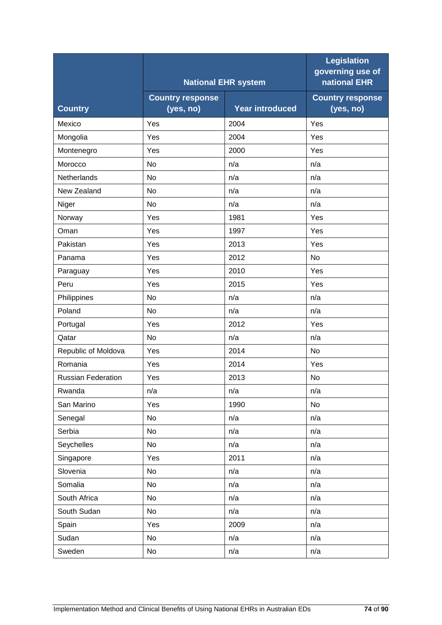|                           |                                      |                            | <b>Legislation</b><br>governing use of<br>national EHR |
|---------------------------|--------------------------------------|----------------------------|--------------------------------------------------------|
|                           |                                      | <b>National EHR system</b> |                                                        |
| <b>Country</b>            | <b>Country response</b><br>(yes, no) | <b>Year introduced</b>     | <b>Country response</b><br>(yes, no)                   |
| Mexico                    | Yes                                  | 2004                       | Yes                                                    |
| Mongolia                  | Yes                                  | 2004                       | Yes                                                    |
| Montenegro                | Yes                                  | 2000                       | Yes                                                    |
| Morocco                   | No                                   | n/a                        | n/a                                                    |
| Netherlands               | No                                   | n/a                        | n/a                                                    |
| New Zealand               | No                                   | n/a                        | n/a                                                    |
| Niger                     | No                                   | n/a                        | n/a                                                    |
| Norway                    | Yes                                  | 1981                       | Yes                                                    |
| Oman                      | Yes                                  | 1997                       | Yes                                                    |
| Pakistan                  | Yes                                  | 2013                       | Yes                                                    |
| Panama                    | Yes                                  | 2012                       | No                                                     |
| Paraguay                  | Yes                                  | 2010                       | Yes                                                    |
| Peru                      | Yes                                  | 2015                       | Yes                                                    |
| Philippines               | <b>No</b>                            | n/a                        | n/a                                                    |
| Poland                    | No                                   | n/a                        | n/a                                                    |
| Portugal                  | Yes                                  | 2012                       | Yes                                                    |
| Qatar                     | <b>No</b>                            | n/a                        | n/a                                                    |
| Republic of Moldova       | Yes                                  | 2014                       | <b>No</b>                                              |
| Romania                   | Yes                                  | 2014                       | Yes                                                    |
| <b>Russian Federation</b> | Yes                                  | 2013                       | <b>No</b>                                              |
| Rwanda                    | n/a                                  | n/a                        | n/a                                                    |
| San Marino                | Yes                                  | 1990                       | No                                                     |
| Senegal                   | No                                   | n/a                        | n/a                                                    |
| Serbia                    | No                                   | n/a                        | n/a                                                    |
| Seychelles                | No                                   | n/a                        | n/a                                                    |
| Singapore                 | Yes                                  | 2011                       | n/a                                                    |
| Slovenia                  | No                                   | n/a                        | n/a                                                    |
| Somalia                   | No                                   | n/a                        | n/a                                                    |
| South Africa              | No                                   | n/a                        | n/a                                                    |
| South Sudan               | No                                   | n/a                        | n/a                                                    |
| Spain                     | Yes                                  | 2009                       | n/a                                                    |
| Sudan                     | No                                   | n/a                        | n/a                                                    |
| Sweden                    | No                                   | n/a                        | n/a                                                    |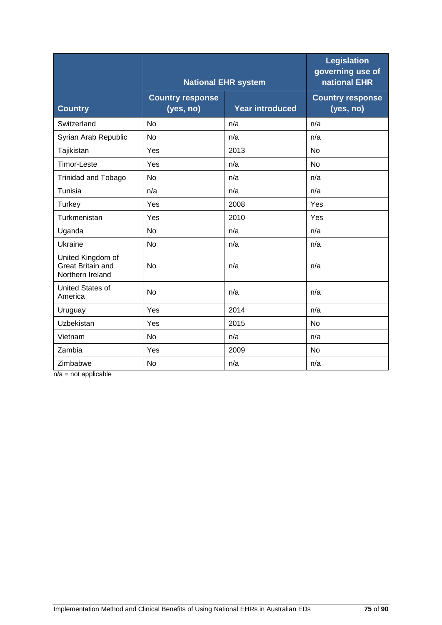|                                                                   |                                      | <b>National EHR system</b> | <b>Legislation</b><br>governing use of<br>national EHR |
|-------------------------------------------------------------------|--------------------------------------|----------------------------|--------------------------------------------------------|
| <b>Country</b>                                                    | <b>Country response</b><br>(yes, no) | <b>Year introduced</b>     | <b>Country response</b><br>(yes, no)                   |
| Switzerland                                                       | <b>No</b>                            | n/a                        | n/a                                                    |
| Syrian Arab Republic                                              | No                                   | n/a                        | n/a                                                    |
| Tajikistan                                                        | Yes                                  | 2013                       | <b>No</b>                                              |
| <b>Timor-Leste</b>                                                | Yes                                  | n/a                        | <b>No</b>                                              |
| <b>Trinidad and Tobago</b>                                        | <b>No</b>                            | n/a                        | n/a                                                    |
| Tunisia                                                           | n/a                                  | n/a                        | n/a                                                    |
| <b>Turkey</b>                                                     | Yes                                  | 2008                       | Yes                                                    |
| Turkmenistan                                                      | Yes                                  | 2010                       | Yes                                                    |
| Uganda                                                            | <b>No</b>                            | n/a                        | n/a                                                    |
| Ukraine                                                           | No                                   | n/a                        | n/a                                                    |
| United Kingdom of<br><b>Great Britain and</b><br>Northern Ireland | <b>No</b>                            | n/a                        | n/a                                                    |
| <b>United States of</b><br>America                                | <b>No</b>                            | n/a                        | n/a                                                    |
| Uruguay                                                           | Yes                                  | 2014                       | n/a                                                    |
| Uzbekistan                                                        | Yes                                  | 2015                       | No                                                     |
| Vietnam                                                           | <b>No</b>                            | n/a                        | n/a                                                    |
| Zambia                                                            | Yes                                  | 2009                       | <b>No</b>                                              |
| Zimbabwe                                                          | <b>No</b>                            | n/a                        | n/a                                                    |

 $n/a = not$  applicable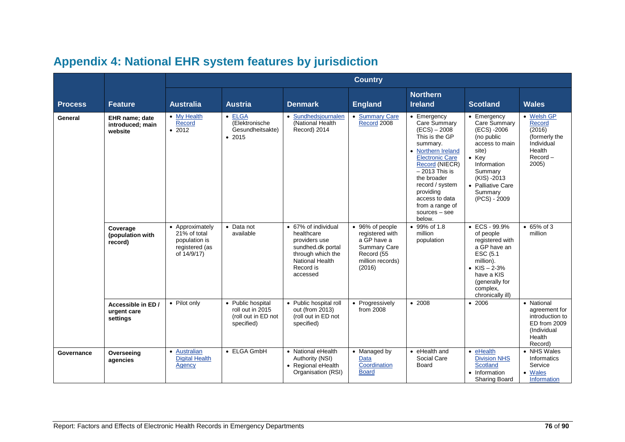|                |                                                      |                                                                                   | <b>Country</b>                                                             |                                                                                                                                          |                                                                                                                      |                                                                                                                                                                                                                                                                                   |                                                                                                                                                                                                 |                                                                                                    |  |
|----------------|------------------------------------------------------|-----------------------------------------------------------------------------------|----------------------------------------------------------------------------|------------------------------------------------------------------------------------------------------------------------------------------|----------------------------------------------------------------------------------------------------------------------|-----------------------------------------------------------------------------------------------------------------------------------------------------------------------------------------------------------------------------------------------------------------------------------|-------------------------------------------------------------------------------------------------------------------------------------------------------------------------------------------------|----------------------------------------------------------------------------------------------------|--|
| <b>Process</b> | <b>Feature</b>                                       | <b>Australia</b>                                                                  | <b>Austria</b>                                                             | <b>Denmark</b>                                                                                                                           | <b>England</b>                                                                                                       | <b>Northern</b><br><b>Ireland</b>                                                                                                                                                                                                                                                 | <b>Scotland</b>                                                                                                                                                                                 | <b>Wales</b>                                                                                       |  |
| General        | <b>EHR</b> name: date<br>introduced; main<br>website | • My Health<br>Record<br>• 2012                                                   | $\bullet$ ELGA<br>(Elektronische<br>Gesundheitsakte)<br>• 2015             | • Sundhedsjournalen<br>(National Health<br>Record) 2014                                                                                  | • Summary Care<br>Record 2008                                                                                        | • Emergency<br>Care Summary<br>$(ECS) - 2008$<br>This is the GP<br>summary.<br>• Northern Ireland<br><b>Electronic Care</b><br>Record (NIECR)<br>$-2013$ This is<br>the broader<br>record / system<br>providing<br>access to data<br>from a range of<br>$sources - see$<br>below. | • Emergency<br>Care Summary<br>(ECS) -2006<br>(no public<br>access to main<br>site)<br>$\bullet$ Key<br>Information<br>Summary<br>(KIS) -2013<br>• Palliative Care<br>Summary<br>$(PCS) - 2009$ | • Welsh GP<br>Record<br>(2016)<br>(formerly the<br>Individual<br>Health<br>$Record -$<br>2005      |  |
|                | Coverage<br>(population with<br>record)              | • Approximately<br>21% of total<br>population is<br>registered (as<br>of 14/9/17) | • Data not<br>available                                                    | • 67% of individual<br>healthcare<br>providers use<br>sundhed.dk portal<br>through which the<br>National Health<br>Record is<br>accessed | • 96% of people<br>registered with<br>a GP have a<br><b>Summary Care</b><br>Record (55<br>million records)<br>(2016) | 99% of 1.8<br>million<br>population                                                                                                                                                                                                                                               | $\cdot$ ECS - 99.9%<br>of people<br>registered with<br>a GP have an<br>ESC (5.1<br>million).<br>• $KIS - 2-3%$<br>have a KIS<br>(generally for<br>complex,<br>chronically ill)                  | • 65% of 3<br>million                                                                              |  |
|                | Accessible in ED /<br>urgent care<br>settings        | • Pilot only                                                                      | • Public hospital<br>roll out in 2015<br>(roll out in ED not<br>specified) | • Public hospital roll<br>out (from 2013)<br>(roll out in ED not<br>specified)                                                           | • Progressively<br>from 2008                                                                                         | • 2008                                                                                                                                                                                                                                                                            | • 2006                                                                                                                                                                                          | • National<br>agreement for<br>introduction to<br>ED from 2009<br>(Individual<br>Health<br>Record) |  |
| Governance     | Overseeing<br>agencies                               | • Australian<br><b>Digital Health</b><br>Agency                                   | • ELGA GmbH                                                                | • National eHealth<br>Authority (NSI)<br>• Regional eHealth<br>Organisation (RSI)                                                        | • Managed by<br>Data<br>Coordination<br><b>Board</b>                                                                 | • eHealth and<br>Social Care<br>Board                                                                                                                                                                                                                                             | $\bullet$ eHealth<br><b>Division NHS</b><br>Scotland<br>• Information<br>Sharing Board                                                                                                          | • NHS Wales<br><b>Informatics</b><br>Service<br>• Wales<br><b>Information</b>                      |  |

## **Appendix 4: National EHR system features by jurisdiction**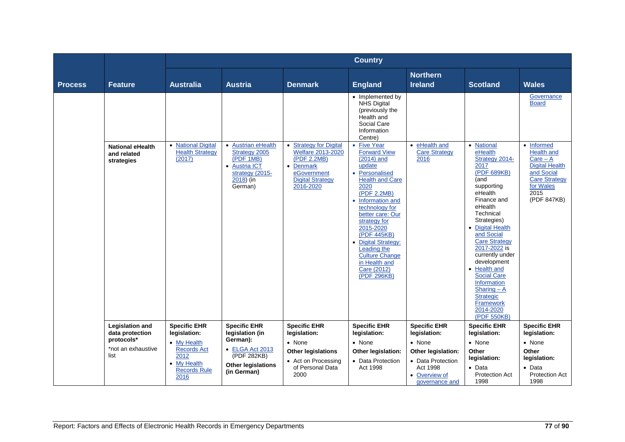|                |                                                      |                                                                                         |                                                                                                              |                                                                                                                                     | <b>Country</b>                                                                                                                                                                                                                                                                                                                                                         |                                                                                                  |                                                                                                                                                                                                                                                                                                                                                                                                                    |                                                                                                                                           |
|----------------|------------------------------------------------------|-----------------------------------------------------------------------------------------|--------------------------------------------------------------------------------------------------------------|-------------------------------------------------------------------------------------------------------------------------------------|------------------------------------------------------------------------------------------------------------------------------------------------------------------------------------------------------------------------------------------------------------------------------------------------------------------------------------------------------------------------|--------------------------------------------------------------------------------------------------|--------------------------------------------------------------------------------------------------------------------------------------------------------------------------------------------------------------------------------------------------------------------------------------------------------------------------------------------------------------------------------------------------------------------|-------------------------------------------------------------------------------------------------------------------------------------------|
| <b>Process</b> | <b>Feature</b>                                       | <b>Australia</b>                                                                        | <b>Austria</b>                                                                                               | <b>Denmark</b>                                                                                                                      | <b>England</b>                                                                                                                                                                                                                                                                                                                                                         | <b>Northern</b><br><b>Ireland</b>                                                                | <b>Scotland</b>                                                                                                                                                                                                                                                                                                                                                                                                    | <b>Wales</b>                                                                                                                              |
|                |                                                      |                                                                                         |                                                                                                              |                                                                                                                                     | • Implemented by<br><b>NHS Digital</b><br>(previously the<br>Health and<br>Social Care<br>Information<br>Centre)                                                                                                                                                                                                                                                       |                                                                                                  |                                                                                                                                                                                                                                                                                                                                                                                                                    | Governance<br><b>Board</b>                                                                                                                |
|                | <b>National eHealth</b><br>and related<br>strategies | • National Digital<br><b>Health Strategy</b><br>(2017)                                  | • Austrian eHealth<br>Strategy 2005<br>(PDF 1MB)<br>• Austria ICT<br>strategy (2015-<br>2018) (in<br>German) | <b>Strategy for Digital</b><br>Welfare 2013-2020<br>(PDF 2.2MB)<br>• Denmark<br>eGovernment<br><b>Digital Strategy</b><br>2016-2020 | <b>Five Year</b><br>$\bullet$<br><b>Forward View</b><br>$(2014)$ and<br>update<br>• Personalised<br><b>Health and Care</b><br>2020<br>(PDF 2.2MB)<br>• Information and<br>technology for<br>better care: Our<br>strategy for<br>2015-2020<br>(PDF 445KB)<br>• Digital Strategy:<br>Leading the<br><b>Culture Change</b><br>in Health and<br>Care (2012)<br>(PDF 296KB) | eHealth and<br>$\bullet$<br><b>Care Strategy</b><br>2016                                         | • National<br>eHealth<br>Strategy 2014-<br>2017<br>(PDF 689KB)<br>(and<br>supporting<br>eHealth<br>Finance and<br>eHealth<br>Technical<br>Strategies)<br>• Digital Health<br>and Social<br><b>Care Strategy</b><br>2017-2022 is<br>currently under<br>development<br>• Health and<br><b>Social Care</b><br><b>Information</b><br>Sharing $- A$<br><b>Strategic</b><br><b>Framework</b><br>2014-2020<br>(PDF 550KB) | • Informed<br><b>Health and</b><br>$Care - A$<br><b>Digital Health</b><br>and Social<br>Care Strategy<br>for Wales<br>2015<br>(PDF 847KB) |
|                | <b>Legislation and</b><br>data protection            | <b>Specific EHR</b><br>legislation:                                                     | <b>Specific EHR</b><br>legislation (in                                                                       | <b>Specific EHR</b><br>legislation:                                                                                                 | <b>Specific EHR</b><br>legislation:                                                                                                                                                                                                                                                                                                                                    | <b>Specific EHR</b><br>legislation:                                                              | <b>Specific EHR</b><br>legislation:                                                                                                                                                                                                                                                                                                                                                                                | <b>Specific EHR</b><br>legislation:                                                                                                       |
|                | protocols*<br>*not an exhaustive<br>list             | • My Health<br><b>Records Act</b><br>2012<br>• My Health<br><b>Records Rule</b><br>2016 | German):<br>• ELGA Act 2013<br>(PDF 282KB)<br><b>Other legislations</b><br>(in German)                       | • None<br><b>Other legislations</b><br>• Act on Processing<br>of Personal Data<br>2000                                              | • None<br>Other legislation:<br>• Data Protection<br>Act 1998                                                                                                                                                                                                                                                                                                          | • None<br>Other legislation:<br>• Data Protection<br>Act 1998<br>• Overview of<br>governance and | • None<br>Other<br>legislation:<br>$\bullet$ Data<br><b>Protection Act</b><br>1998                                                                                                                                                                                                                                                                                                                                 | • None<br>Other<br>legislation:<br>$\bullet$ Data<br><b>Protection Act</b><br>1998                                                        |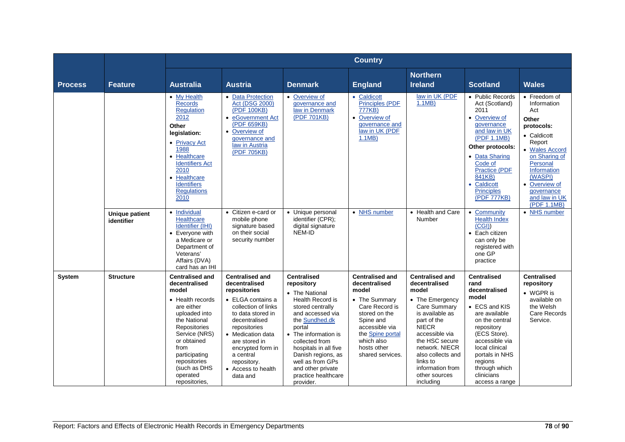|                |                                     |                                                                                                                                                                                                                                                           |                                                                                                                                                                                                                                                                                    |                                                                                                                                                                                                                                                                                                                         | <b>Country</b>                                                                                                                                                                                           |                                                                                                                                                                                                                                                                                |                                                                                                                                                                                                                                                          |                                                                                                                                                                                                                                   |
|----------------|-------------------------------------|-----------------------------------------------------------------------------------------------------------------------------------------------------------------------------------------------------------------------------------------------------------|------------------------------------------------------------------------------------------------------------------------------------------------------------------------------------------------------------------------------------------------------------------------------------|-------------------------------------------------------------------------------------------------------------------------------------------------------------------------------------------------------------------------------------------------------------------------------------------------------------------------|----------------------------------------------------------------------------------------------------------------------------------------------------------------------------------------------------------|--------------------------------------------------------------------------------------------------------------------------------------------------------------------------------------------------------------------------------------------------------------------------------|----------------------------------------------------------------------------------------------------------------------------------------------------------------------------------------------------------------------------------------------------------|-----------------------------------------------------------------------------------------------------------------------------------------------------------------------------------------------------------------------------------|
| <b>Process</b> | <b>Feature</b>                      | <b>Australia</b>                                                                                                                                                                                                                                          | <b>Austria</b>                                                                                                                                                                                                                                                                     | <b>Denmark</b>                                                                                                                                                                                                                                                                                                          | <b>England</b>                                                                                                                                                                                           | <b>Northern</b><br><b>Ireland</b>                                                                                                                                                                                                                                              | <b>Scotland</b>                                                                                                                                                                                                                                          | <b>Wales</b>                                                                                                                                                                                                                      |
|                |                                     | • My Health<br><b>Records</b><br>Regulation<br>2012<br>Other<br>legislation:<br>• Privacy Act<br>1988<br>• Healthcare<br><b>Identifiers Act</b><br>2010<br>• Healthcare<br><b>Identifiers</b><br><b>Regulations</b><br>2010                               | • Data Protection<br><b>Act (DSG 2000)</b><br>(PDF 100KB)<br>• eGovernment Act<br>(PDF 659KB)<br>• Overview of<br>governance and<br>law in Austria<br>(PDF 705KB)                                                                                                                  | • Overview of<br>governance and<br>law in Denmark<br>(PDF 701KB)                                                                                                                                                                                                                                                        | • Caldicott<br><b>Principles (PDF</b><br>777KB)<br>• Overview of<br>governance and<br>law in UK (PDF<br>1.1MB                                                                                            | law in UK (PDF<br>1.1MB                                                                                                                                                                                                                                                        | • Public Records<br>Act (Scotland)<br>2011<br>• Overview of<br>governance<br>and law in UK<br>(PDF 1.1MB)<br>Other protocols:<br>• Data Sharing<br>Code of<br><b>Practice (PDF</b><br>841KB)<br>• Caldicott<br><b>Principles</b><br>(PDF 777KB)          | • Freedom of<br>Information<br>Act<br>Other<br>protocols:<br>• Caldicott<br>Report<br>• Wales Accord<br>on Sharing of<br>Personal<br><b>Information</b><br>(WASPI)<br>• Overview of<br>qovernance<br>and law in UK<br>(PDF 1.1MB) |
|                | <b>Unique patient</b><br>identifier | • Individual<br><b>Healthcare</b><br><b>Identifier (IHI)</b><br>• Everyone with<br>a Medicare or<br>Department of<br>Veterans'<br>Affairs (DVA)<br>card has an IHI                                                                                        | • Citizen e-card or<br>mobile phone<br>signature based<br>on their social<br>security number                                                                                                                                                                                       | • Unique personal<br>identifier (CPR);<br>digital signature<br>NEM-ID                                                                                                                                                                                                                                                   | • NHS number                                                                                                                                                                                             | • Health and Care<br>Number                                                                                                                                                                                                                                                    | Community<br>$\bullet$<br><b>Health Index</b><br>(CGI)<br>• Each citizen<br>can only be<br>registered with<br>one GP<br>practice                                                                                                                         | • NHS number                                                                                                                                                                                                                      |
| System         | <b>Structure</b>                    | <b>Centralised and</b><br>decentralised<br>model<br>• Health records<br>are either<br>uploaded into<br>the National<br>Repositories<br>Service (NRS)<br>or obtained<br>from<br>participating<br>repositories<br>(such as DHS<br>operated<br>repositories, | <b>Centralised and</b><br>decentralised<br>repositories<br>• ELGA contains a<br>collection of links<br>to data stored in<br>decentralised<br>repositories<br>• Medication data<br>are stored in<br>encrypted form in<br>a central<br>repository.<br>• Access to health<br>data and | <b>Centralised</b><br>repository<br>• The National<br><b>Health Record is</b><br>stored centrally<br>and accessed via<br>the Sundhed.dk<br>portal<br>• The information is<br>collected from<br>hospitals in all five<br>Danish regions, as<br>well as from GPs<br>and other private<br>practice healthcare<br>provider. | <b>Centralised and</b><br>decentralised<br>model<br>• The Summary<br>Care Record is<br>stored on the<br>Spine and<br>accessible via<br>the Spine portal<br>which also<br>hosts other<br>shared services. | <b>Centralised and</b><br>decentralised<br>model<br>• The Emergency<br>Care Summary<br>is available as<br>part of the<br><b>NIECR</b><br>accessible via<br>the HSC secure<br>network. NIECR<br>also collects and<br>links to<br>information from<br>other sources<br>including | <b>Centralised</b><br>rand<br>decentralised<br>model<br>• ECS and KIS<br>are available<br>on the central<br>repository<br>(ECS Store).<br>accessible via<br>local clinical<br>portals in NHS<br>regions<br>through which<br>clinicians<br>access a range | <b>Centralised</b><br>repository<br>• WGPR is<br>available on<br>the Welsh<br>Care Records<br>Service.                                                                                                                            |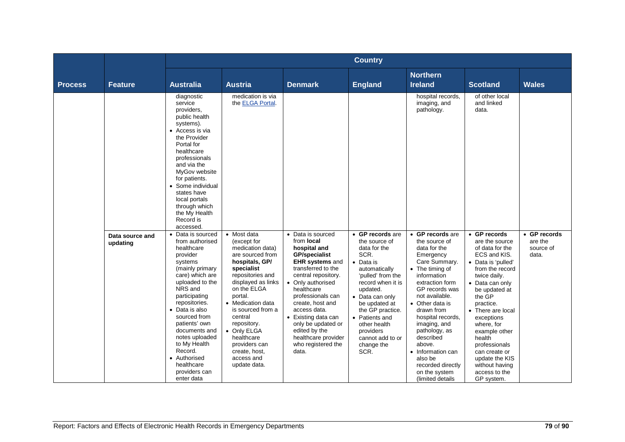|                |                             |                                                                                                                                                                                                                                                                                                                                                               |                                                                                                                                                                                                                                                                                                                                         |                                                                                                                                                                                                                                                                                                                                                                | <b>Country</b>                                                                                                                                                                                                                                                                                 |                                                                                                                                                                                                                                                                                                                                                                                   |                                                                                                                                                                                                                                                                                                                                                                        |                                               |
|----------------|-----------------------------|---------------------------------------------------------------------------------------------------------------------------------------------------------------------------------------------------------------------------------------------------------------------------------------------------------------------------------------------------------------|-----------------------------------------------------------------------------------------------------------------------------------------------------------------------------------------------------------------------------------------------------------------------------------------------------------------------------------------|----------------------------------------------------------------------------------------------------------------------------------------------------------------------------------------------------------------------------------------------------------------------------------------------------------------------------------------------------------------|------------------------------------------------------------------------------------------------------------------------------------------------------------------------------------------------------------------------------------------------------------------------------------------------|-----------------------------------------------------------------------------------------------------------------------------------------------------------------------------------------------------------------------------------------------------------------------------------------------------------------------------------------------------------------------------------|------------------------------------------------------------------------------------------------------------------------------------------------------------------------------------------------------------------------------------------------------------------------------------------------------------------------------------------------------------------------|-----------------------------------------------|
| <b>Process</b> | <b>Feature</b>              | <b>Australia</b>                                                                                                                                                                                                                                                                                                                                              | <b>Austria</b>                                                                                                                                                                                                                                                                                                                          | <b>Denmark</b>                                                                                                                                                                                                                                                                                                                                                 | <b>England</b>                                                                                                                                                                                                                                                                                 | <b>Northern</b><br><b>Ireland</b>                                                                                                                                                                                                                                                                                                                                                 | <b>Scotland</b>                                                                                                                                                                                                                                                                                                                                                        | <b>Wales</b>                                  |
|                |                             | diagnostic<br>service<br>providers.<br>public health<br>systems).<br>• Access is via<br>the Provider<br>Portal for<br>healthcare<br>professionals<br>and via the<br>MyGov website<br>for patients.<br>• Some individual<br>states have<br>local portals<br>through which<br>the My Health<br>Record is<br>accessed.                                           | medication is via<br>the ELGA Portal.                                                                                                                                                                                                                                                                                                   |                                                                                                                                                                                                                                                                                                                                                                |                                                                                                                                                                                                                                                                                                | hospital records,<br>imaging, and<br>pathology.                                                                                                                                                                                                                                                                                                                                   | of other local<br>and linked<br>data.                                                                                                                                                                                                                                                                                                                                  |                                               |
|                | Data source and<br>updating | • Data is sourced<br>from authorised<br>healthcare<br>provider<br>systems<br>(mainly primary<br>care) which are<br>uploaded to the<br>NRS and<br>participating<br>repositories.<br>• Data is also<br>sourced from<br>patients' own<br>documents and<br>notes uploaded<br>to My Health<br>Record.<br>• Authorised<br>healthcare<br>providers can<br>enter data | • Most data<br>(except for<br>medication data)<br>are sourced from<br>hospitals, GP/<br>specialist<br>repositories and<br>displayed as links<br>on the ELGA<br>portal.<br>• Medication data<br>is sourced from a<br>central<br>repository.<br>• Only ELGA<br>healthcare<br>providers can<br>create, host,<br>access and<br>update data. | • Data is sourced<br>from local<br>hospital and<br><b>GP/specialist</b><br><b>EHR systems and</b><br>transferred to the<br>central repository.<br>• Only authorised<br>healthcare<br>professionals can<br>create, host and<br>access data.<br>• Existing data can<br>only be updated or<br>edited by the<br>healthcare provider<br>who registered the<br>data. | • GP records are<br>the source of<br>data for the<br>SCR.<br>• Data is<br>automatically<br>'pulled' from the<br>record when it is<br>updated.<br>• Data can only<br>be updated at<br>the GP practice.<br>• Patients and<br>other health<br>providers<br>cannot add to or<br>change the<br>SCR. | • GP records are<br>the source of<br>data for the<br>Emergency<br>Care Summary.<br>• The timing of<br>information<br>extraction form<br>GP records was<br>not available.<br>• Other data is<br>drawn from<br>hospital records.<br>imaging, and<br>pathology, as<br>described<br>above.<br>• Information can<br>also be<br>recorded directly<br>on the system<br>(limited details) | • GP records<br>are the source<br>of data for the<br>ECS and KIS.<br>• Data is 'pulled'<br>from the record<br>twice daily.<br>• Data can only<br>be updated at<br>the GP<br>practice.<br>• There are local<br>exceptions<br>where, for<br>example other<br>health<br>professionals<br>can create or<br>update the KIS<br>without having<br>access to the<br>GP system. | • GP records<br>are the<br>source of<br>data. |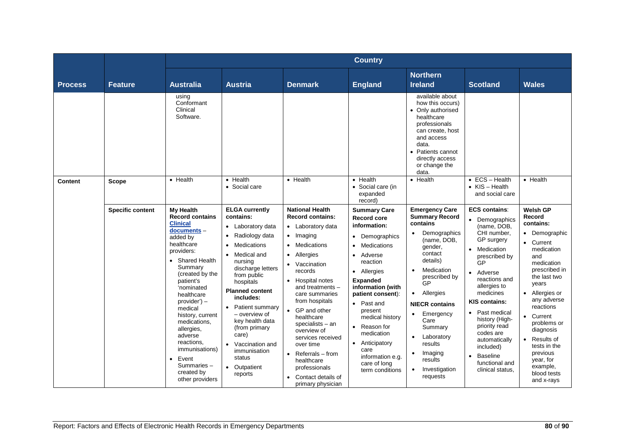|                |                         |                                                                                                                                                                                                                                                                                                                                                                                                         |                                                                                                                                                                                                                                                                                                                                                                                        |                                                                                                                                                                                                                                                                                                                                                                                                                                         | <b>Country</b>                                                                                                                                                                                                                                                                                                                                                             |                                                                                                                                                                                                                                                                                                                                                                                     |                                                                                                                                                                                                                                                                                                                                                                                    |                                                                                                                                                                                                                                                                                                                                            |
|----------------|-------------------------|---------------------------------------------------------------------------------------------------------------------------------------------------------------------------------------------------------------------------------------------------------------------------------------------------------------------------------------------------------------------------------------------------------|----------------------------------------------------------------------------------------------------------------------------------------------------------------------------------------------------------------------------------------------------------------------------------------------------------------------------------------------------------------------------------------|-----------------------------------------------------------------------------------------------------------------------------------------------------------------------------------------------------------------------------------------------------------------------------------------------------------------------------------------------------------------------------------------------------------------------------------------|----------------------------------------------------------------------------------------------------------------------------------------------------------------------------------------------------------------------------------------------------------------------------------------------------------------------------------------------------------------------------|-------------------------------------------------------------------------------------------------------------------------------------------------------------------------------------------------------------------------------------------------------------------------------------------------------------------------------------------------------------------------------------|------------------------------------------------------------------------------------------------------------------------------------------------------------------------------------------------------------------------------------------------------------------------------------------------------------------------------------------------------------------------------------|--------------------------------------------------------------------------------------------------------------------------------------------------------------------------------------------------------------------------------------------------------------------------------------------------------------------------------------------|
| <b>Process</b> | <b>Feature</b>          | <b>Australia</b>                                                                                                                                                                                                                                                                                                                                                                                        | <b>Austria</b>                                                                                                                                                                                                                                                                                                                                                                         | <b>Denmark</b>                                                                                                                                                                                                                                                                                                                                                                                                                          | <b>England</b>                                                                                                                                                                                                                                                                                                                                                             | <b>Northern</b><br><b>Ireland</b>                                                                                                                                                                                                                                                                                                                                                   | <b>Scotland</b>                                                                                                                                                                                                                                                                                                                                                                    | <b>Wales</b>                                                                                                                                                                                                                                                                                                                               |
|                |                         | using<br>Conformant<br>Clinical<br>Software.                                                                                                                                                                                                                                                                                                                                                            |                                                                                                                                                                                                                                                                                                                                                                                        |                                                                                                                                                                                                                                                                                                                                                                                                                                         |                                                                                                                                                                                                                                                                                                                                                                            | available about<br>how this occurs)<br>• Only authorised<br>healthcare<br>professionals<br>can create, host<br>and access<br>data.<br>Patients cannot<br>$\bullet$<br>directly access<br>or change the<br>data.                                                                                                                                                                     |                                                                                                                                                                                                                                                                                                                                                                                    |                                                                                                                                                                                                                                                                                                                                            |
| Content        | <b>Scope</b>            | • Health                                                                                                                                                                                                                                                                                                                                                                                                | • Health<br>• Social care                                                                                                                                                                                                                                                                                                                                                              | • Health                                                                                                                                                                                                                                                                                                                                                                                                                                | • Health<br>• Social care (in<br>expanded<br>record)                                                                                                                                                                                                                                                                                                                       | • Health                                                                                                                                                                                                                                                                                                                                                                            | $\bullet$ ECS - Health<br>$\bullet$ KIS - Health<br>and social care                                                                                                                                                                                                                                                                                                                | • Health                                                                                                                                                                                                                                                                                                                                   |
|                | <b>Specific content</b> | <b>My Health</b><br><b>Record contains</b><br><b>Clinical</b><br>documents -<br>added by<br>healthcare<br>providers:<br>• Shared Health<br>Summary<br>(created by the<br>patient's<br>'nominated<br>healthcare<br>$provider$ ) –<br>medical<br>history, current<br>medications.<br>allergies,<br>adverse<br>reactions.<br><i>immunisations)</i><br>Event<br>Summaries-<br>created by<br>other providers | <b>ELGA currently</b><br>contains:<br>• Laboratory data<br>Radiology data<br>$\bullet$<br>Medications<br>• Medical and<br>nursing<br>discharge letters<br>from public<br>hospitals<br><b>Planned content</b><br>includes:<br>• Patient summary<br>- overview of<br>key health data<br>(from primary<br>care)<br>• Vaccination and<br>immunisation<br>status<br>• Outpatient<br>reports | <b>National Health</b><br><b>Record contains:</b><br>• Laboratory data<br>• Imaging<br>Medications<br>Allergies<br>• Vaccination<br>records<br>• Hospital notes<br>and treatments -<br>care summaries<br>from hospitals<br>• GP and other<br>healthcare<br>specialists - an<br>overview of<br>services received<br>over time<br>Referrals – from<br>$\bullet$<br>healthcare<br>professionals<br>Contact details of<br>primary physician | <b>Summary Care</b><br><b>Record core</b><br>information:<br>Demographics<br>$\bullet$<br><b>Medications</b><br>Adverse<br>reaction<br>• Allergies<br><b>Expanded</b><br>information (with<br>patient consent):<br>• Past and<br>present<br>medical history<br>• Reason for<br>medication<br>• Anticipatory<br>care<br>information e.g.<br>care of long<br>term conditions | <b>Emergency Care</b><br><b>Summary Record</b><br>contains<br>Demographics<br>(name, DOB,<br>gender,<br>contact<br>details)<br>Medication<br>$\bullet$<br>prescribed by<br>GP<br>Allergies<br>$\bullet$<br><b>NIECR</b> contains<br>Emergency<br>$\bullet$<br>Care<br>Summary<br>Laboratory<br>results<br>Imaging<br>$\bullet$<br>results<br>Investigation<br>$\bullet$<br>requests | <b>ECS contains:</b><br>• Demographics<br>(name, DOB,<br>CHI number.<br>GP surgery<br>• Medication<br>prescribed by<br>GP<br>• Adverse<br>reactions and<br>allergies to<br>medicines<br><b>KIS contains:</b><br>• Past medical<br>history (High-<br>priority read<br>codes are<br>automatically<br>included)<br><b>Baseline</b><br>$\bullet$<br>functional and<br>clinical status, | <b>Welsh GP</b><br>Record<br>contains:<br>• Demographic<br>• Current<br>medication<br>and<br>medication<br>prescribed in<br>the last two<br>years<br>• Allergies or<br>any adverse<br>reactions<br>• Current<br>problems or<br>diagnosis<br>• Results of<br>tests in the<br>previous<br>year, for<br>example,<br>blood tests<br>and x-rays |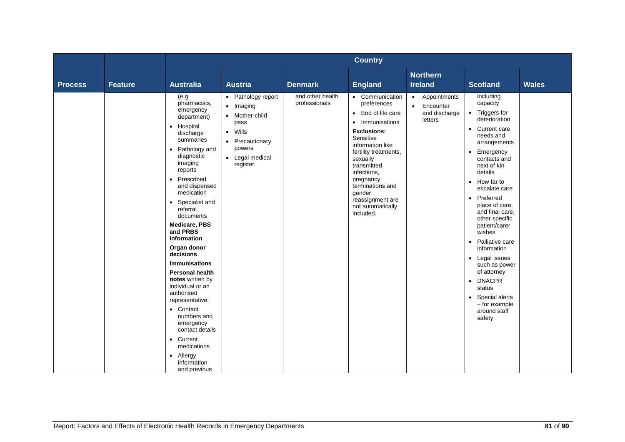|                |                |                                                                                                                                                                                                                                                                                                                                                                                                                                                                                                                                                                                                                | <b>Country</b>                                                                                                                   |                                   |                                                                                                                                                                                                                                                                                                               |                                                                                 |                                                                                                                                                                                                                                                                                                                                                                                                                                                                                                     |              |  |
|----------------|----------------|----------------------------------------------------------------------------------------------------------------------------------------------------------------------------------------------------------------------------------------------------------------------------------------------------------------------------------------------------------------------------------------------------------------------------------------------------------------------------------------------------------------------------------------------------------------------------------------------------------------|----------------------------------------------------------------------------------------------------------------------------------|-----------------------------------|---------------------------------------------------------------------------------------------------------------------------------------------------------------------------------------------------------------------------------------------------------------------------------------------------------------|---------------------------------------------------------------------------------|-----------------------------------------------------------------------------------------------------------------------------------------------------------------------------------------------------------------------------------------------------------------------------------------------------------------------------------------------------------------------------------------------------------------------------------------------------------------------------------------------------|--------------|--|
| <b>Process</b> | <b>Feature</b> | <b>Australia</b>                                                                                                                                                                                                                                                                                                                                                                                                                                                                                                                                                                                               | <b>Austria</b>                                                                                                                   | <b>Denmark</b>                    | <b>England</b>                                                                                                                                                                                                                                                                                                | <b>Northern</b><br><b>Ireland</b>                                               | <b>Scotland</b>                                                                                                                                                                                                                                                                                                                                                                                                                                                                                     | <b>Wales</b> |  |
|                |                | (e.g.<br>pharmacists,<br>emergency<br>department)<br>• Hospital<br>discharge<br>summaries<br>Pathology and<br>$\bullet$<br>diagnostic<br>imaging<br>reports<br>Prescribed<br>$\bullet$<br>and dispensed<br>medication<br>Specialist and<br>referral<br>documents<br><b>Medicare, PBS</b><br>and PRBS<br>information<br>Organ donor<br>decisions<br><b>Immunisations</b><br><b>Personal health</b><br>notes written by<br>individual or an<br>authorised<br>representative:<br>• Contact<br>numbers and<br>emergency<br>contact details<br>• Current<br>medications<br>• Allergy<br>information<br>and previous | • Pathology report<br>• Imaging<br>• Mother-child<br>pass<br>• Wills<br>• Precautionary<br>powers<br>• Legal medical<br>register | and other health<br>professionals | • Communication<br>preferences<br>• End of life care<br>Immunisations<br>$\bullet$<br><b>Exclusions:</b><br>Sensitive<br>information like<br>fertility treatments,<br>sexually<br>transmitted<br>infections,<br>pregnancy<br>terminations and<br>aender<br>reassignment are<br>not automatically<br>included. | Appointments<br>$\bullet$<br>Encounter<br>$\bullet$<br>and discharge<br>letters | including<br>capacity<br>• Triggers for<br>deterioration<br>• Current care<br>needs and<br>arrangements<br>• Emergency<br>contacts and<br>next of kin<br>details<br>• How far to<br>escalate care<br>Preferred<br>$\bullet$<br>place of care,<br>and final care.<br>other specific<br>patient/carer<br>wishes<br>Palliative care<br>$\bullet$<br>information<br>• Legal issues<br>such as power<br>of attorney<br>• DNACPR<br>status<br>• Special alerts<br>- for example<br>around staff<br>safety |              |  |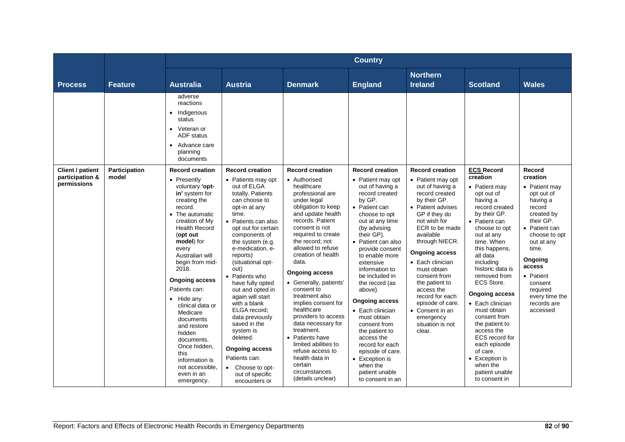|                                |                |                                                                                                                                                                                                                                                                                                                                                                                                                                                                         |                                                                                                                                                                                                                                                                                                                                                                                                                                                                                                                               |                                                                                                                                                                                                                                                                                                                                                                                                                                                                                                                                                                  | <b>Country</b>                                                                                                                                                                                                                                                                                                                                                                                                                                                                                                      |                                                                                                                                                                                                                                                                                                                                                                                                |                                                                                                                                                                                                                                                                                                                                                                                                                                                                            |                                                                                                                                                                                                                                                         |
|--------------------------------|----------------|-------------------------------------------------------------------------------------------------------------------------------------------------------------------------------------------------------------------------------------------------------------------------------------------------------------------------------------------------------------------------------------------------------------------------------------------------------------------------|-------------------------------------------------------------------------------------------------------------------------------------------------------------------------------------------------------------------------------------------------------------------------------------------------------------------------------------------------------------------------------------------------------------------------------------------------------------------------------------------------------------------------------|------------------------------------------------------------------------------------------------------------------------------------------------------------------------------------------------------------------------------------------------------------------------------------------------------------------------------------------------------------------------------------------------------------------------------------------------------------------------------------------------------------------------------------------------------------------|---------------------------------------------------------------------------------------------------------------------------------------------------------------------------------------------------------------------------------------------------------------------------------------------------------------------------------------------------------------------------------------------------------------------------------------------------------------------------------------------------------------------|------------------------------------------------------------------------------------------------------------------------------------------------------------------------------------------------------------------------------------------------------------------------------------------------------------------------------------------------------------------------------------------------|----------------------------------------------------------------------------------------------------------------------------------------------------------------------------------------------------------------------------------------------------------------------------------------------------------------------------------------------------------------------------------------------------------------------------------------------------------------------------|---------------------------------------------------------------------------------------------------------------------------------------------------------------------------------------------------------------------------------------------------------|
| <b>Process</b>                 | <b>Feature</b> | <b>Australia</b>                                                                                                                                                                                                                                                                                                                                                                                                                                                        | <b>Austria</b>                                                                                                                                                                                                                                                                                                                                                                                                                                                                                                                | <b>Denmark</b>                                                                                                                                                                                                                                                                                                                                                                                                                                                                                                                                                   | <b>England</b>                                                                                                                                                                                                                                                                                                                                                                                                                                                                                                      | <b>Northern</b><br><b>Ireland</b>                                                                                                                                                                                                                                                                                                                                                              | <b>Scotland</b>                                                                                                                                                                                                                                                                                                                                                                                                                                                            | <b>Wales</b>                                                                                                                                                                                                                                            |
| Client / patient               | Participation  | adverse<br>reactions<br>• Indigenous<br>status<br>• Veteran or<br><b>ADF</b> status<br>• Advance care<br>planning<br>documents<br><b>Record creation</b>                                                                                                                                                                                                                                                                                                                | <b>Record creation</b>                                                                                                                                                                                                                                                                                                                                                                                                                                                                                                        | <b>Record creation</b>                                                                                                                                                                                                                                                                                                                                                                                                                                                                                                                                           | <b>Record creation</b>                                                                                                                                                                                                                                                                                                                                                                                                                                                                                              | <b>Record creation</b>                                                                                                                                                                                                                                                                                                                                                                         | <b>ECS Record</b>                                                                                                                                                                                                                                                                                                                                                                                                                                                          | Record                                                                                                                                                                                                                                                  |
| participation &<br>permissions | model          | • Presently<br>voluntary 'opt-<br>in' system for<br>creating the<br>record.<br>• The automatic<br>creation of My<br><b>Health Record</b><br>(opt out<br>model) for<br>every<br>Australian will<br>begin from mid-<br>2018.<br><b>Ongoing access</b><br>Patients can:<br>$\bullet$ Hide any<br>clinical data or<br>Medicare<br>documents<br>and restore<br>hidden<br>documents.<br>Once hidden,<br>this<br>information is<br>not accessible.<br>even in an<br>emergency. | • Patients may opt<br>out of ELGA<br>totally. Patients<br>can choose to<br>opt-in at any<br>time.<br>• Patients can also<br>opt out for certain<br>components of<br>the system (e.g.<br>e-medication, e-<br>reports)<br>(situational opt-<br>out)<br>• Patients who<br>have fully opted<br>out and opted in<br>again will start<br>with a blank<br>ELGA record:<br>data previously<br>saved in the<br>system is<br>deleted.<br><b>Ongoing access</b><br>Patients can:<br>• Choose to opt-<br>out of specific<br>encounters or | • Authorised<br>healthcare<br>professional are<br>under legal<br>obligation to keep<br>and update health<br>records. Patient<br>consent is not<br>required to create<br>the record: not<br>allowed to refuse<br>creation of health<br>data.<br><b>Ongoing access</b><br>• Generally, patients'<br>consent to<br>treatment also<br>implies consent for<br>healthcare<br>providers to access<br>data necessary for<br>treatment.<br>• Patients have<br>limited abilities to<br>refuse access to<br>health data in<br>certain<br>circumstances<br>(details unclear) | • Patient may opt<br>out of having a<br>record created<br>by GP.<br>• Patient can<br>choose to opt<br>out at any time<br>(by advising<br>their GP).<br>• Patient can also<br>provide consent<br>to enable more<br>extensive<br>information to<br>be included in<br>the record (as<br>above).<br><b>Ongoing access</b><br>• Each clinician<br>must obtain<br>consent from<br>the patient to<br>access the<br>record for each<br>episode of care.<br>• Exception is<br>when the<br>patient unable<br>to consent in an | • Patient may opt<br>out of having a<br>record created<br>by their GP.<br>• Patient advises<br>GP if they do<br>not wish for<br>ECR to be made<br>available<br>through NIECR.<br><b>Ongoing access</b><br>• Each clinician<br>must obtain<br>consent from<br>the patient to<br>access the<br>record for each<br>episode of care.<br>• Consent in an<br>emergency<br>situation is not<br>clear. | creation<br>• Patient may<br>opt out of<br>having a<br>record created<br>by their GP.<br>• Patient can<br>choose to opt<br>out at any<br>time. When<br>this happens,<br>all data<br>includina<br>historic data is<br>removed from<br>ECS Store.<br><b>Ongoing access</b><br>• Each clinician<br>must obtain<br>consent from<br>the patient to<br>access the<br>ECS record for<br>each episode<br>of care.<br>• Exception is<br>when the<br>patient unable<br>to consent in | creation<br>• Patient may<br>opt out of<br>having a<br>record<br>created by<br>their GP.<br>• Patient can<br>choose to opt<br>out at any<br>time.<br>Ongoing<br>access<br>• Patient<br>consent<br>required<br>every time the<br>records are<br>accessed |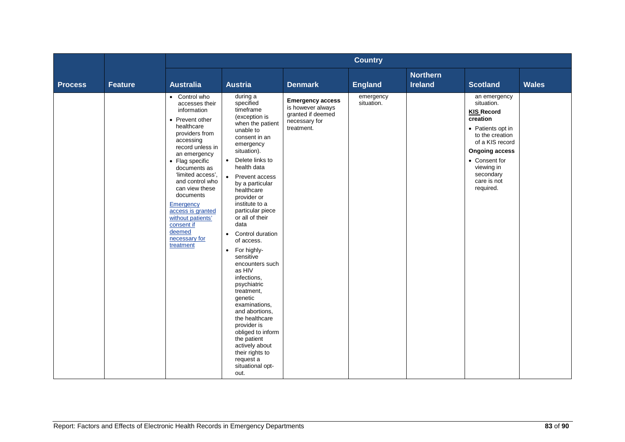|                |                |                                                                                                                                                                                                                                                                                                                                                                           |                                                                                                                                                                                                                                                                                                                                                                                                                                                                                                                                                                                                                                                                                         |                                                                                                  | <b>Country</b>          |                                   |                                                                                                                                                                                                                         |              |
|----------------|----------------|---------------------------------------------------------------------------------------------------------------------------------------------------------------------------------------------------------------------------------------------------------------------------------------------------------------------------------------------------------------------------|-----------------------------------------------------------------------------------------------------------------------------------------------------------------------------------------------------------------------------------------------------------------------------------------------------------------------------------------------------------------------------------------------------------------------------------------------------------------------------------------------------------------------------------------------------------------------------------------------------------------------------------------------------------------------------------------|--------------------------------------------------------------------------------------------------|-------------------------|-----------------------------------|-------------------------------------------------------------------------------------------------------------------------------------------------------------------------------------------------------------------------|--------------|
| <b>Process</b> | <b>Feature</b> | <b>Australia</b>                                                                                                                                                                                                                                                                                                                                                          | <b>Austria</b>                                                                                                                                                                                                                                                                                                                                                                                                                                                                                                                                                                                                                                                                          | <b>Denmark</b>                                                                                   | <b>England</b>          | <b>Northern</b><br><b>Ireland</b> | <b>Scotland</b>                                                                                                                                                                                                         | <b>Wales</b> |
|                |                | • Control who<br>accesses their<br>information<br>• Prevent other<br>healthcare<br>providers from<br>accessing<br>record unless in<br>an emergency<br>• Flag specific<br>documents as<br>'limited access',<br>and control who<br>can view these<br>documents<br>Emergency<br>access is granted<br>without patients'<br>consent if<br>deemed<br>necessary for<br>treatment | during a<br>specified<br>timeframe<br>(exception is<br>when the patient<br>unable to<br>consent in an<br>emergency<br>situation).<br>Delete links to<br>$\bullet$<br>health data<br>Prevent access<br>$\bullet$<br>by a particular<br>healthcare<br>provider or<br>institute to a<br>particular piece<br>or all of their<br>data<br>Control duration<br>$\bullet$<br>of access.<br>• For highly-<br>sensitive<br>encounters such<br>as HIV<br>infections,<br>psychiatric<br>treatment,<br>genetic<br>examinations,<br>and abortions,<br>the healthcare<br>provider is<br>obliged to inform<br>the patient<br>actively about<br>their rights to<br>request a<br>situational opt-<br>out. | <b>Emergency access</b><br>is however always<br>granted if deemed<br>necessary for<br>treatment. | emergency<br>situation. |                                   | an emergency<br>situation.<br><b>KIS Record</b><br>creation<br>• Patients opt in<br>to the creation<br>of a KIS record<br><b>Ongoing access</b><br>• Consent for<br>viewing in<br>secondary<br>care is not<br>required. |              |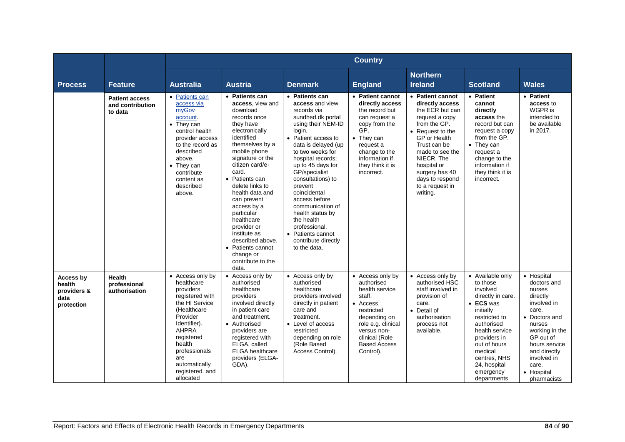|                                                          |                                                      | <b>Country</b>                                                                                                                                                                                                                               |                                                                                                                                                                                                                                                                                                                                                                                                                                     |                                                                                                                                                                                                                                                                                                                                                                                                                                        |                                                                                                                                                                                                 |                                                                                                                                                                                                                                                                  |                                                                                                                                                                                                                                                 |                                                                                                                                                                                                                         |
|----------------------------------------------------------|------------------------------------------------------|----------------------------------------------------------------------------------------------------------------------------------------------------------------------------------------------------------------------------------------------|-------------------------------------------------------------------------------------------------------------------------------------------------------------------------------------------------------------------------------------------------------------------------------------------------------------------------------------------------------------------------------------------------------------------------------------|----------------------------------------------------------------------------------------------------------------------------------------------------------------------------------------------------------------------------------------------------------------------------------------------------------------------------------------------------------------------------------------------------------------------------------------|-------------------------------------------------------------------------------------------------------------------------------------------------------------------------------------------------|------------------------------------------------------------------------------------------------------------------------------------------------------------------------------------------------------------------------------------------------------------------|-------------------------------------------------------------------------------------------------------------------------------------------------------------------------------------------------------------------------------------------------|-------------------------------------------------------------------------------------------------------------------------------------------------------------------------------------------------------------------------|
| <b>Process</b>                                           | <b>Feature</b>                                       | <b>Australia</b>                                                                                                                                                                                                                             | <b>Austria</b>                                                                                                                                                                                                                                                                                                                                                                                                                      | <b>Denmark</b>                                                                                                                                                                                                                                                                                                                                                                                                                         | <b>England</b>                                                                                                                                                                                  | <b>Northern</b><br><b>Ireland</b>                                                                                                                                                                                                                                | <b>Scotland</b>                                                                                                                                                                                                                                 | <b>Wales</b>                                                                                                                                                                                                            |
|                                                          | <b>Patient access</b><br>and contribution<br>to data | • Patients can<br>access via<br>myGov<br>account.<br>• They can<br>control health<br>provider access<br>to the record as<br>described<br>above.<br>$\bullet$ They can<br>contribute<br>content as<br>described<br>above.                     | • Patients can<br>access, view and<br>download<br>records once<br>they have<br>electronically<br>identified<br>themselves by a<br>mobile phone<br>signature or the<br>citizen card/e-<br>card.<br>• Patients can<br>delete links to<br>health data and<br>can prevent<br>access by a<br>particular<br>healthcare<br>provider or<br>institute as<br>described above.<br>• Patients cannot<br>change or<br>contribute to the<br>data. | • Patients can<br>access and view<br>records via<br>sundhed.dk portal<br>using their NEM-ID<br>login.<br>• Patient access to<br>data is delayed (up<br>to two weeks for<br>hospital records;<br>up to 45 days for<br>GP/specialist<br>consultations) to<br>prevent<br>coincidental<br>access before<br>communication of<br>health status by<br>the health<br>professional.<br>• Patients cannot<br>contribute directly<br>to the data. | • Patient cannot<br>directly access<br>the record but<br>can request a<br>copy from the<br>GP.<br>• They can<br>request a<br>change to the<br>information if<br>they think it is<br>incorrect.  | • Patient cannot<br>directly access<br>the ECR but can<br>request a copy<br>from the GP.<br>• Request to the<br>GP or Health<br>Trust can be<br>made to see the<br>NIECR. The<br>hospital or<br>surgery has 40<br>days to respond<br>to a request in<br>writing. | • Patient<br>cannot<br>directly<br>access the<br>record but can<br>request a copy<br>from the GP.<br>• They can<br>request a<br>change to the<br>information if<br>they think it is<br>incorrect.                                               | • Patient<br>access to<br>WGPR is<br>intended to<br>be available<br>in 2017.                                                                                                                                            |
| Access by<br>health<br>providers &<br>data<br>protection | <b>Health</b><br>professional<br>authorisation       | • Access only by<br>healthcare<br>providers<br>registered with<br>the HI Service<br>(Healthcare<br>Provider<br>Identifier).<br><b>AHPRA</b><br>registered<br>health<br>professionals<br>are<br>automatically<br>registered. and<br>allocated | • Access only by<br>authorised<br>healthcare<br>providers<br>involved directly<br>in patient care<br>and treatment.<br>• Authorised<br>providers are<br>registered with<br>ELGA, called<br><b>ELGA</b> healthcare<br>providers (ELGA-<br>GDA).                                                                                                                                                                                      | • Access only by<br>authorised<br>healthcare<br>providers involved<br>directly in patient<br>care and<br>treatment.<br>• Level of access<br>restricted<br>depending on role<br>(Role Based<br>Access Control).                                                                                                                                                                                                                         | • Access only by<br>authorised<br>health service<br>staff.<br>• Access<br>restricted<br>depending on<br>role e.g. clinical<br>versus non-<br>clinical (Role<br><b>Based Access</b><br>Control). | • Access only by<br>authorised HSC<br>staff involved in<br>provision of<br>care.<br>• Detail of<br>authorisation<br>process not<br>available.                                                                                                                    | • Available only<br>to those<br>involved<br>directly in care.<br>• ECS was<br>initially<br>restricted to<br>authorised<br>health service<br>providers in<br>out of hours<br>medical<br>centres, NHS<br>24, hospital<br>emergency<br>departments | • Hospital<br>doctors and<br>nurses<br>directly<br>involved in<br>care.<br>• Doctors and<br>nurses<br>working in the<br>GP out of<br>hours service<br>and directly<br>involved in<br>care.<br>• Hospital<br>pharmacists |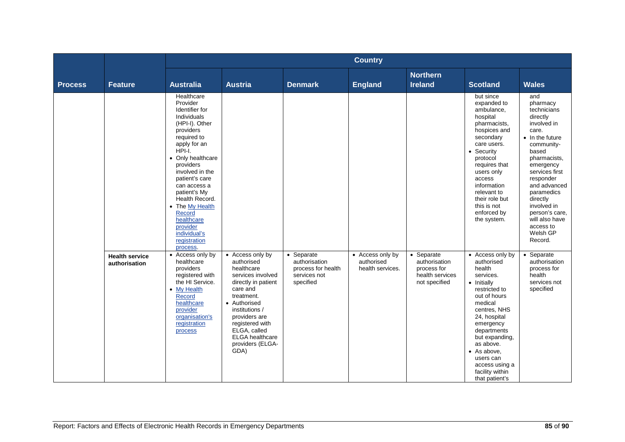|                |                                        |                                                                                                                                                                                                                                                                                                                                                             |                                                                                                                                                                                                                                                                |                                                                                | <b>Country</b>                                     |                                                                                |                                                                                                                                                                                                                                                                                                |                                                                                                                                                                                                                                                                                                                   |  |  |
|----------------|----------------------------------------|-------------------------------------------------------------------------------------------------------------------------------------------------------------------------------------------------------------------------------------------------------------------------------------------------------------------------------------------------------------|----------------------------------------------------------------------------------------------------------------------------------------------------------------------------------------------------------------------------------------------------------------|--------------------------------------------------------------------------------|----------------------------------------------------|--------------------------------------------------------------------------------|------------------------------------------------------------------------------------------------------------------------------------------------------------------------------------------------------------------------------------------------------------------------------------------------|-------------------------------------------------------------------------------------------------------------------------------------------------------------------------------------------------------------------------------------------------------------------------------------------------------------------|--|--|
| <b>Process</b> | <b>Feature</b>                         | <b>Australia</b>                                                                                                                                                                                                                                                                                                                                            | <b>Austria</b>                                                                                                                                                                                                                                                 | <b>Denmark</b>                                                                 | <b>England</b>                                     | <b>Northern</b><br><b>Ireland</b>                                              | <b>Scotland</b>                                                                                                                                                                                                                                                                                | <b>Wales</b>                                                                                                                                                                                                                                                                                                      |  |  |
|                |                                        | Healthcare<br>Provider<br>Identifier for<br>Individuals<br>(HPI-I). Other<br>providers<br>required to<br>apply for an<br>HPI-I.<br>• Only healthcare<br>providers<br>involved in the<br>patient's care<br>can access a<br>patient's My<br>Health Record.<br>• The My Health<br>Record<br>healthcare<br>provider<br>individual's<br>registration<br>process. |                                                                                                                                                                                                                                                                |                                                                                |                                                    |                                                                                | but since<br>expanded to<br>ambulance,<br>hospital<br>pharmacists,<br>hospices and<br>secondary<br>care users.<br>• Security<br>protocol<br>requires that<br>users only<br>access<br>information<br>relevant to<br>their role but<br>this is not<br>enforced by<br>the system.                 | and<br>pharmacy<br>technicians<br>directly<br>involved in<br>care.<br>$\bullet$ In the future<br>community-<br>based<br>pharmacists,<br>emergency<br>services first<br>responder<br>and advanced<br>paramedics<br>directly<br>involved in<br>person's care,<br>will also have<br>access to<br>Welsh GP<br>Record. |  |  |
|                | <b>Health service</b><br>authorisation | • Access only by<br>healthcare<br>providers<br>registered with<br>the HI Service.<br><b>My Health</b><br>$\bullet$<br>Record<br>healthcare<br>provider<br>organisation's<br>registration<br>process                                                                                                                                                         | • Access only by<br>authorised<br>healthcare<br>services involved<br>directly in patient<br>care and<br>treatment.<br>• Authorised<br>institutions /<br>providers are<br>registered with<br>ELGA, called<br><b>ELGA</b> healthcare<br>providers (ELGA-<br>GDA) | • Separate<br>authorisation<br>process for health<br>services not<br>specified | • Access only by<br>authorised<br>health services. | • Separate<br>authorisation<br>process for<br>health services<br>not specified | • Access only by<br>authorised<br>health<br>services.<br>• Initially<br>restricted to<br>out of hours<br>medical<br>centres, NHS<br>24, hospital<br>emergency<br>departments<br>but expanding,<br>as above.<br>• As above,<br>users can<br>access using a<br>facility within<br>that patient's | • Separate<br>authorisation<br>process for<br>health<br>services not<br>specified                                                                                                                                                                                                                                 |  |  |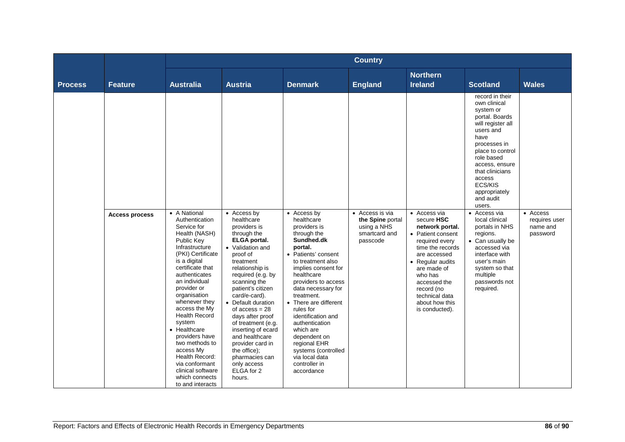|                |                       | <b>Country</b>                                                                                                                                                                                                                                                                                                                                                                                                                                               |                                                                                                                                                                                                                                                                                                                                                                                                                                                     |                                                                                                                                                                                                                                                                                                                                                                                                                                  |                                                                                 |                                                                                                                                                                                                                                                            |                                                                                                                                                                                                                                                                                                                                                                                                                                                               |                                                   |
|----------------|-----------------------|--------------------------------------------------------------------------------------------------------------------------------------------------------------------------------------------------------------------------------------------------------------------------------------------------------------------------------------------------------------------------------------------------------------------------------------------------------------|-----------------------------------------------------------------------------------------------------------------------------------------------------------------------------------------------------------------------------------------------------------------------------------------------------------------------------------------------------------------------------------------------------------------------------------------------------|----------------------------------------------------------------------------------------------------------------------------------------------------------------------------------------------------------------------------------------------------------------------------------------------------------------------------------------------------------------------------------------------------------------------------------|---------------------------------------------------------------------------------|------------------------------------------------------------------------------------------------------------------------------------------------------------------------------------------------------------------------------------------------------------|---------------------------------------------------------------------------------------------------------------------------------------------------------------------------------------------------------------------------------------------------------------------------------------------------------------------------------------------------------------------------------------------------------------------------------------------------------------|---------------------------------------------------|
| <b>Process</b> | <b>Feature</b>        | <b>Australia</b>                                                                                                                                                                                                                                                                                                                                                                                                                                             | <b>Austria</b>                                                                                                                                                                                                                                                                                                                                                                                                                                      | <b>Denmark</b>                                                                                                                                                                                                                                                                                                                                                                                                                   | <b>England</b>                                                                  | <b>Northern</b><br><b>Ireland</b>                                                                                                                                                                                                                          | <b>Scotland</b>                                                                                                                                                                                                                                                                                                                                                                                                                                               | <b>Wales</b>                                      |
|                | <b>Access process</b> | • A National<br>Authentication<br>Service for<br>Health (NASH)<br>Public Key<br>Infrastructure<br>(PKI) Certificate<br>is a digital<br>certificate that<br>authenticates<br>an individual<br>provider or<br>organisation<br>whenever they<br>access the My<br><b>Health Record</b><br>system<br>• Healthcare<br>providers have<br>two methods to<br>access My<br>Health Record:<br>via conformant<br>clinical software<br>which connects<br>to and interacts | • Access by<br>healthcare<br>providers is<br>through the<br><b>ELGA</b> portal.<br>• Validation and<br>proof of<br>treatment<br>relationship is<br>required (e.g. by<br>scanning the<br>patient's citizen<br>card/e-card).<br>• Default duration<br>of $access = 28$<br>days after proof<br>of treatment (e.g.<br>inserting of ecard<br>and healthcare<br>provider card in<br>the office);<br>pharmacies can<br>only access<br>ELGA for 2<br>hours. | • Access by<br>healthcare<br>providers is<br>through the<br>Sundhed.dk<br>portal.<br>• Patients' consent<br>to treatment also<br>implies consent for<br>healthcare<br>providers to access<br>data necessary for<br>treatment.<br>• There are different<br>rules for<br>identification and<br>authentication<br>which are<br>dependent on<br>regional EHR<br>systems (controlled<br>via local data<br>controller in<br>accordance | • Access is via<br>the Spine portal<br>using a NHS<br>smartcard and<br>passcode | • Access via<br>secure HSC<br>network portal.<br>• Patient consent<br>required every<br>time the records<br>are accessed<br>• Regular audits<br>are made of<br>who has<br>accessed the<br>record (no<br>technical data<br>about how this<br>is conducted). | record in their<br>own clinical<br>system or<br>portal. Boards<br>will register all<br>users and<br>have<br>processes in<br>place to control<br>role based<br>access, ensure<br>that clinicians<br>access<br>ECS/KIS<br>appropriately<br>and audit<br>users.<br>• Access via<br>local clinical<br>portals in NHS<br>regions.<br>• Can usually be<br>accessed via<br>interface with<br>user's main<br>system so that<br>multiple<br>passwords not<br>required. | • Access<br>requires user<br>name and<br>password |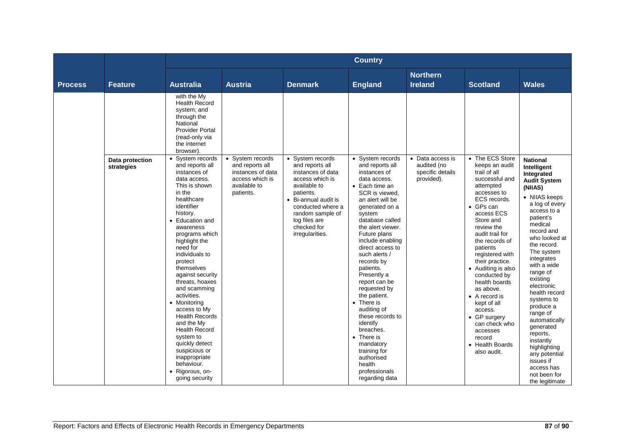|                |                               | <b>Country</b>                                                                                                                                                                                                                                                                                                                                                                                                                                                                                                                                            |                                                                                                          |                                                                                                                                                                                                                              |                                                                                                                                                                                                                                                                                                                                                                                                                                                                                                                                                             |                                                                   |                                                                                                                                                                                                                                                                                                                                                                                                                                                                                      |                                                                                                                                                                                                                                                                                                                                                                                                                                                                                                      |
|----------------|-------------------------------|-----------------------------------------------------------------------------------------------------------------------------------------------------------------------------------------------------------------------------------------------------------------------------------------------------------------------------------------------------------------------------------------------------------------------------------------------------------------------------------------------------------------------------------------------------------|----------------------------------------------------------------------------------------------------------|------------------------------------------------------------------------------------------------------------------------------------------------------------------------------------------------------------------------------|-------------------------------------------------------------------------------------------------------------------------------------------------------------------------------------------------------------------------------------------------------------------------------------------------------------------------------------------------------------------------------------------------------------------------------------------------------------------------------------------------------------------------------------------------------------|-------------------------------------------------------------------|--------------------------------------------------------------------------------------------------------------------------------------------------------------------------------------------------------------------------------------------------------------------------------------------------------------------------------------------------------------------------------------------------------------------------------------------------------------------------------------|------------------------------------------------------------------------------------------------------------------------------------------------------------------------------------------------------------------------------------------------------------------------------------------------------------------------------------------------------------------------------------------------------------------------------------------------------------------------------------------------------|
| <b>Process</b> | <b>Feature</b>                | <b>Australia</b>                                                                                                                                                                                                                                                                                                                                                                                                                                                                                                                                          | <b>Austria</b>                                                                                           | <b>Denmark</b>                                                                                                                                                                                                               | <b>England</b>                                                                                                                                                                                                                                                                                                                                                                                                                                                                                                                                              | <b>Northern</b><br><b>Ireland</b>                                 | <b>Scotland</b>                                                                                                                                                                                                                                                                                                                                                                                                                                                                      | <b>Wales</b>                                                                                                                                                                                                                                                                                                                                                                                                                                                                                         |
|                |                               | with the My<br><b>Health Record</b><br>system; and<br>through the<br>National<br><b>Provider Portal</b><br>(read-only via<br>the internet<br>browser).                                                                                                                                                                                                                                                                                                                                                                                                    |                                                                                                          |                                                                                                                                                                                                                              |                                                                                                                                                                                                                                                                                                                                                                                                                                                                                                                                                             |                                                                   |                                                                                                                                                                                                                                                                                                                                                                                                                                                                                      |                                                                                                                                                                                                                                                                                                                                                                                                                                                                                                      |
|                | Data protection<br>strategies | • System records<br>and reports all<br>instances of<br>data access.<br>This is shown<br>in the<br>healthcare<br>identifier<br>history.<br>• Education and<br>awareness<br>programs which<br>highlight the<br>need for<br>individuals to<br>protect<br>themselves<br>against security<br>threats, hoaxes<br>and scamming<br>activities.<br>• Monitoring<br>access to My<br><b>Health Records</b><br>and the My<br><b>Health Record</b><br>system to<br>quickly detect<br>suspicious or<br>inappropriate<br>behaviour.<br>• Rigorous, on-<br>going security | • System records<br>and reports all<br>instances of data<br>access which is<br>available to<br>patients. | • System records<br>and reports all<br>instances of data<br>access which is<br>available to<br>patients.<br>• Bi-annual audit is<br>conducted where a<br>random sample of<br>log files are<br>checked for<br>irregularities. | • System records<br>and reports all<br>instances of<br>data access.<br>$\bullet$ Each time an<br>SCR is viewed.<br>an alert will be<br>generated on a<br>system<br>database called<br>the alert viewer.<br>Future plans<br>include enabling<br>direct access to<br>such alerts /<br>records by<br>patients.<br>Presently a<br>report can be<br>requested by<br>the patient.<br>• There is<br>auditing of<br>these records to<br>identify<br>breaches.<br>• There is<br>mandatory<br>training for<br>authorised<br>health<br>professionals<br>regarding data | • Data access is<br>audited (no<br>specific details<br>provided). | • The ECS Store<br>keeps an audit<br>trail of all<br>successful and<br>attempted<br>accesses to<br>ECS records.<br>$\bullet$ GPs can<br>access ECS<br>Store and<br>review the<br>audit trail for<br>the records of<br>patients<br>registered with<br>their practice.<br>• Auditing is also<br>conducted by<br>health boards<br>as above.<br>$\bullet$ A record is<br>kept of all<br>access.<br>• GP surgery<br>can check who<br>accesses<br>record<br>• Health Boards<br>also audit. | <b>National</b><br>Intelligent<br>Integrated<br><b>Audit System</b><br>(NIIAS)<br>• NIIAS keeps<br>a log of every<br>access to a<br>patient's<br>medical<br>record and<br>who looked at<br>the record.<br>The system<br>integrates<br>with a wide<br>range of<br>existing<br>electronic<br>health record<br>systems to<br>produce a<br>range of<br>automatically<br>generated<br>reports,<br>instantly<br>highlighting<br>any potential<br>issues if<br>access has<br>not been for<br>the legitimate |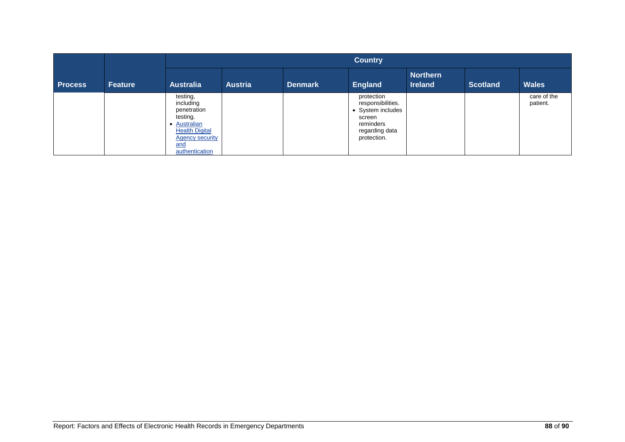|                |                |                                                                                                                                              | <b>Country</b> |                |                                                                                                              |                                   |                 |                         |  |
|----------------|----------------|----------------------------------------------------------------------------------------------------------------------------------------------|----------------|----------------|--------------------------------------------------------------------------------------------------------------|-----------------------------------|-----------------|-------------------------|--|
| <b>Process</b> | <b>Feature</b> | <b>Australia</b>                                                                                                                             | <b>Austria</b> | <b>Denmark</b> | <b>England</b>                                                                                               | <b>Northern</b><br><b>Ireland</b> | <b>Scotland</b> | <b>Wales</b>            |  |
|                |                | testing,<br>including<br>penetration<br>testing.<br>• Australian<br><b>Health Digital</b><br><b>Agency security</b><br>and<br>authentication |                |                | protection<br>responsibilities.<br>• System includes<br>screen<br>reminders<br>regarding data<br>protection. |                                   |                 | care of the<br>patient. |  |